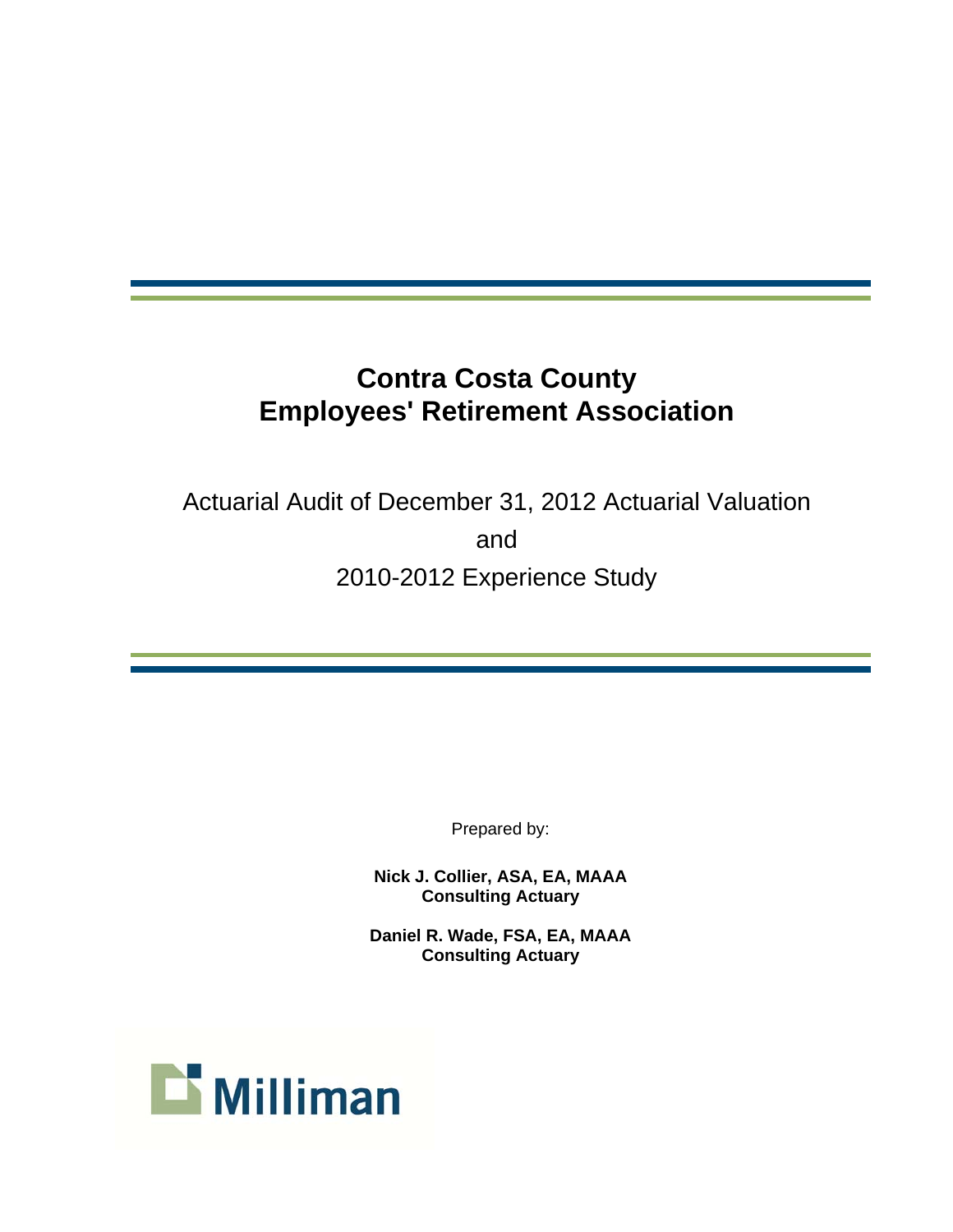# **Contra Costa County Employees' Retirement Association**

Actuarial Audit of December 31, 2012 Actuarial Valuation and 2010-2012 Experience Study

Prepared by:

**Nick J. Collier, ASA, EA, MAAA Consulting Actuary** 

**Daniel R. Wade, FSA, EA, MAAA Consulting Actuary** 

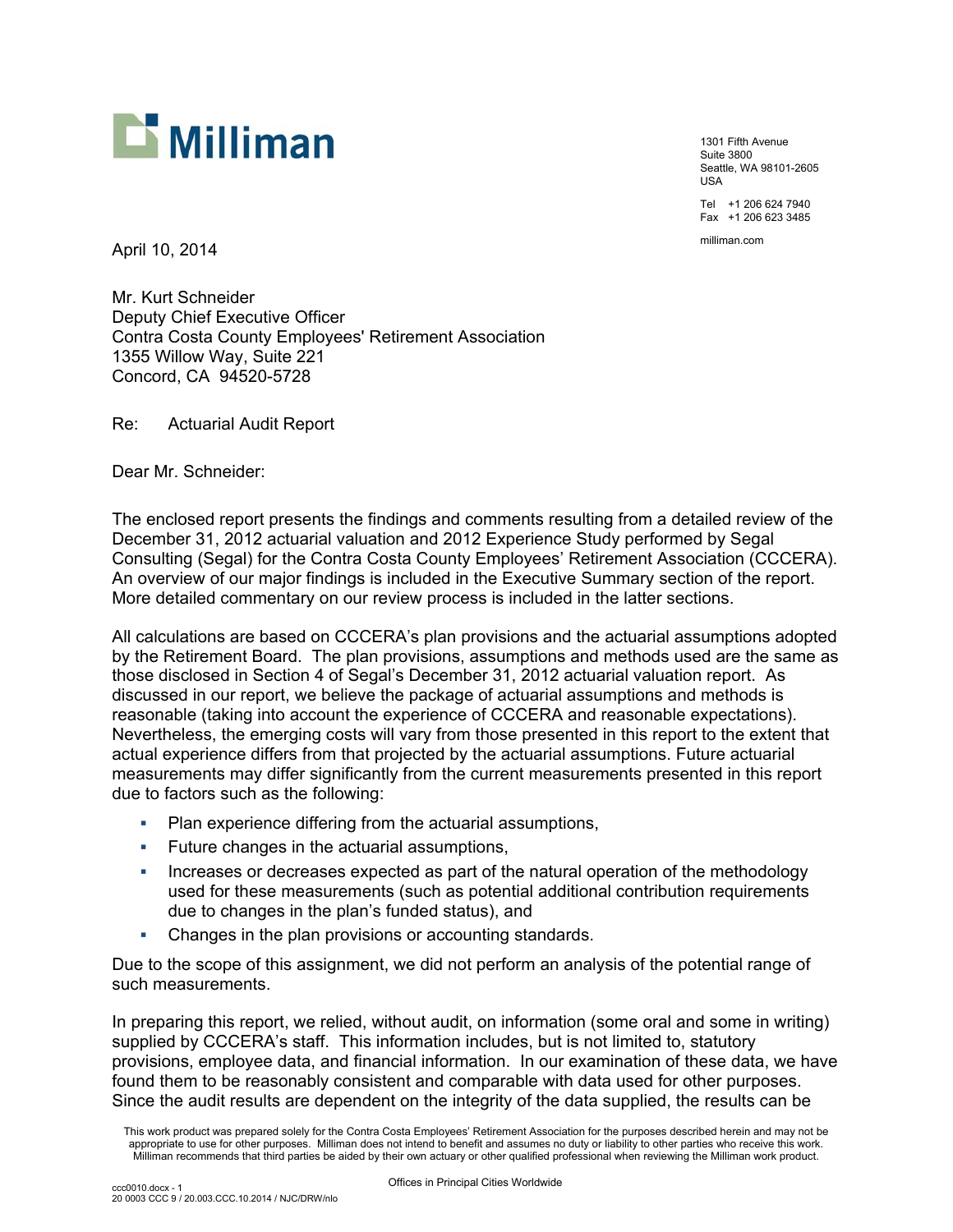

1301 Fifth Avenue Suite 3800 Seattle, WA 98101-2605 USA

Tel +1 206 624 7940 Fax +1 206 623 3485

milliman.com

April 10, 2014

Mr. Kurt Schneider Deputy Chief Executive Officer Contra Costa County Employees' Retirement Association 1355 Willow Way, Suite 221 Concord, CA 94520-5728

Re: Actuarial Audit Report

Dear Mr. Schneider:

The enclosed report presents the findings and comments resulting from a detailed review of the December 31, 2012 actuarial valuation and 2012 Experience Study performed by Segal Consulting (Segal) for the Contra Costa County Employees' Retirement Association (CCCERA). An overview of our major findings is included in the Executive Summary section of the report. More detailed commentary on our review process is included in the latter sections.

All calculations are based on CCCERA's plan provisions and the actuarial assumptions adopted by the Retirement Board. The plan provisions, assumptions and methods used are the same as those disclosed in Section 4 of Segal's December 31, 2012 actuarial valuation report. As discussed in our report, we believe the package of actuarial assumptions and methods is reasonable (taking into account the experience of CCCERA and reasonable expectations). Nevertheless, the emerging costs will vary from those presented in this report to the extent that actual experience differs from that projected by the actuarial assumptions. Future actuarial measurements may differ significantly from the current measurements presented in this report due to factors such as the following:

- **Plan experience differing from the actuarial assumptions,**
- **Future changes in the actuarial assumptions,**
- **Increases or decreases expected as part of the natural operation of the methodology** used for these measurements (such as potential additional contribution requirements due to changes in the plan's funded status), and
- Changes in the plan provisions or accounting standards.

Due to the scope of this assignment, we did not perform an analysis of the potential range of such measurements.

In preparing this report, we relied, without audit, on information (some oral and some in writing) supplied by CCCERA's staff. This information includes, but is not limited to, statutory provisions, employee data, and financial information. In our examination of these data, we have found them to be reasonably consistent and comparable with data used for other purposes. Since the audit results are dependent on the integrity of the data supplied, the results can be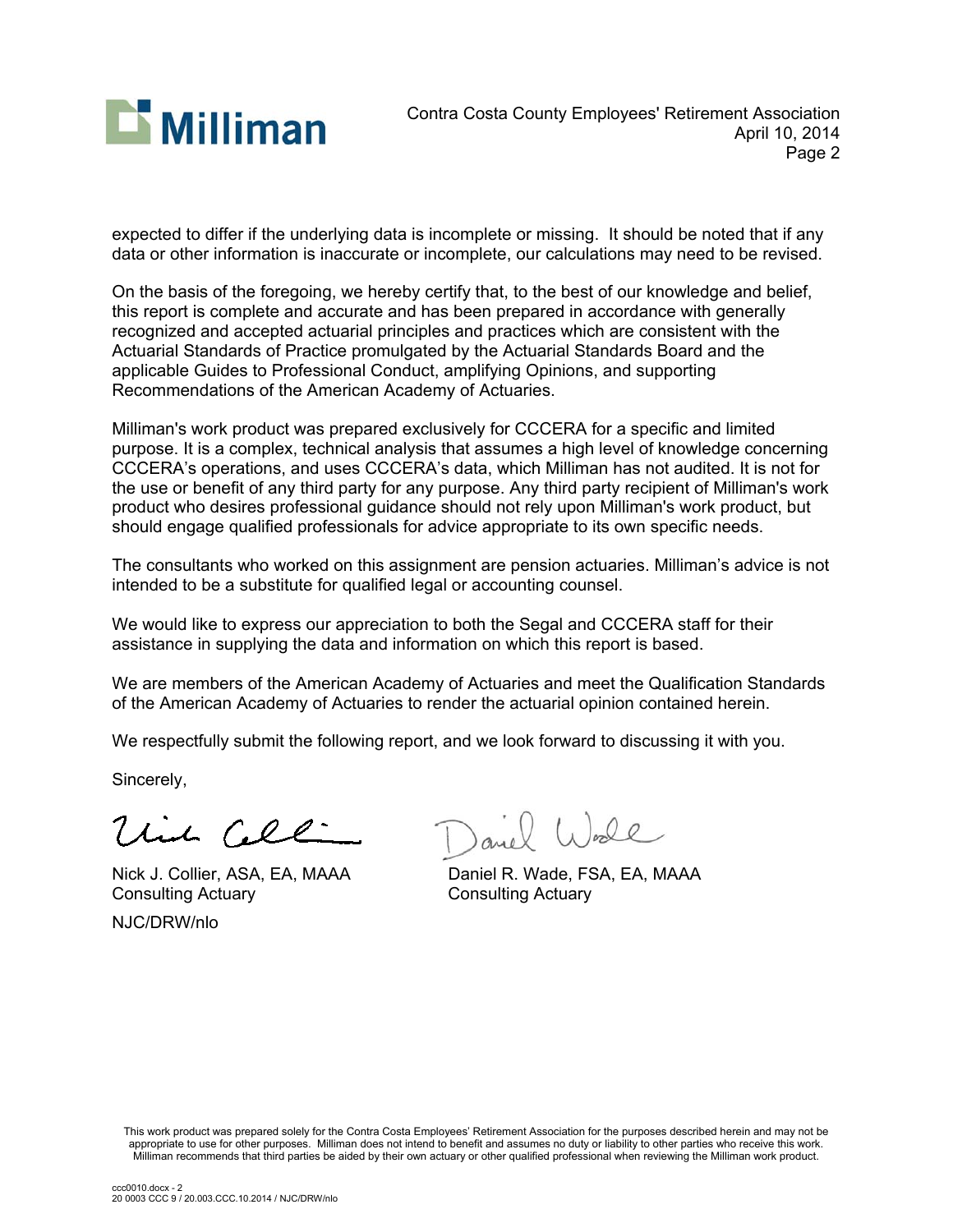

expected to differ if the underlying data is incomplete or missing. It should be noted that if any data or other information is inaccurate or incomplete, our calculations may need to be revised.

On the basis of the foregoing, we hereby certify that, to the best of our knowledge and belief, this report is complete and accurate and has been prepared in accordance with generally recognized and accepted actuarial principles and practices which are consistent with the Actuarial Standards of Practice promulgated by the Actuarial Standards Board and the applicable Guides to Professional Conduct, amplifying Opinions, and supporting Recommendations of the American Academy of Actuaries.

Milliman's work product was prepared exclusively for CCCERA for a specific and limited purpose. It is a complex, technical analysis that assumes a high level of knowledge concerning CCCERA's operations, and uses CCCERA's data, which Milliman has not audited. It is not for the use or benefit of any third party for any purpose. Any third party recipient of Milliman's work product who desires professional guidance should not rely upon Milliman's work product, but should engage qualified professionals for advice appropriate to its own specific needs.

The consultants who worked on this assignment are pension actuaries. Milliman's advice is not intended to be a substitute for qualified legal or accounting counsel.

We would like to express our appreciation to both the Segal and CCCERA staff for their assistance in supplying the data and information on which this report is based.

We are members of the American Academy of Actuaries and meet the Qualification Standards of the American Academy of Actuaries to render the actuarial opinion contained herein.

We respectfully submit the following report, and we look forward to discussing it with you.

Sincerely,

Uid Celli

Nick J. Collier, ASA, EA, MAAA Daniel R. Wade, FSA, EA, MAAA Consulting Actuary Consulting Actuary

NJC/DRW/nlo

Daniel World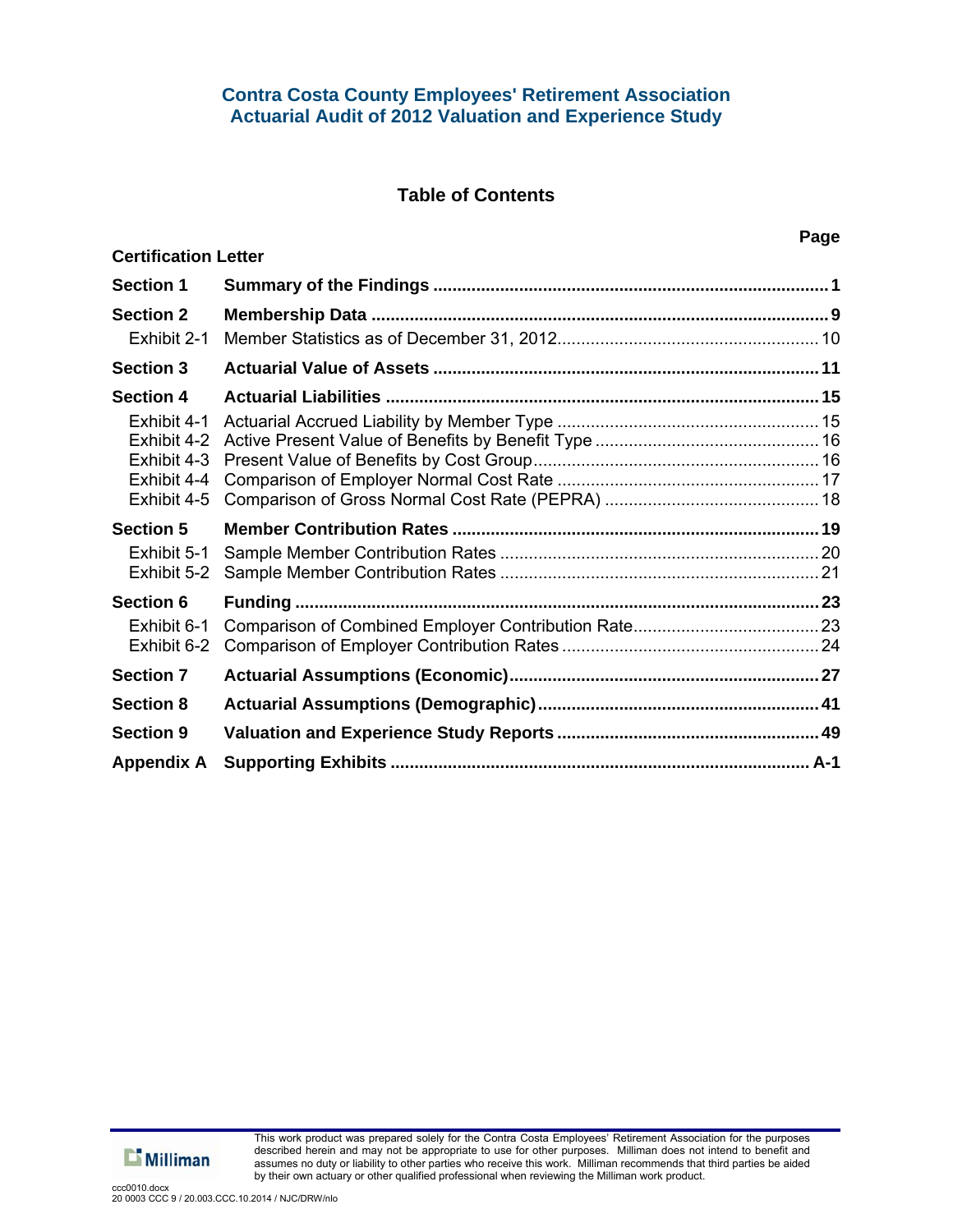# **Table of Contents**

**Page** 

| <b>Certification Letter</b> |  |
|-----------------------------|--|
| <b>Section 1</b>            |  |
| <b>Section 2</b>            |  |
| Exhibit 2-1                 |  |
| <b>Section 3</b>            |  |
| <b>Section 4</b>            |  |
| Exhibit 4-1                 |  |
| Exhibit 4-2                 |  |
| Exhibit 4-3                 |  |
| Exhibit 4-4                 |  |
| Exhibit 4-5                 |  |
| <b>Section 5</b>            |  |
| Exhibit 5-1                 |  |
| Exhibit 5-2                 |  |
| Section 6                   |  |
| Exhibit 6-1                 |  |
| Exhibit 6-2                 |  |
| <b>Section 7</b>            |  |
| <b>Section 8</b>            |  |
| <b>Section 9</b>            |  |
| <b>Appendix A</b>           |  |

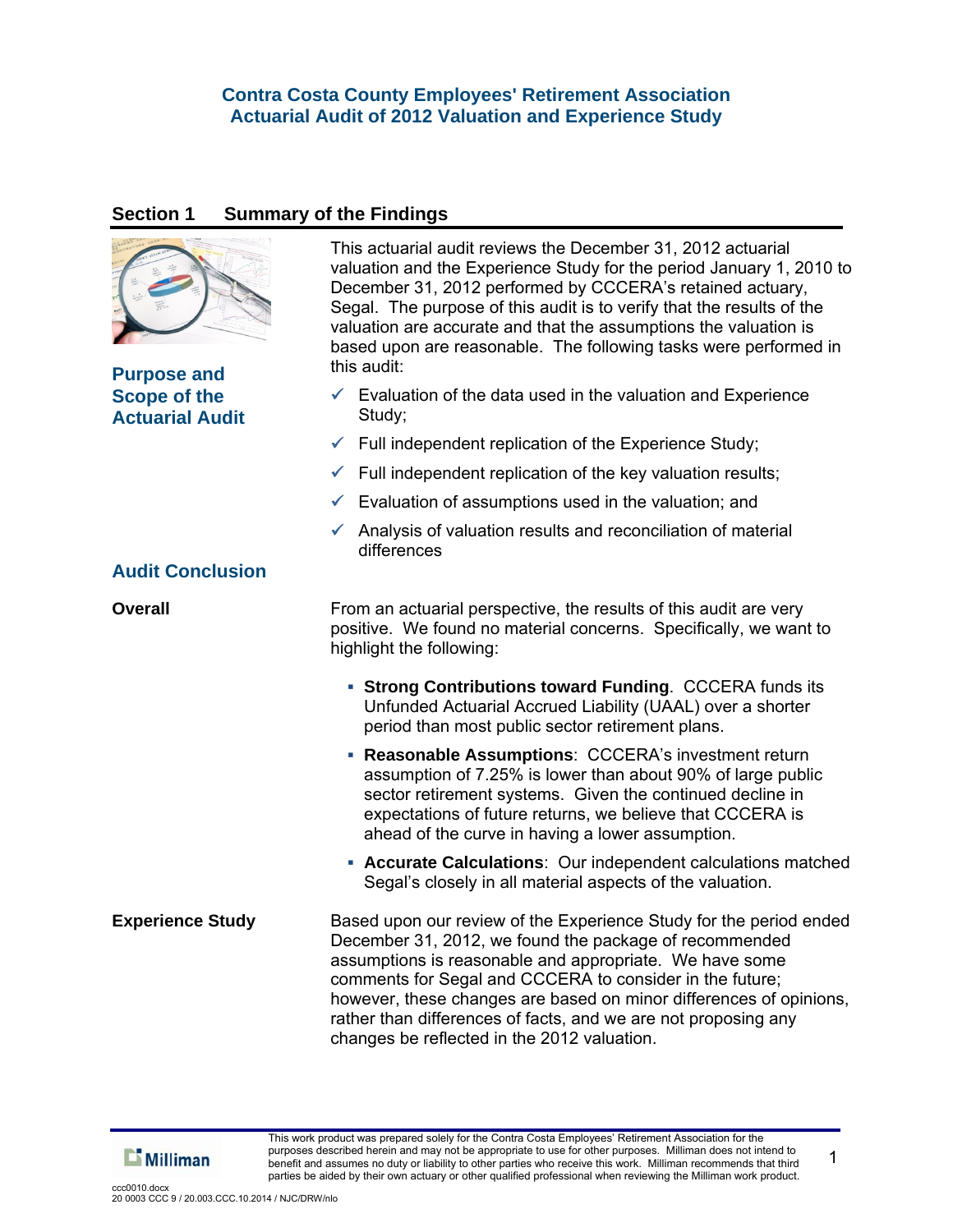# **Section 1 Summary of the Findings**

| <b>Purpose and</b>                            | This actuarial audit reviews the December 31, 2012 actuarial<br>valuation and the Experience Study for the period January 1, 2010 to<br>December 31, 2012 performed by CCCERA's retained actuary,<br>Segal. The purpose of this audit is to verify that the results of the<br>valuation are accurate and that the assumptions the valuation is<br>based upon are reasonable. The following tasks were performed in<br>this audit:          |
|-----------------------------------------------|--------------------------------------------------------------------------------------------------------------------------------------------------------------------------------------------------------------------------------------------------------------------------------------------------------------------------------------------------------------------------------------------------------------------------------------------|
| <b>Scope of the</b><br><b>Actuarial Audit</b> | $\checkmark$ Evaluation of the data used in the valuation and Experience<br>Study;                                                                                                                                                                                                                                                                                                                                                         |
|                                               | $\checkmark$<br>Full independent replication of the Experience Study;                                                                                                                                                                                                                                                                                                                                                                      |
|                                               | $\checkmark$ Full independent replication of the key valuation results;                                                                                                                                                                                                                                                                                                                                                                    |
|                                               | Evaluation of assumptions used in the valuation; and<br>$\checkmark$                                                                                                                                                                                                                                                                                                                                                                       |
|                                               | Analysis of valuation results and reconciliation of material<br>differences                                                                                                                                                                                                                                                                                                                                                                |
| <b>Audit Conclusion</b>                       |                                                                                                                                                                                                                                                                                                                                                                                                                                            |
| <b>Overall</b>                                | From an actuarial perspective, the results of this audit are very<br>positive. We found no material concerns. Specifically, we want to<br>highlight the following:                                                                                                                                                                                                                                                                         |
|                                               | • Strong Contributions toward Funding. CCCERA funds its<br>Unfunded Actuarial Accrued Liability (UAAL) over a shorter<br>period than most public sector retirement plans.                                                                                                                                                                                                                                                                  |
|                                               | <b>Reasonable Assumptions: CCCERA's investment return</b><br>assumption of 7.25% is lower than about 90% of large public<br>sector retirement systems. Given the continued decline in<br>expectations of future returns, we believe that CCCERA is<br>ahead of the curve in having a lower assumption.                                                                                                                                     |
|                                               | • Accurate Calculations: Our independent calculations matched<br>Segal's closely in all material aspects of the valuation.                                                                                                                                                                                                                                                                                                                 |
| <b>Experience Study</b>                       | Based upon our review of the Experience Study for the period ended<br>December 31, 2012, we found the package of recommended<br>assumptions is reasonable and appropriate. We have some<br>comments for Segal and CCCERA to consider in the future;<br>however, these changes are based on minor differences of opinions,<br>rather than differences of facts, and we are not proposing any<br>changes be reflected in the 2012 valuation. |



1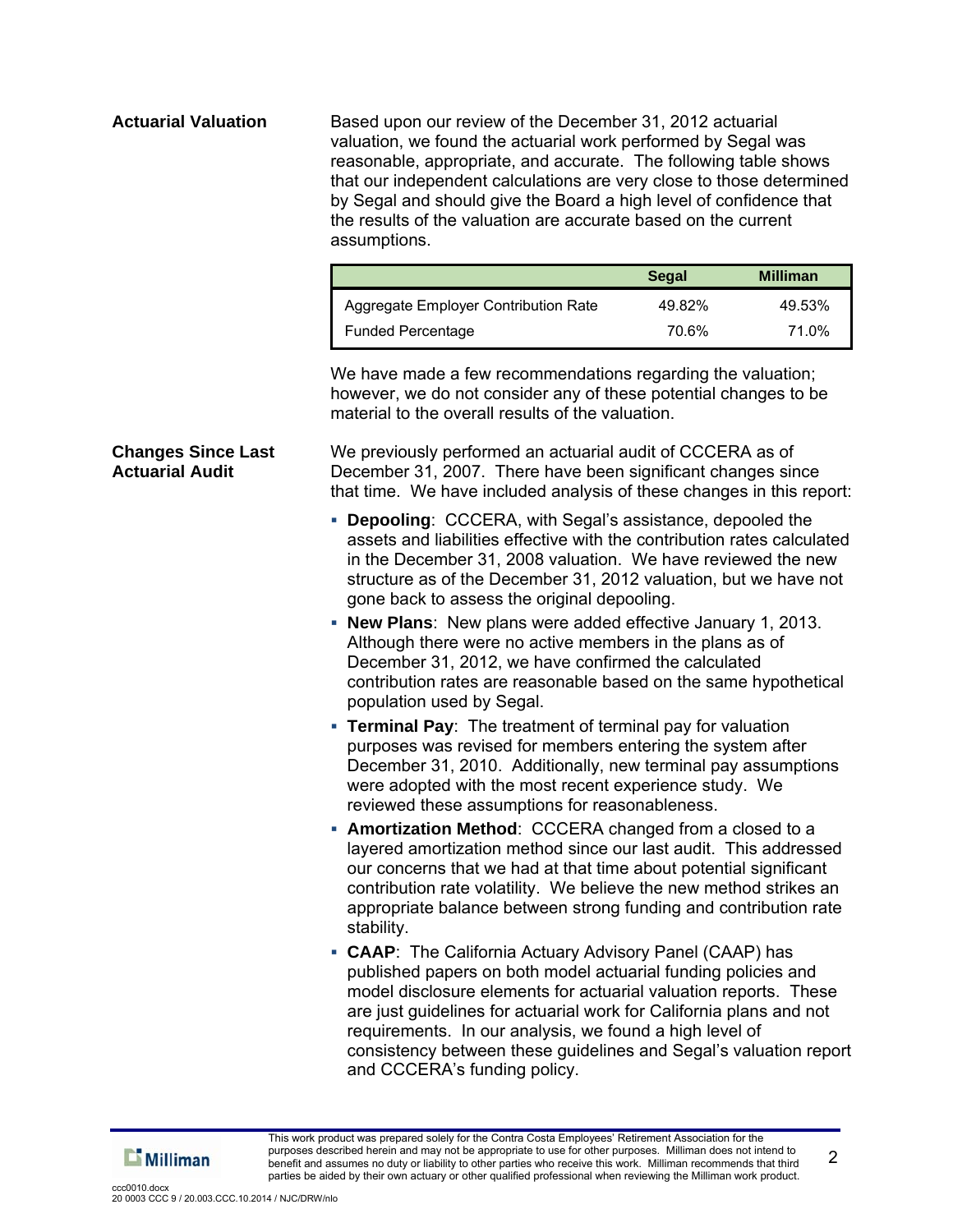**Actuarial Valuation** Based upon our review of the December 31, 2012 actuarial valuation, we found the actuarial work performed by Segal was reasonable, appropriate, and accurate. The following table shows that our independent calculations are very close to those determined by Segal and should give the Board a high level of confidence that the results of the valuation are accurate based on the current assumptions.

|                                      | <b>Segal</b> | Milliman |
|--------------------------------------|--------------|----------|
| Aggregate Employer Contribution Rate | 49.82%       | 49.53%   |
| <b>Funded Percentage</b>             | 70.6%        | 71.0%    |

We have made a few recommendations regarding the valuation; however, we do not consider any of these potential changes to be material to the overall results of the valuation.

**Changes Since Last Actuarial Audit**  We previously performed an actuarial audit of CCCERA as of December 31, 2007. There have been significant changes since that time. We have included analysis of these changes in this report:

- **Depooling**: CCCERA, with Segal's assistance, depooled the assets and liabilities effective with the contribution rates calculated in the December 31, 2008 valuation. We have reviewed the new structure as of the December 31, 2012 valuation, but we have not gone back to assess the original depooling.
- **New Plans**: New plans were added effective January 1, 2013. Although there were no active members in the plans as of December 31, 2012, we have confirmed the calculated contribution rates are reasonable based on the same hypothetical population used by Segal.
- **Terminal Pay**: The treatment of terminal pay for valuation purposes was revised for members entering the system after December 31, 2010. Additionally, new terminal pay assumptions were adopted with the most recent experience study. We reviewed these assumptions for reasonableness.
- **Amortization Method**: CCCERA changed from a closed to a layered amortization method since our last audit. This addressed our concerns that we had at that time about potential significant contribution rate volatility. We believe the new method strikes an appropriate balance between strong funding and contribution rate stability.
- **CAAP**: The California Actuary Advisory Panel (CAAP) has published papers on both model actuarial funding policies and model disclosure elements for actuarial valuation reports. These are just guidelines for actuarial work for California plans and not requirements. In our analysis, we found a high level of consistency between these guidelines and Segal's valuation report and CCCERA's funding policy.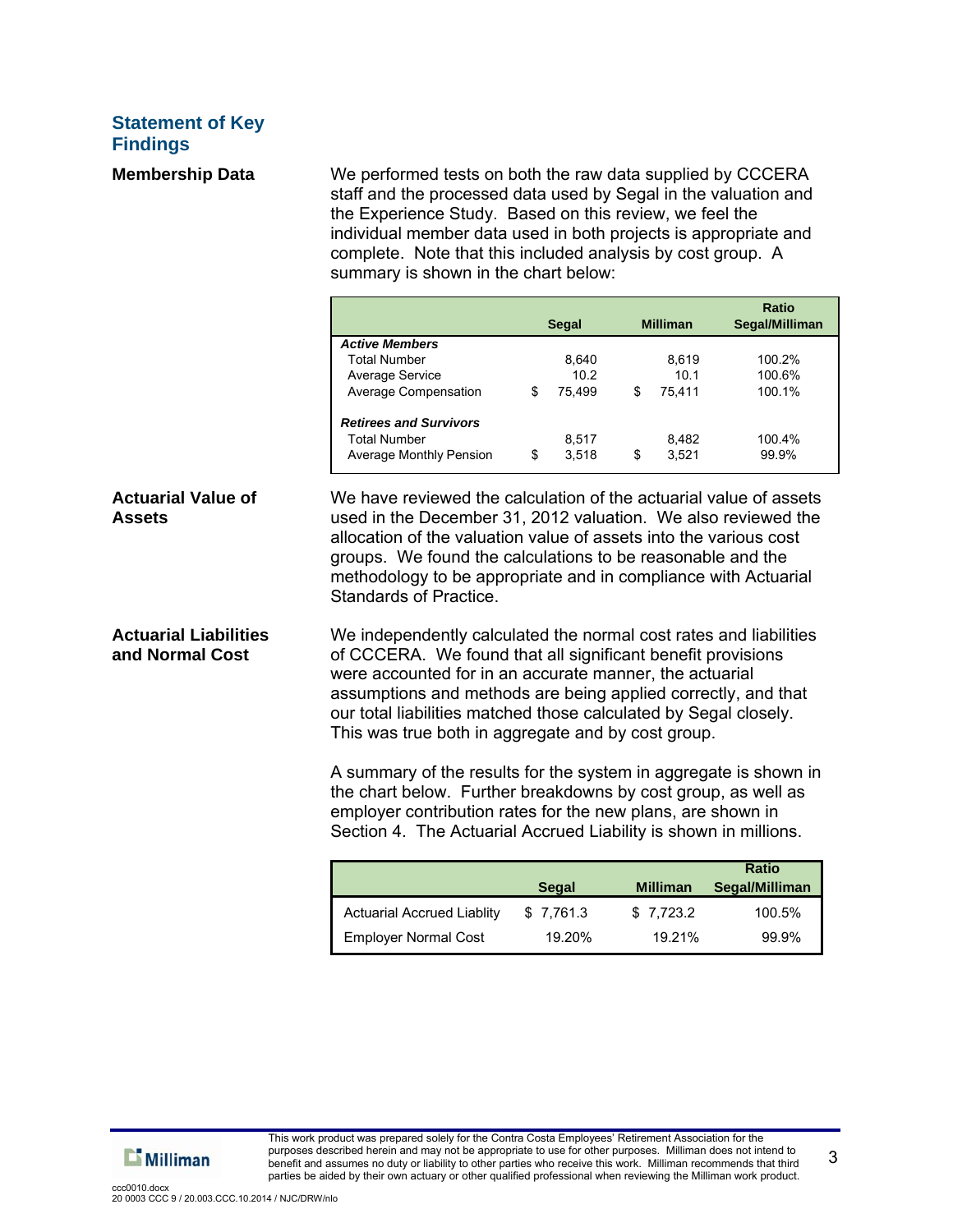# **Statement of Key Findings**

**Membership Data** We performed tests on both the raw data supplied by CCCERA staff and the processed data used by Segal in the valuation and the Experience Study. Based on this review, we feel the individual member data used in both projects is appropriate and complete. Note that this included analysis by cost group. A summary is shown in the chart below:

|                                |    | <b>Segal</b> |    | <b>Milliman</b> | Ratio<br>Segal/Milliman |
|--------------------------------|----|--------------|----|-----------------|-------------------------|
| <b>Active Members</b>          |    |              |    |                 |                         |
| Total Number                   |    | 8.640        |    | 8.619           | 100.2%                  |
| Average Service                |    | 10.2         |    | 10.1            | 100.6%                  |
| Average Compensation           | S  | 75.499       | S  | 75.411          | 100.1%                  |
| <b>Retirees and Survivors</b>  |    |              |    |                 |                         |
| Total Number                   |    | 8.517        |    | 8.482           | 100.4%                  |
| <b>Average Monthly Pension</b> | \$ | 3.518        | \$ | 3.521           | 99.9%                   |

**Actuarial Value of Assets**

 We have reviewed the calculation of the actuarial value of assets used in the December 31, 2012 valuation. We also reviewed the allocation of the valuation value of assets into the various cost groups. We found the calculations to be reasonable and the methodology to be appropriate and in compliance with Actuarial Standards of Practice.

**Actuarial Liabilities and Normal Cost** We independently calculated the normal cost rates and liabilities of CCCERA. We found that all significant benefit provisions were accounted for in an accurate manner, the actuarial assumptions and methods are being applied correctly, and that our total liabilities matched those calculated by Segal closely. This was true both in aggregate and by cost group.

> A summary of the results for the system in aggregate is shown in the chart below. Further breakdowns by cost group, as well as employer contribution rates for the new plans, are shown in Section 4. The Actuarial Accrued Liability is shown in millions.

|                                   | <b>Segal</b> | <b>Milliman</b> | <b>Ratio</b><br>Segal/Milliman |
|-----------------------------------|--------------|-----------------|--------------------------------|
| <b>Actuarial Accrued Liablity</b> | \$7.761.3    | \$7.723.2       | 100.5%                         |
| <b>Employer Normal Cost</b>       | 19.20%       | 19.21%          | 99.9%                          |

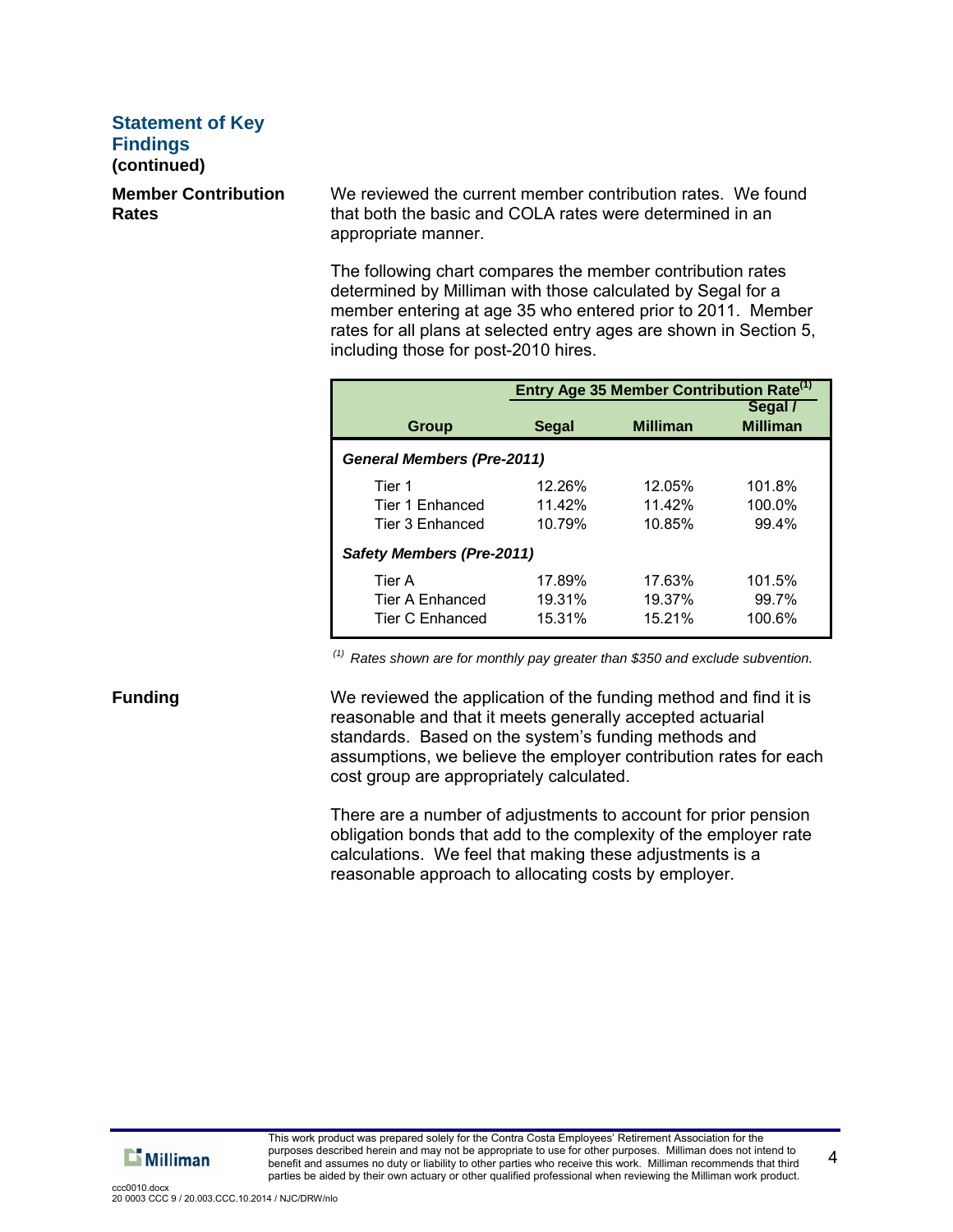### **Statement of Key Findings (continued)**

**Member Contribution Rates**

 We reviewed the current member contribution rates. We found that both the basic and COLA rates were determined in an appropriate manner.

The following chart compares the member contribution rates determined by Milliman with those calculated by Segal for a member entering at age 35 who entered prior to 2011. Member rates for all plans at selected entry ages are shown in Section 5, including those for post-2010 hires.

|                                   |                                  | Entry Age 35 Member Contribution Rate <sup>(1)</sup> |                                 |  |  |  |
|-----------------------------------|----------------------------------|------------------------------------------------------|---------------------------------|--|--|--|
| <b>Group</b>                      | <b>Segal</b>                     | <b>Milliman</b>                                      | <b>Segal</b><br><b>Milliman</b> |  |  |  |
| <b>General Members (Pre-2011)</b> |                                  |                                                      |                                 |  |  |  |
| Tier 1                            | 12.26%                           | 12.05%                                               | 101.8%                          |  |  |  |
| Tier 1 Enhanced                   | 11.42%                           | 11.42%                                               | 100.0%                          |  |  |  |
| Tier 3 Enhanced                   | 10.79%                           | 10.85%                                               | 99.4%                           |  |  |  |
|                                   | <b>Safety Members (Pre-2011)</b> |                                                      |                                 |  |  |  |
| Tier A                            | 17.89%                           | 17.63%                                               | 101.5%                          |  |  |  |
| <b>Tier A Enhanced</b>            | 19.31%                           | 19.37%                                               | 99.7%                           |  |  |  |
| Tier C Enhanced                   | 15.31%                           | 15.21%                                               | 100.6%                          |  |  |  |

*(1) Rates shown are for monthly pay greater than \$350 and exclude subvention.*

**Funding Transform Strutus** We reviewed the application of the funding method and find it is reasonable and that it meets generally accepted actuarial standards. Based on the system's funding methods and assumptions, we believe the employer contribution rates for each cost group are appropriately calculated.

> There are a number of adjustments to account for prior pension obligation bonds that add to the complexity of the employer rate calculations. We feel that making these adjustments is a reasonable approach to allocating costs by employer.

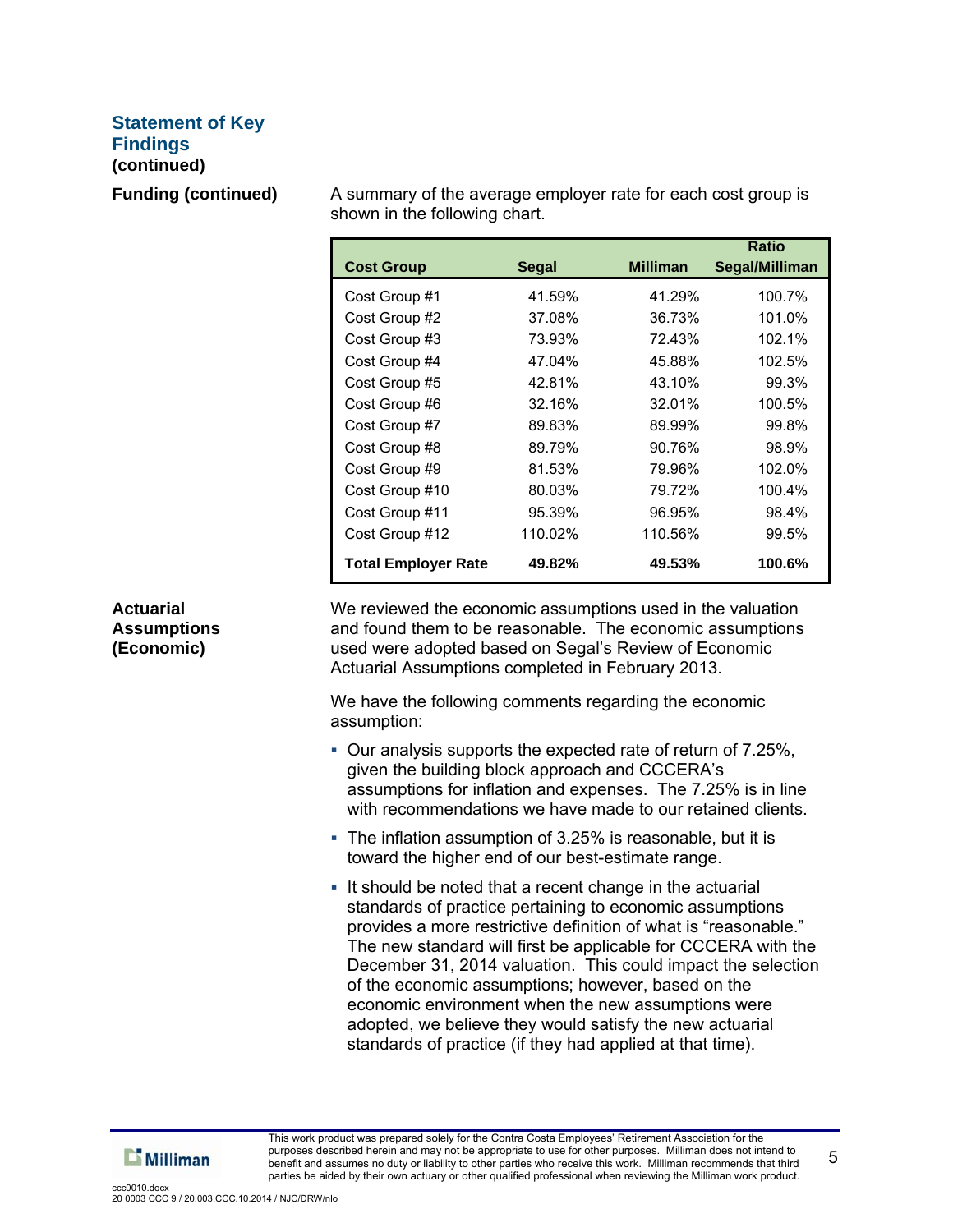### **Statement of Key Findings (continued)**

**Funding (continued)** A summary of the average employer rate for each cost group is shown in the following chart.

|                            |              |                 | <b>Ratio</b>   |
|----------------------------|--------------|-----------------|----------------|
| <b>Cost Group</b>          | <b>Segal</b> | <b>Milliman</b> | Segal/Milliman |
| Cost Group #1              | 41.59%       | 41.29%          | 100.7%         |
| Cost Group #2              | 37.08%       | 36.73%          | 101.0%         |
| Cost Group #3              | 73.93%       | 72.43%          | 102.1%         |
| Cost Group #4              | 47.04%       | 45.88%          | 102.5%         |
| Cost Group #5              | 42.81%       | 43.10%          | 99.3%          |
| Cost Group #6              | 32.16%       | 32.01%          | 100.5%         |
| Cost Group #7              | 89.83%       | 89.99%          | 99.8%          |
| Cost Group #8              | 89.79%       | 90.76%          | 98.9%          |
| Cost Group #9              | 81.53%       | 79.96%          | 102.0%         |
| Cost Group #10             | 80.03%       | 79.72%          | 100.4%         |
| Cost Group #11             | 95.39%       | 96.95%          | 98.4%          |
| Cost Group #12             | 110.02%      | 110.56%         | 99.5%          |
| <b>Total Employer Rate</b> | 49.82%       | 49.53%          | 100.6%         |

#### **Actuarial Assumptions (Economic)**

 We reviewed the economic assumptions used in the valuation and found them to be reasonable. The economic assumptions used were adopted based on Segal's Review of Economic Actuarial Assumptions completed in February 2013.

We have the following comments regarding the economic assumption:

- Our analysis supports the expected rate of return of 7.25%, given the building block approach and CCCERA's assumptions for inflation and expenses. The 7.25% is in line with recommendations we have made to our retained clients.
- The inflation assumption of 3.25% is reasonable, but it is toward the higher end of our best-estimate range.
- If should be noted that a recent change in the actuarial standards of practice pertaining to economic assumptions provides a more restrictive definition of what is "reasonable." The new standard will first be applicable for CCCERA with the December 31, 2014 valuation. This could impact the selection of the economic assumptions; however, based on the economic environment when the new assumptions were adopted, we believe they would satisfy the new actuarial standards of practice (if they had applied at that time).



5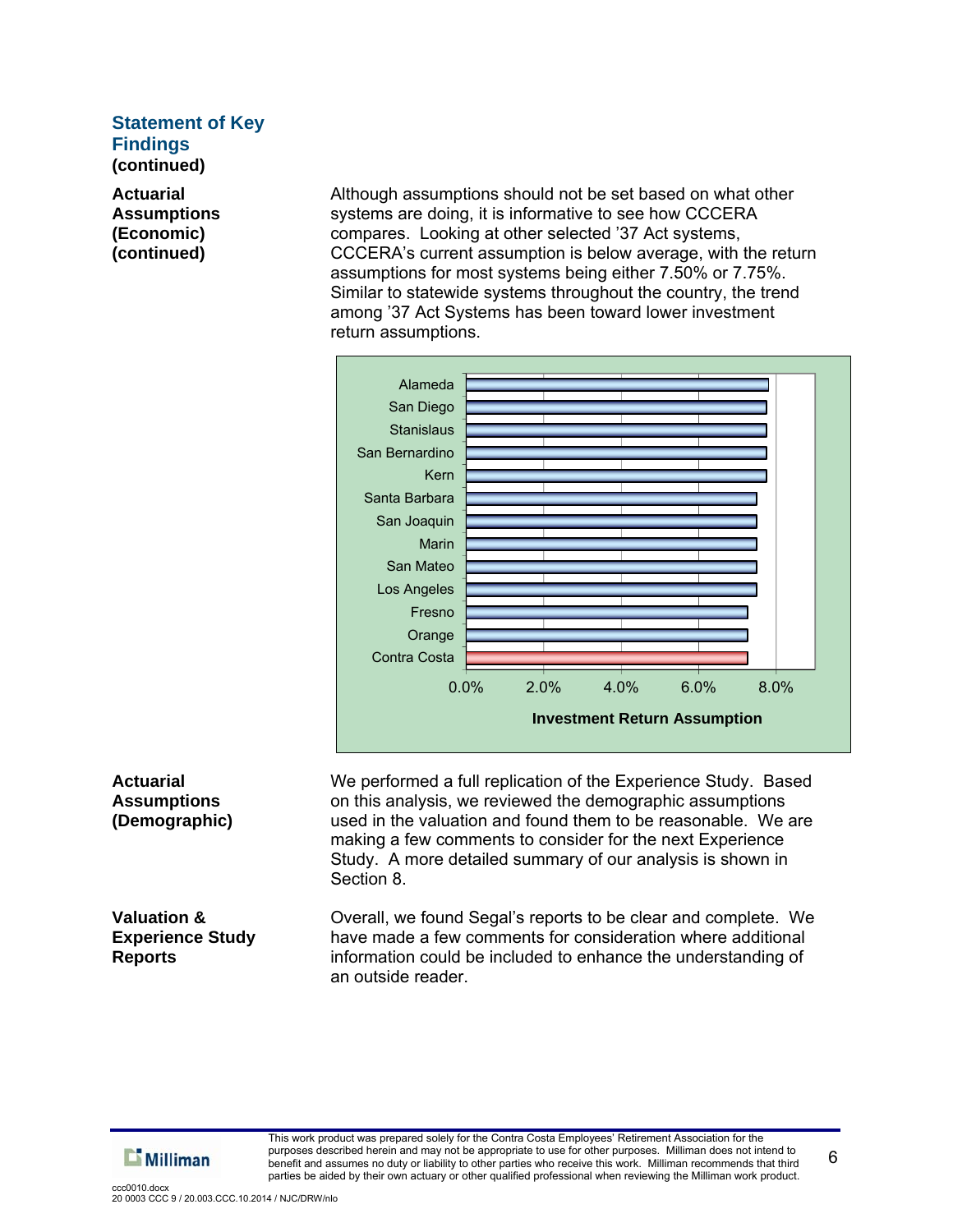### **Statement of Key Findings (continued)**

**Actuarial Assumptions (Economic) (continued)** 

 Although assumptions should not be set based on what other systems are doing, it is informative to see how CCCERA compares. Looking at other selected '37 Act systems, CCCERA's current assumption is below average, with the return assumptions for most systems being either 7.50% or 7.75%. Similar to statewide systems throughout the country, the trend among '37 Act Systems has been toward lower investment return assumptions.



**Actuarial Assumptions (Demographic)**

**Valuation & Experience Study Reports**

 We performed a full replication of the Experience Study. Based on this analysis, we reviewed the demographic assumptions used in the valuation and found them to be reasonable. We are making a few comments to consider for the next Experience Study. A more detailed summary of our analysis is shown in Section 8.

 Overall, we found Segal's reports to be clear and complete. We have made a few comments for consideration where additional information could be included to enhance the understanding of an outside reader.

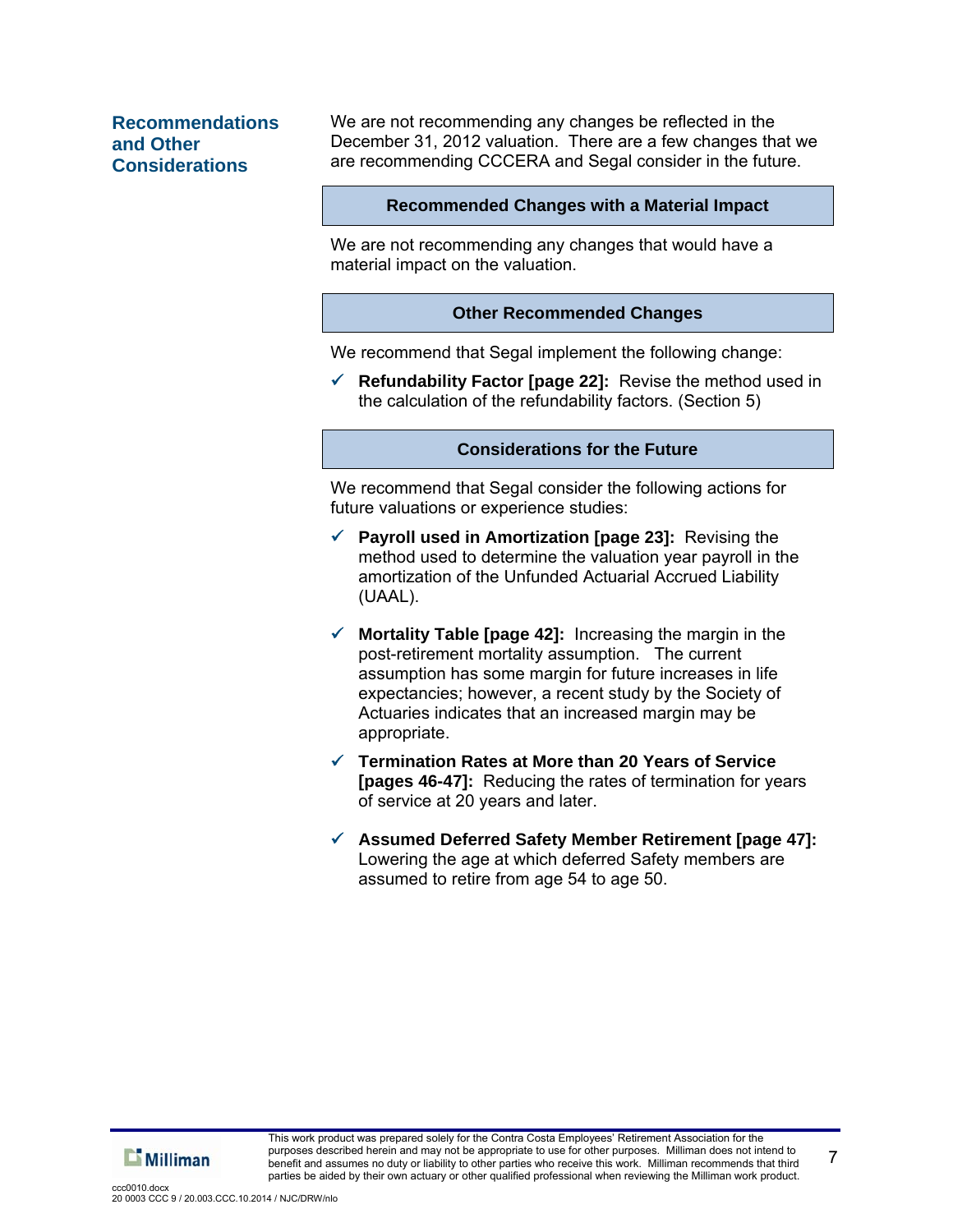# **Recommendations and Other Considerations**

 We are not recommending any changes be reflected in the December 31, 2012 valuation. There are a few changes that we are recommending CCCERA and Segal consider in the future.

### **Recommended Changes with a Material Impact**

We are not recommending any changes that would have a material impact on the valuation.

#### **Other Recommended Changes**

We recommend that Segal implement the following change:

 **Refundability Factor [page 22]:**Revise the method used in the calculation of the refundability factors. (Section 5)

#### **Considerations for the Future**

We recommend that Segal consider the following actions for future valuations or experience studies:

- **Payroll used in Amortization [page 23]:**Revising the method used to determine the valuation year payroll in the amortization of the Unfunded Actuarial Accrued Liability (UAAL).
- **Mortality Table [page 42]:** Increasing the margin in the post-retirement mortality assumption. The current assumption has some margin for future increases in life expectancies; however, a recent study by the Society of Actuaries indicates that an increased margin may be appropriate.
- **Termination Rates at More than 20 Years of Service [pages 46-47]:**Reducing the rates of termination for years of service at 20 years and later.
- **Assumed Deferred Safety Member Retirement [page 47]:** Lowering the age at which deferred Safety members are assumed to retire from age 54 to age 50.

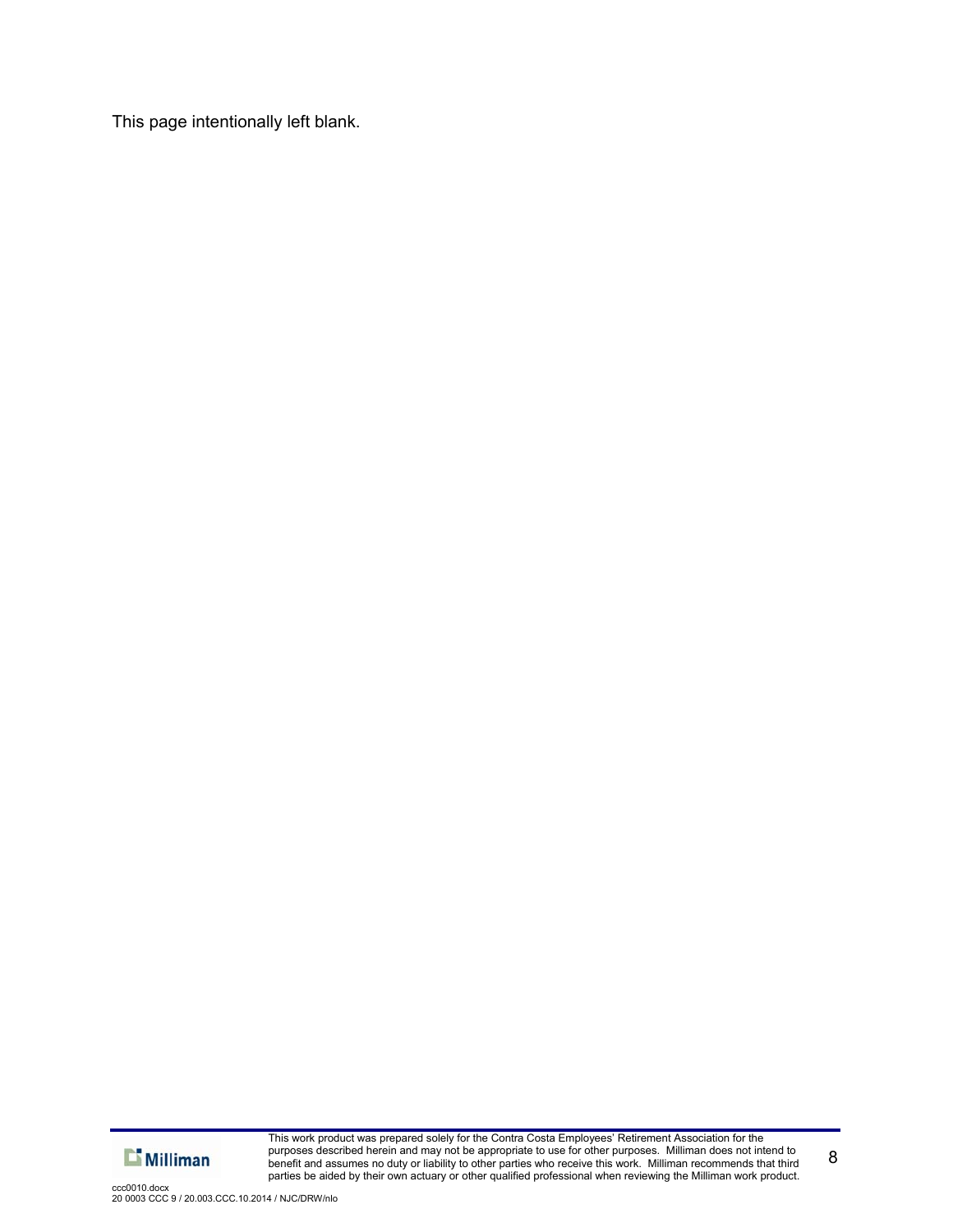This page intentionally left blank.

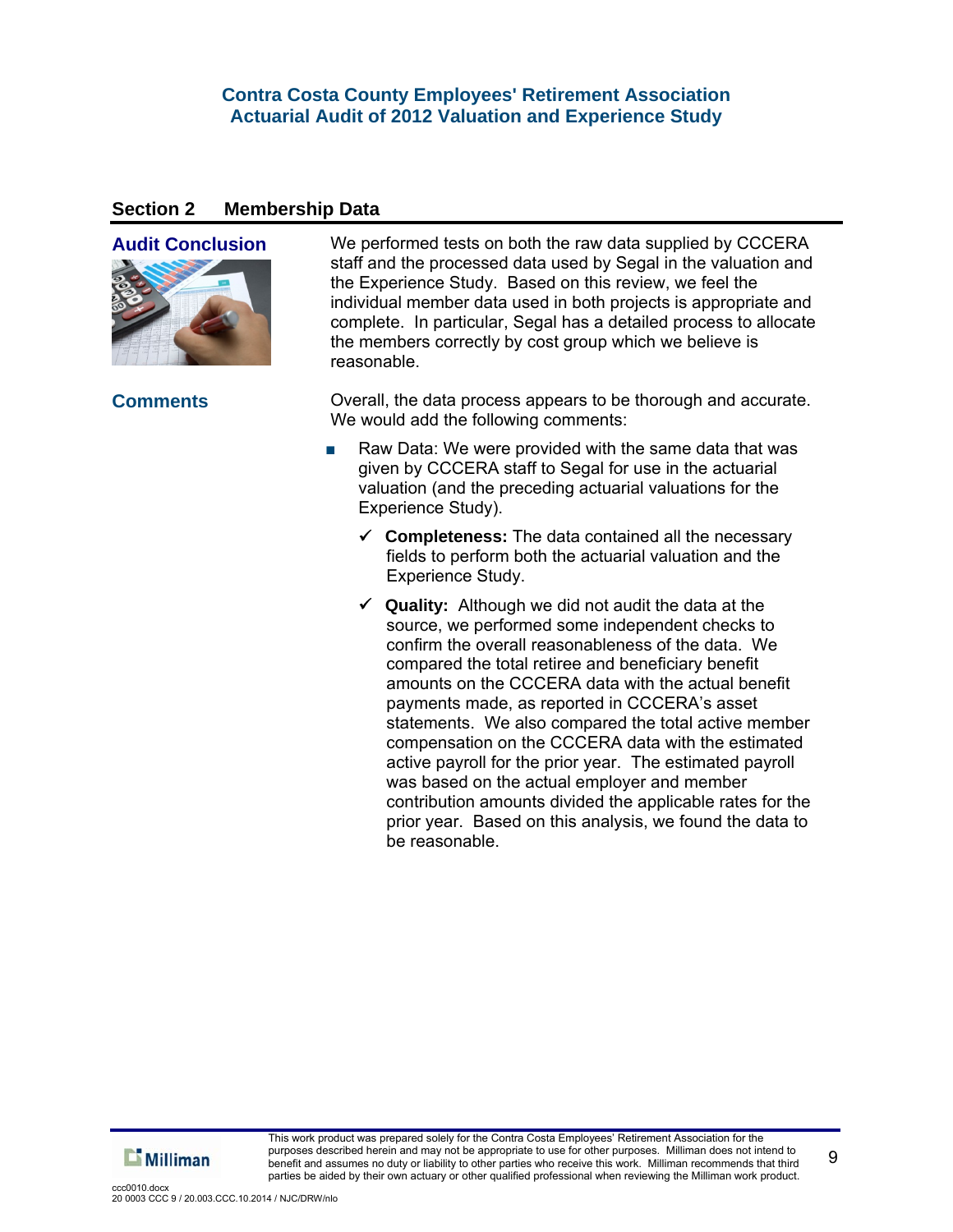# **Section 2 Membership Data**



**Audit Conclusion** We performed tests on both the raw data supplied by CCCERA staff and the processed data used by Segal in the valuation and the Experience Study. Based on this review, we feel the individual member data used in both projects is appropriate and complete. In particular, Segal has a detailed process to allocate the members correctly by cost group which we believe is reasonable.

**Comments Comments Conserved Comments Comments Comments Comments Conserved Conserved Conserved Conserved Conserved Conserved Conserved Conserved Conserved Conserved Conserved Conserved Conserved Conserved Conse** We would add the following comments:

- Raw Data: We were provided with the same data that was given by CCCERA staff to Segal for use in the actuarial valuation (and the preceding actuarial valuations for the Experience Study).
	- **Completeness:** The data contained all the necessary fields to perform both the actuarial valuation and the Experience Study.
	- $\checkmark$  Quality: Although we did not audit the data at the source, we performed some independent checks to confirm the overall reasonableness of the data. We compared the total retiree and beneficiary benefit amounts on the CCCERA data with the actual benefit payments made, as reported in CCCERA's asset statements. We also compared the total active member compensation on the CCCERA data with the estimated active payroll for the prior year. The estimated payroll was based on the actual employer and member contribution amounts divided the applicable rates for the prior year. Based on this analysis, we found the data to be reasonable.

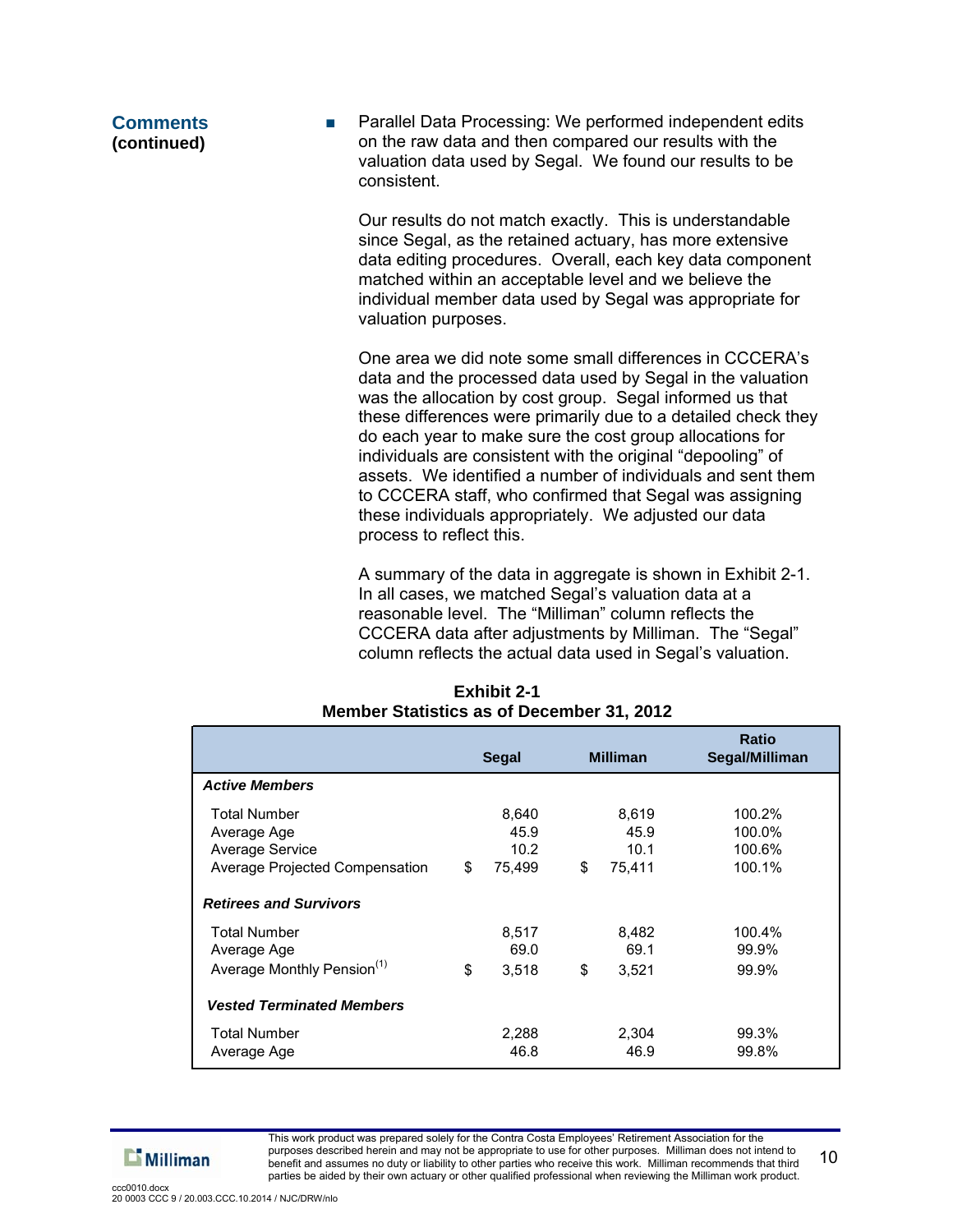Parallel Data Processing: We performed independent edits on the raw data and then compared our results with the valuation data used by Segal. We found our results to be consistent.

Our results do not match exactly. This is understandable since Segal, as the retained actuary, has more extensive data editing procedures. Overall, each key data component matched within an acceptable level and we believe the individual member data used by Segal was appropriate for valuation purposes.

One area we did note some small differences in CCCERA's data and the processed data used by Segal in the valuation was the allocation by cost group. Segal informed us that these differences were primarily due to a detailed check they do each year to make sure the cost group allocations for individuals are consistent with the original "depooling" of assets. We identified a number of individuals and sent them to CCCERA staff, who confirmed that Segal was assigning these individuals appropriately. We adjusted our data process to reflect this.

 A summary of the data in aggregate is shown in Exhibit 2-1. In all cases, we matched Segal's valuation data at a reasonable level. The "Milliman" column reflects the CCCERA data after adjustments by Milliman. The "Segal" column reflects the actual data used in Segal's valuation.

|                                                                                         |    | <b>Segal</b>                                 | <b>Milliman</b>                       | <b>Ratio</b><br>Segal/Milliman       |
|-----------------------------------------------------------------------------------------|----|----------------------------------------------|---------------------------------------|--------------------------------------|
| <b>Active Members</b>                                                                   |    |                                              |                                       |                                      |
| <b>Total Number</b><br>Average Age<br>Average Service<br>Average Projected Compensation | \$ | 8.640<br>45.9<br>10.2 <sub>1</sub><br>75,499 | \$<br>8,619<br>45.9<br>10.1<br>75,411 | 100.2%<br>100.0%<br>100.6%<br>100.1% |
| <b>Retirees and Survivors</b>                                                           |    |                                              |                                       |                                      |
| <b>Total Number</b><br>Average Age<br>Average Monthly Pension <sup>(1)</sup>            | \$ | 8,517<br>69.0<br>3,518                       | \$<br>8,482<br>69.1<br>3,521          | 100.4%<br>99.9%<br>99.9%             |
| <b>Vested Terminated Members</b>                                                        |    |                                              |                                       |                                      |
| <b>Total Number</b><br>Average Age                                                      |    | 2,288<br>46.8                                | 2,304<br>46.9                         | 99.3%<br>99.8%                       |

#### **Exhibit 2-1 Member Statistics as of December 31, 2012**

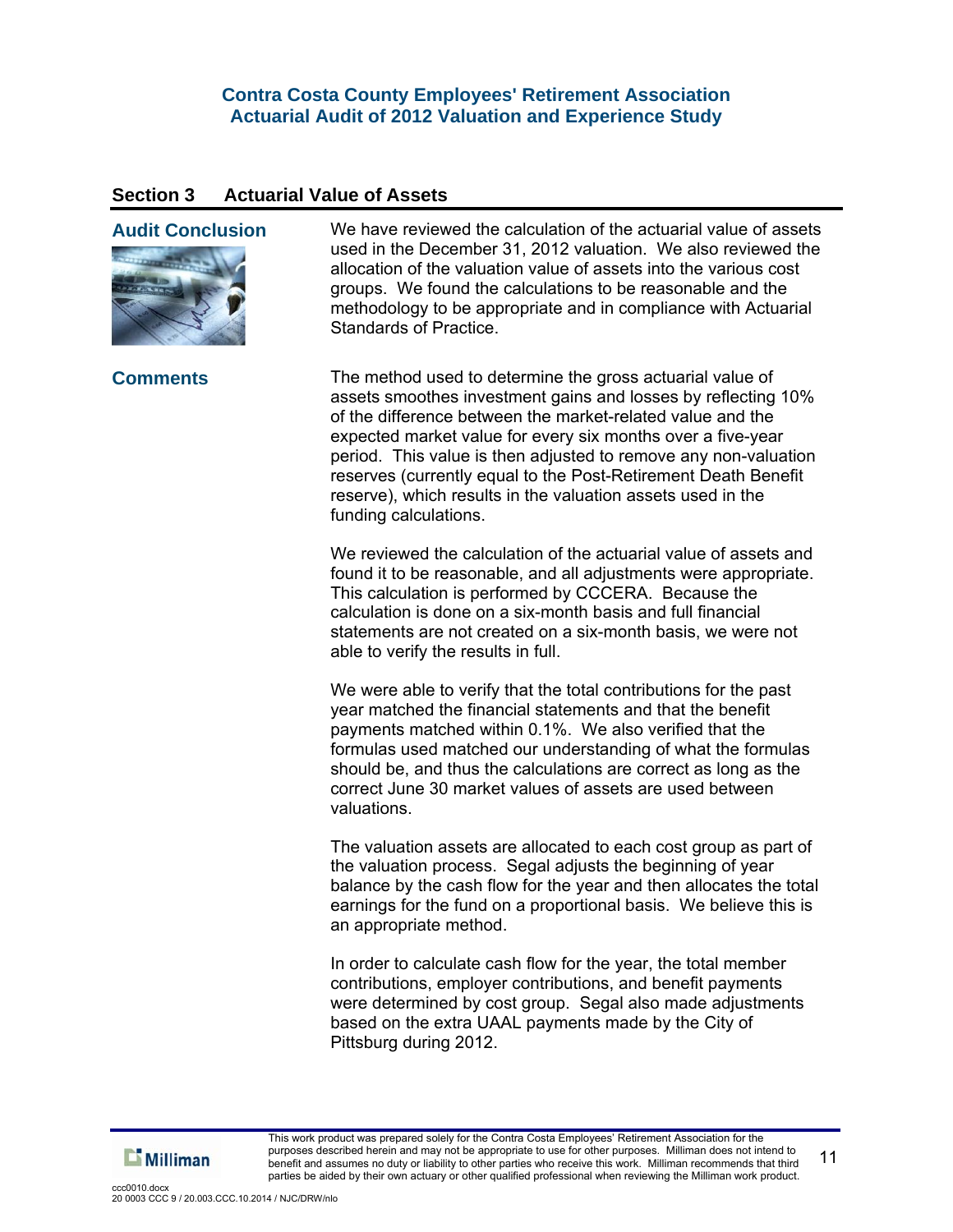# **Section 3 Actuarial Value of Assets**



**Audit Conclusion** We have reviewed the calculation of the actuarial value of assets used in the December 31, 2012 valuation. We also reviewed the allocation of the valuation value of assets into the various cost groups. We found the calculations to be reasonable and the methodology to be appropriate and in compliance with Actuarial Standards of Practice.

**Comments** The method used to determine the gross actuarial value of assets smoothes investment gains and losses by reflecting 10% of the difference between the market-related value and the expected market value for every six months over a five-year period. This value is then adjusted to remove any non-valuation reserves (currently equal to the Post-Retirement Death Benefit reserve), which results in the valuation assets used in the funding calculations.

> We reviewed the calculation of the actuarial value of assets and found it to be reasonable, and all adjustments were appropriate. This calculation is performed by CCCERA. Because the calculation is done on a six-month basis and full financial statements are not created on a six-month basis, we were not able to verify the results in full.

> We were able to verify that the total contributions for the past year matched the financial statements and that the benefit payments matched within 0.1%. We also verified that the formulas used matched our understanding of what the formulas should be, and thus the calculations are correct as long as the correct June 30 market values of assets are used between valuations.

The valuation assets are allocated to each cost group as part of the valuation process. Segal adjusts the beginning of year balance by the cash flow for the year and then allocates the total earnings for the fund on a proportional basis. We believe this is an appropriate method.

In order to calculate cash flow for the year, the total member contributions, employer contributions, and benefit payments were determined by cost group. Segal also made adjustments based on the extra UAAL payments made by the City of Pittsburg during 2012.

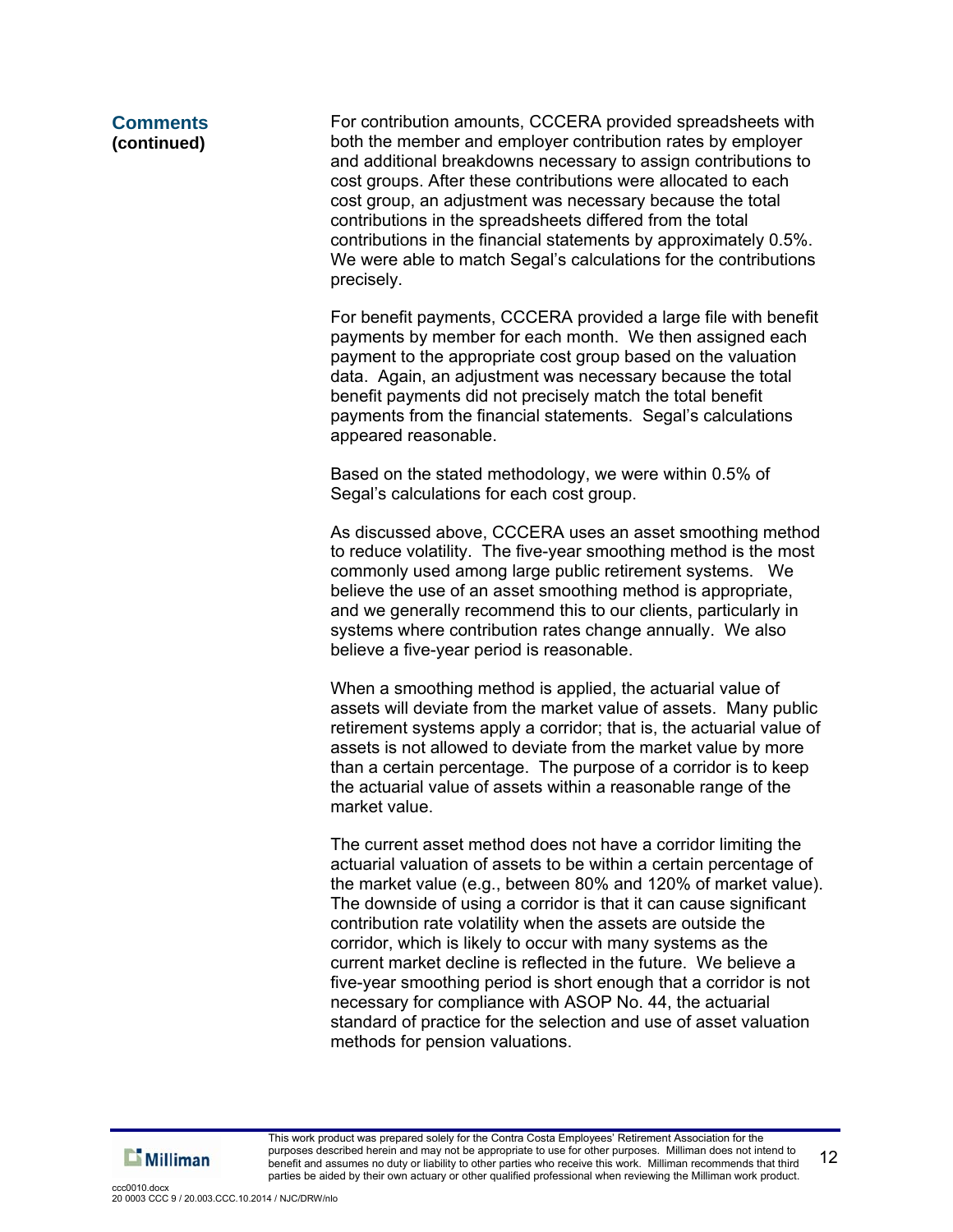For contribution amounts, CCCERA provided spreadsheets with both the member and employer contribution rates by employer and additional breakdowns necessary to assign contributions to cost groups. After these contributions were allocated to each cost group, an adjustment was necessary because the total contributions in the spreadsheets differed from the total contributions in the financial statements by approximately 0.5%. We were able to match Segal's calculations for the contributions precisely.

For benefit payments, CCCERA provided a large file with benefit payments by member for each month. We then assigned each payment to the appropriate cost group based on the valuation data. Again, an adjustment was necessary because the total benefit payments did not precisely match the total benefit payments from the financial statements. Segal's calculations appeared reasonable.

Based on the stated methodology, we were within 0.5% of Segal's calculations for each cost group.

 As discussed above, CCCERA uses an asset smoothing method to reduce volatility. The five-year smoothing method is the most commonly used among large public retirement systems. We believe the use of an asset smoothing method is appropriate, and we generally recommend this to our clients, particularly in systems where contribution rates change annually. We also believe a five-year period is reasonable.

When a smoothing method is applied, the actuarial value of assets will deviate from the market value of assets. Many public retirement systems apply a corridor; that is, the actuarial value of assets is not allowed to deviate from the market value by more than a certain percentage. The purpose of a corridor is to keep the actuarial value of assets within a reasonable range of the market value.

The current asset method does not have a corridor limiting the actuarial valuation of assets to be within a certain percentage of the market value (e.g., between 80% and 120% of market value). The downside of using a corridor is that it can cause significant contribution rate volatility when the assets are outside the corridor, which is likely to occur with many systems as the current market decline is reflected in the future. We believe a five-year smoothing period is short enough that a corridor is not necessary for compliance with ASOP No. 44, the actuarial standard of practice for the selection and use of asset valuation methods for pension valuations.

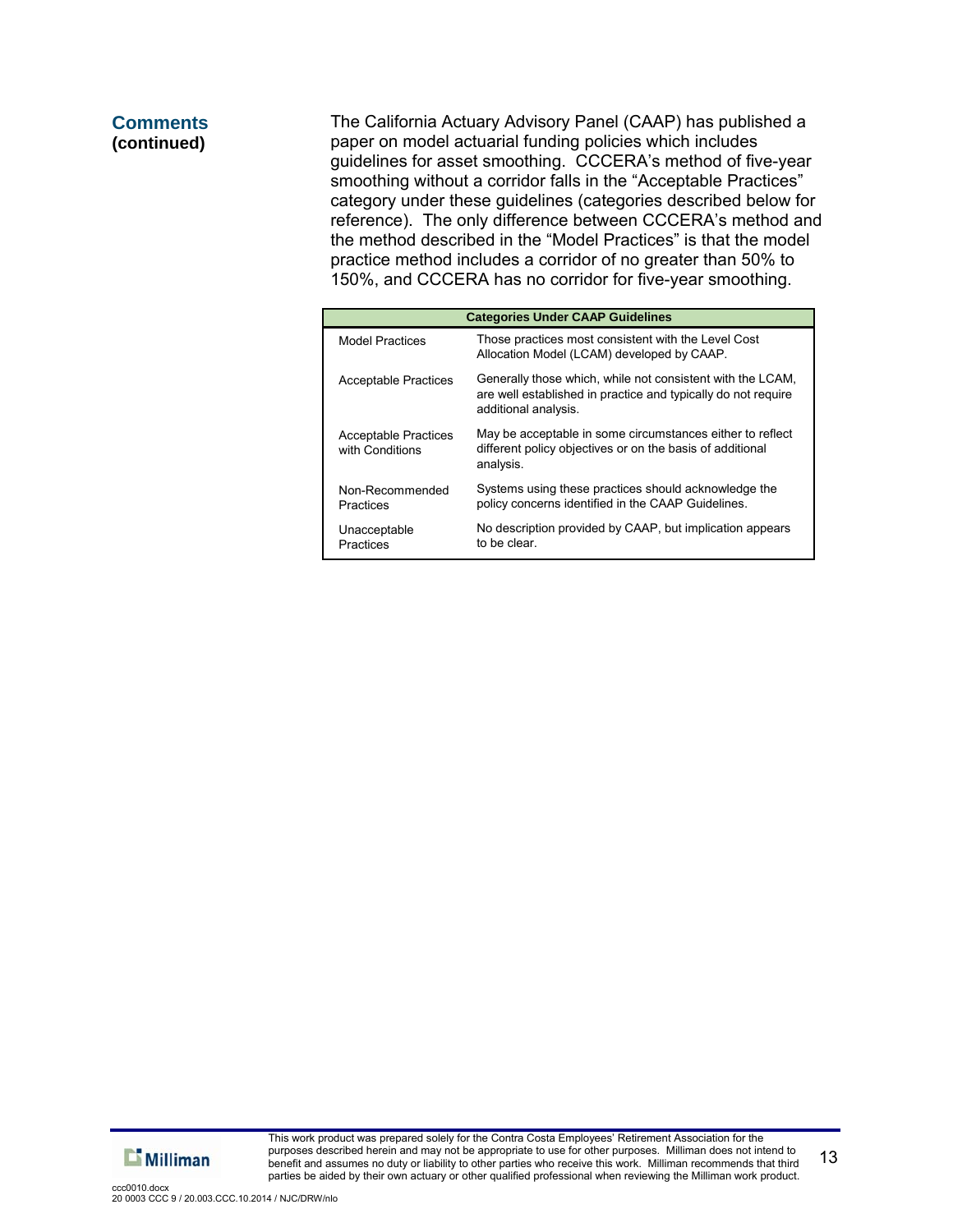The California Actuary Advisory Panel (CAAP) has published a paper on model actuarial funding policies which includes guidelines for asset smoothing. CCCERA's method of five-year smoothing without a corridor falls in the "Acceptable Practices" category under these guidelines (categories described below for reference). The only difference between CCCERA's method and the method described in the "Model Practices" is that the model practice method includes a corridor of no greater than 50% to 150%, and CCCERA has no corridor for five-year smoothing.

| <b>Categories Under CAAP Guidelines</b>        |                                                                                                                                                     |  |  |  |  |  |
|------------------------------------------------|-----------------------------------------------------------------------------------------------------------------------------------------------------|--|--|--|--|--|
| <b>Model Practices</b>                         | Those practices most consistent with the Level Cost<br>Allocation Model (LCAM) developed by CAAP.                                                   |  |  |  |  |  |
| <b>Acceptable Practices</b>                    | Generally those which, while not consistent with the LCAM,<br>are well established in practice and typically do not require<br>additional analysis. |  |  |  |  |  |
| <b>Acceptable Practices</b><br>with Conditions | May be acceptable in some circumstances either to reflect<br>different policy objectives or on the basis of additional<br>analysis.                 |  |  |  |  |  |
| Non-Recommended<br>Practices                   | Systems using these practices should acknowledge the<br>policy concerns identified in the CAAP Guidelines.                                          |  |  |  |  |  |
| Unacceptable<br>Practices                      | No description provided by CAAP, but implication appears<br>to be clear                                                                             |  |  |  |  |  |

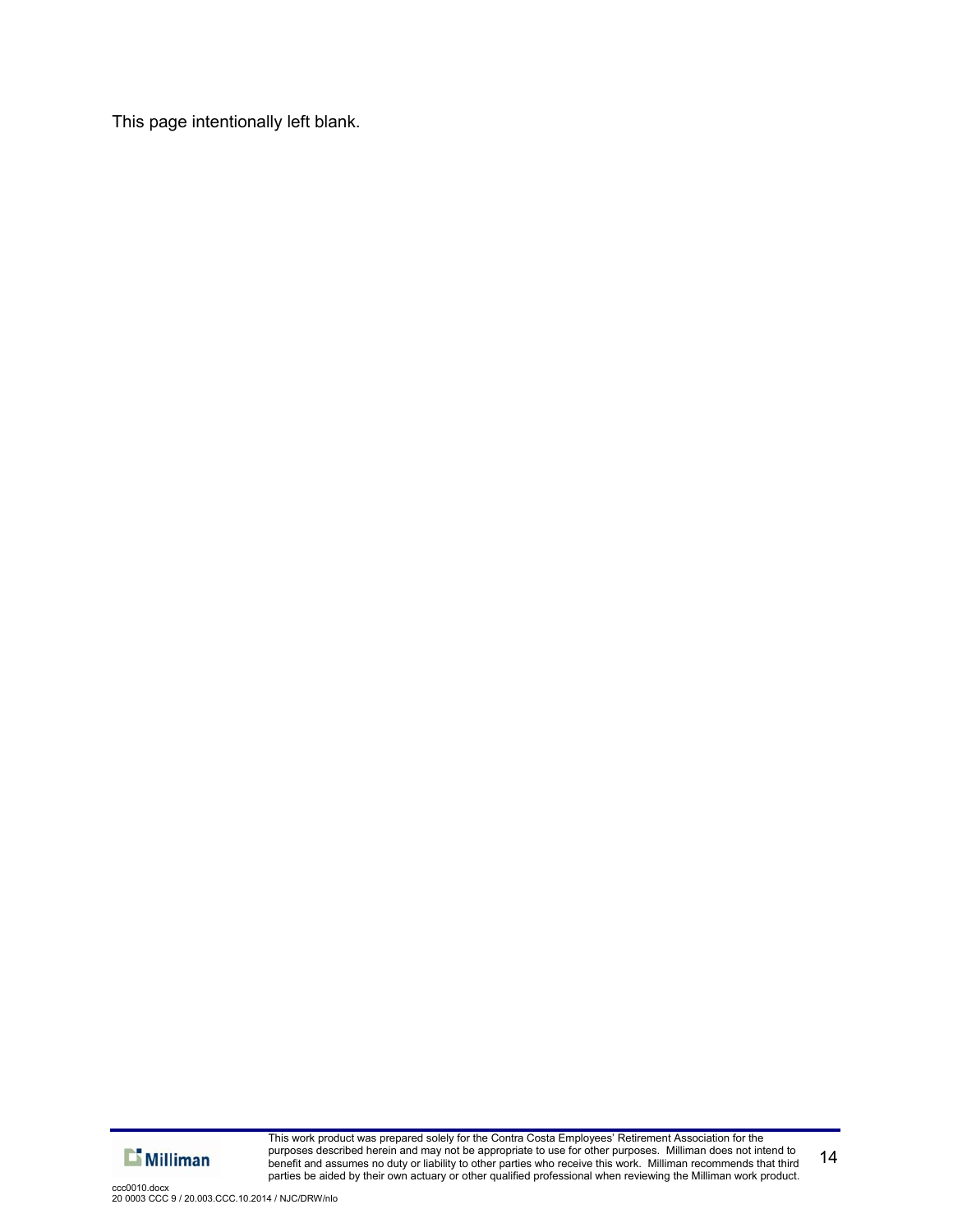This page intentionally left blank.

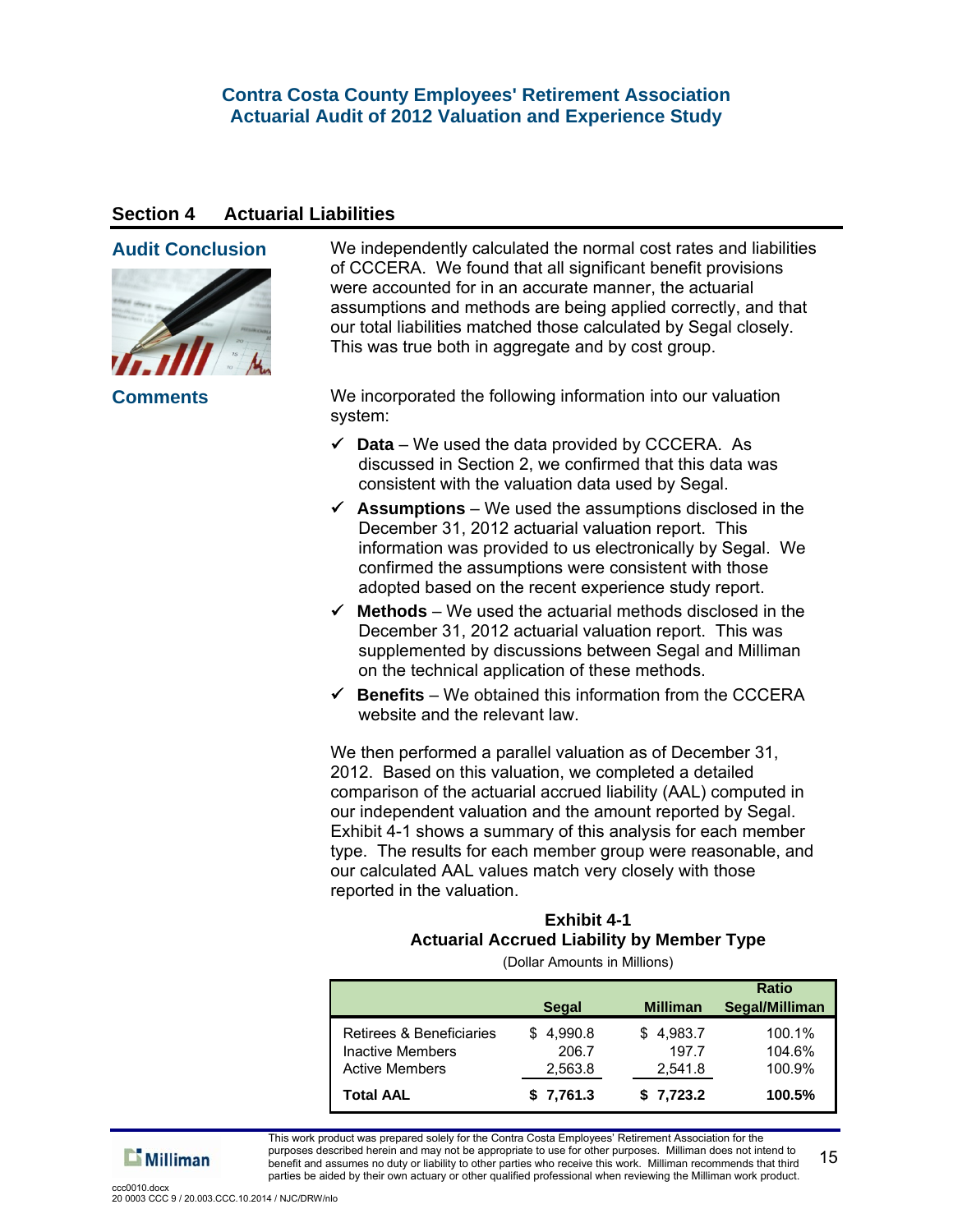# **Section 4 Actuarial Liabilities**



**Audit Conclusion** We independently calculated the normal cost rates and liabilities of CCCERA. We found that all significant benefit provisions were accounted for in an accurate manner, the actuarial assumptions and methods are being applied correctly, and that our total liabilities matched those calculated by Segal closely. This was true both in aggregate and by cost group.

**Comments** We incorporated the following information into our valuation system:

- $\checkmark$  **Data** We used the data provided by CCCERA. As discussed in Section 2, we confirmed that this data was consistent with the valuation data used by Segal.
- $\checkmark$  **Assumptions** We used the assumptions disclosed in the December 31, 2012 actuarial valuation report. This information was provided to us electronically by Segal. We confirmed the assumptions were consistent with those adopted based on the recent experience study report.
- $\checkmark$  Methods We used the actuarial methods disclosed in the December 31, 2012 actuarial valuation report. This was supplemented by discussions between Segal and Milliman on the technical application of these methods.
- $\checkmark$  **Benefits** We obtained this information from the CCCERA website and the relevant law.

 We then performed a parallel valuation as of December 31, 2012. Based on this valuation, we completed a detailed comparison of the actuarial accrued liability (AAL) computed in our independent valuation and the amount reported by Segal. Exhibit 4-1 shows a summary of this analysis for each member type. The results for each member group were reasonable, and our calculated AAL values match very closely with those reported in the valuation.

### **Exhibit 4-1 Actuarial Accrued Liability by Member Type**

(Dollar Amounts in Millions)

|                          |              |                 | <b>Ratio</b>   |
|--------------------------|--------------|-----------------|----------------|
|                          | <b>Segal</b> | <b>Milliman</b> | Segal/Milliman |
| Retirees & Beneficiaries | \$4.990.8    | \$4,983.7       | 100.1%         |
| Inactive Members         | 206.7        | 197.7           | 104.6%         |
| <b>Active Members</b>    | 2,563.8      | 2,541.8         | 100.9%         |
| <b>Total AAL</b>         | \$7,761.3    | \$7,723.2       | 100.5%         |

This work product was prepared solely for the Contra Costa Employees' Retirement Association for the purposes described herein and may not be appropriate to use for other purposes. Milliman does not intend to benefit and assumes no duty or liability to other parties who receive this work. Milliman recommends that third parties be aided by their own actuary or other qualified professional when reviewing the Milliman work product. 15

 $\blacksquare$  Milliman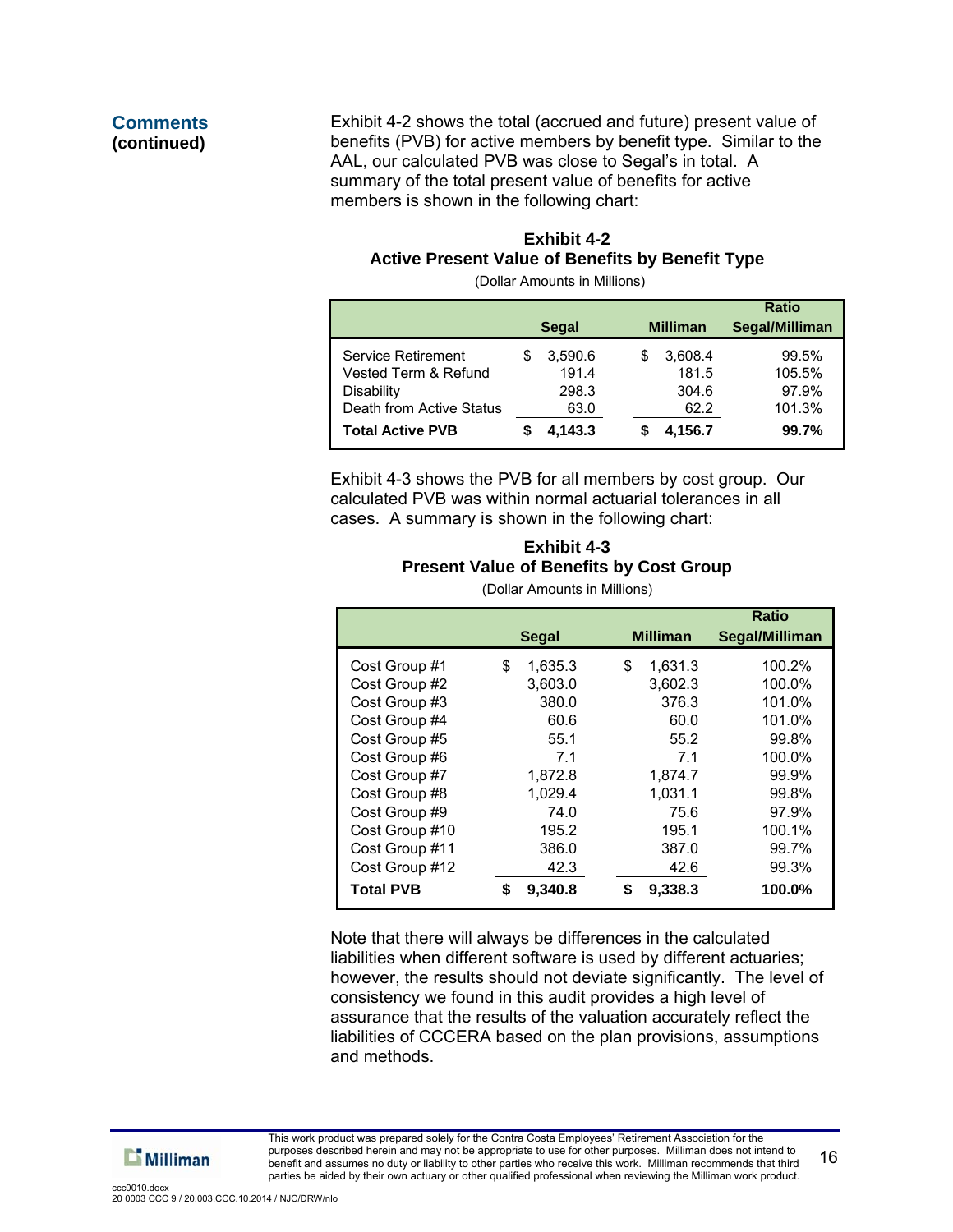Exhibit 4-2 shows the total (accrued and future) present value of benefits (PVB) for active members by benefit type. Similar to the AAL, our calculated PVB was close to Segal's in total. A summary of the total present value of benefits for active members is shown in the following chart:

# **Exhibit 4-2 Active Present Value of Benefits by Benefit Type**

(Dollar Amounts in Millions)

|                                                                                             |   | <b>Segal</b>                      |   | <b>Milliman</b>                   | <b>Ratio</b><br>Segal/Milliman     |
|---------------------------------------------------------------------------------------------|---|-----------------------------------|---|-----------------------------------|------------------------------------|
| Service Retirement<br>Vested Term & Refund<br><b>Disability</b><br>Death from Active Status | S | 3.590.6<br>191.4<br>298.3<br>63.0 | S | 3.608.4<br>181.5<br>304.6<br>62.2 | 99.5%<br>105.5%<br>97.9%<br>101.3% |
| <b>Total Active PVB</b>                                                                     |   | 4.143.3                           |   | 4,156.7                           | 99.7%                              |

 Exhibit 4-3 shows the PVB for all members by cost group. Our calculated PVB was within normal actuarial tolerances in all cases. A summary is shown in the following chart:

# **Exhibit 4-3 Present Value of Benefits by Cost Group**

(Dollar Amounts in Millions)

|                  |               |                 | <b>Ratio</b>   |
|------------------|---------------|-----------------|----------------|
|                  | <b>Segal</b>  | <b>Milliman</b> | Segal/Milliman |
| Cost Group #1    | \$<br>1,635.3 | \$<br>1,631.3   | 100.2%         |
| Cost Group #2    | 3.603.0       | 3.602.3         | 100.0%         |
| Cost Group #3    | 380.0         | 376.3           | 101.0%         |
| Cost Group #4    | 60.6          | 60.0            | 101.0%         |
| Cost Group #5    | 55.1          | 55.2            | 99.8%          |
| Cost Group #6    | 7.1           | 7.1             | 100.0%         |
| Cost Group #7    | 1,872.8       | 1,874.7         | 99.9%          |
| Cost Group #8    | 1.029.4       | 1.031.1         | 99.8%          |
| Cost Group #9    | 74.0          | 75.6            | 97.9%          |
| Cost Group #10   | 195.2         | 195.1           | 100.1%         |
| Cost Group #11   | 386.0         | 387.0           | 99.7%          |
| Cost Group #12   | 42.3          | 42.6            | 99.3%          |
| <b>Total PVB</b> | 9,340.8<br>S  | S<br>9,338.3    | 100.0%         |

 Note that there will always be differences in the calculated liabilities when different software is used by different actuaries; however, the results should not deviate significantly. The level of consistency we found in this audit provides a high level of assurance that the results of the valuation accurately reflect the liabilities of CCCERA based on the plan provisions, assumptions and methods.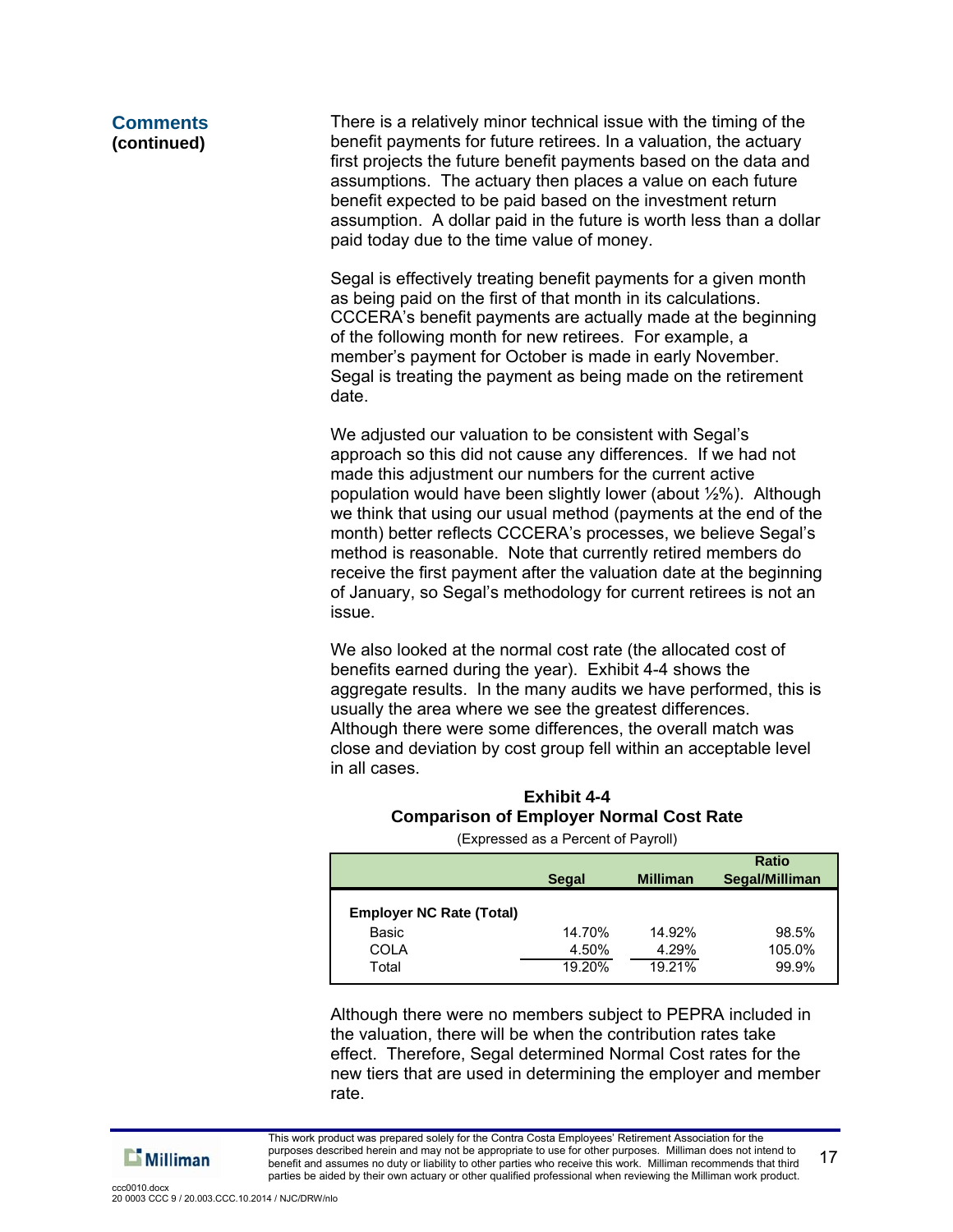There is a relatively minor technical issue with the timing of the benefit payments for future retirees. In a valuation, the actuary first projects the future benefit payments based on the data and assumptions. The actuary then places a value on each future benefit expected to be paid based on the investment return assumption. A dollar paid in the future is worth less than a dollar paid today due to the time value of money.

 Segal is effectively treating benefit payments for a given month as being paid on the first of that month in its calculations. CCCERA's benefit payments are actually made at the beginning of the following month for new retirees. For example, a member's payment for October is made in early November. Segal is treating the payment as being made on the retirement date.

We adjusted our valuation to be consistent with Segal's approach so this did not cause any differences. If we had not made this adjustment our numbers for the current active population would have been slightly lower (about ½%). Although we think that using our usual method (payments at the end of the month) better reflects CCCERA's processes, we believe Segal's method is reasonable. Note that currently retired members do receive the first payment after the valuation date at the beginning of January, so Segal's methodology for current retirees is not an issue.

 We also looked at the normal cost rate (the allocated cost of benefits earned during the year). Exhibit 4-4 shows the aggregate results. In the many audits we have performed, this is usually the area where we see the greatest differences. Although there were some differences, the overall match was close and deviation by cost group fell within an acceptable level in all cases.

# **Exhibit 4-4 Comparison of Employer Normal Cost Rate**

(Expressed as a Percent of Payroll)

|                                 |              |                 | <b>Ratio</b>   |
|---------------------------------|--------------|-----------------|----------------|
|                                 | <b>Segal</b> | <b>Milliman</b> | Segal/Milliman |
|                                 |              |                 |                |
| <b>Employer NC Rate (Total)</b> |              |                 |                |
| Basic                           | 14.70%       | 14.92%          | 98.5%          |
| COLA                            | 4.50%        | 4.29%           | 105.0%         |
| Total                           | 19.20%       | 19.21%          | 99.9%          |

 Although there were no members subject to PEPRA included in the valuation, there will be when the contribution rates take effect. Therefore, Segal determined Normal Cost rates for the new tiers that are used in determining the employer and member rate.

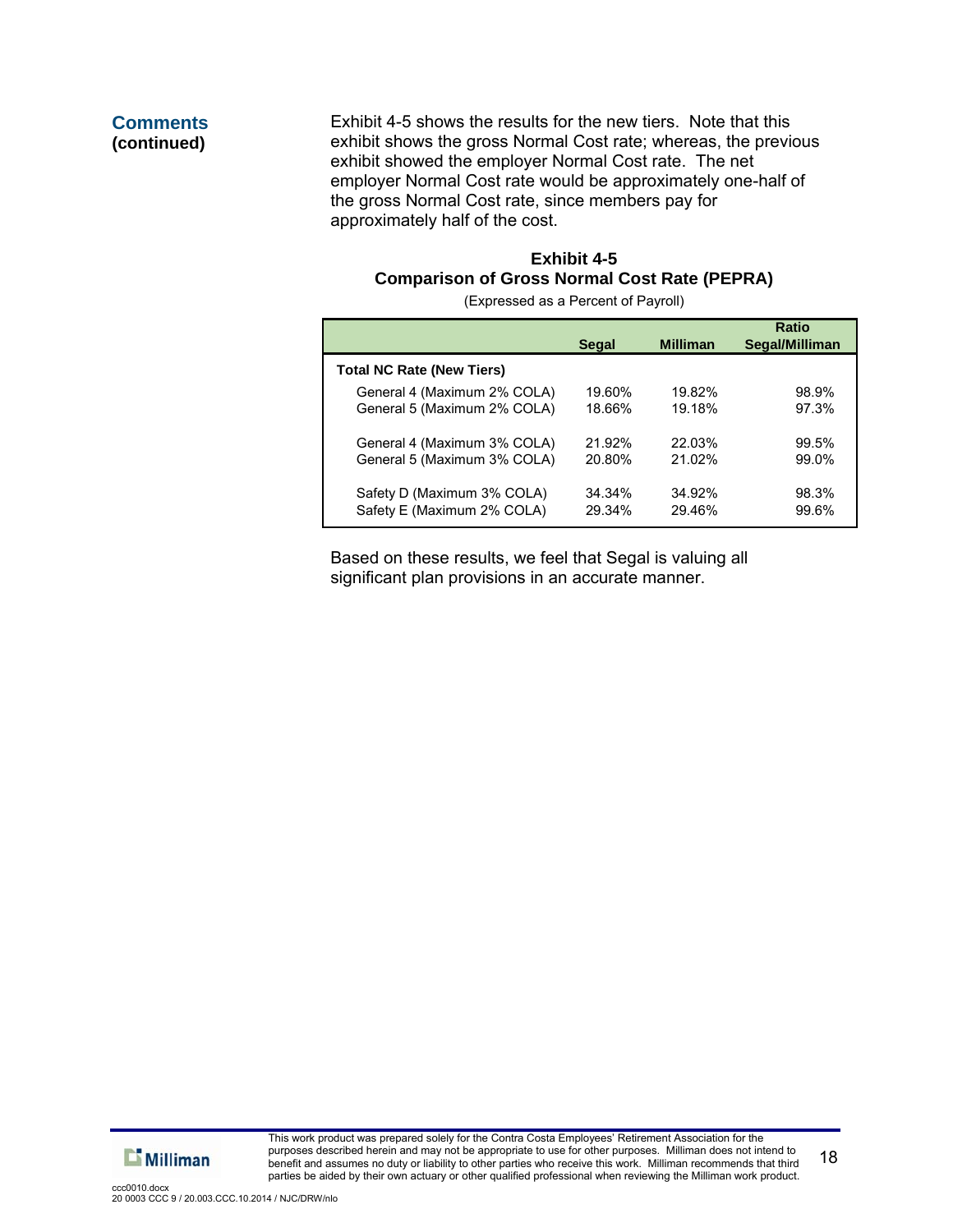Exhibit 4-5 shows the results for the new tiers. Note that this exhibit shows the gross Normal Cost rate; whereas, the previous exhibit showed the employer Normal Cost rate. The net employer Normal Cost rate would be approximately one-half of the gross Normal Cost rate, since members pay for approximately half of the cost.

# **Exhibit 4-5 Comparison of Gross Normal Cost Rate (PEPRA)**

(Expressed as a Percent of Payroll)

|                                  |              |                 | Ratio          |
|----------------------------------|--------------|-----------------|----------------|
|                                  | <b>Segal</b> | <b>Milliman</b> | Segal/Milliman |
| <b>Total NC Rate (New Tiers)</b> |              |                 |                |
| General 4 (Maximum 2% COLA)      | 19.60%       | 19.82%          | 98.9%          |
| General 5 (Maximum 2% COLA)      | 18.66%       | 19.18%          | 97.3%          |
| General 4 (Maximum 3% COLA)      | 21.92%       | 22.03%          | 99.5%          |
| General 5 (Maximum 3% COLA)      | 20.80%       | 21.02%          | 99.0%          |
| Safety D (Maximum 3% COLA)       | 34.34%       | 34.92%          | 98.3%          |
| Safety E (Maximum 2% COLA)       | 29.34%       | 29.46%          | 99.6%          |

 Based on these results, we feel that Segal is valuing all significant plan provisions in an accurate manner.

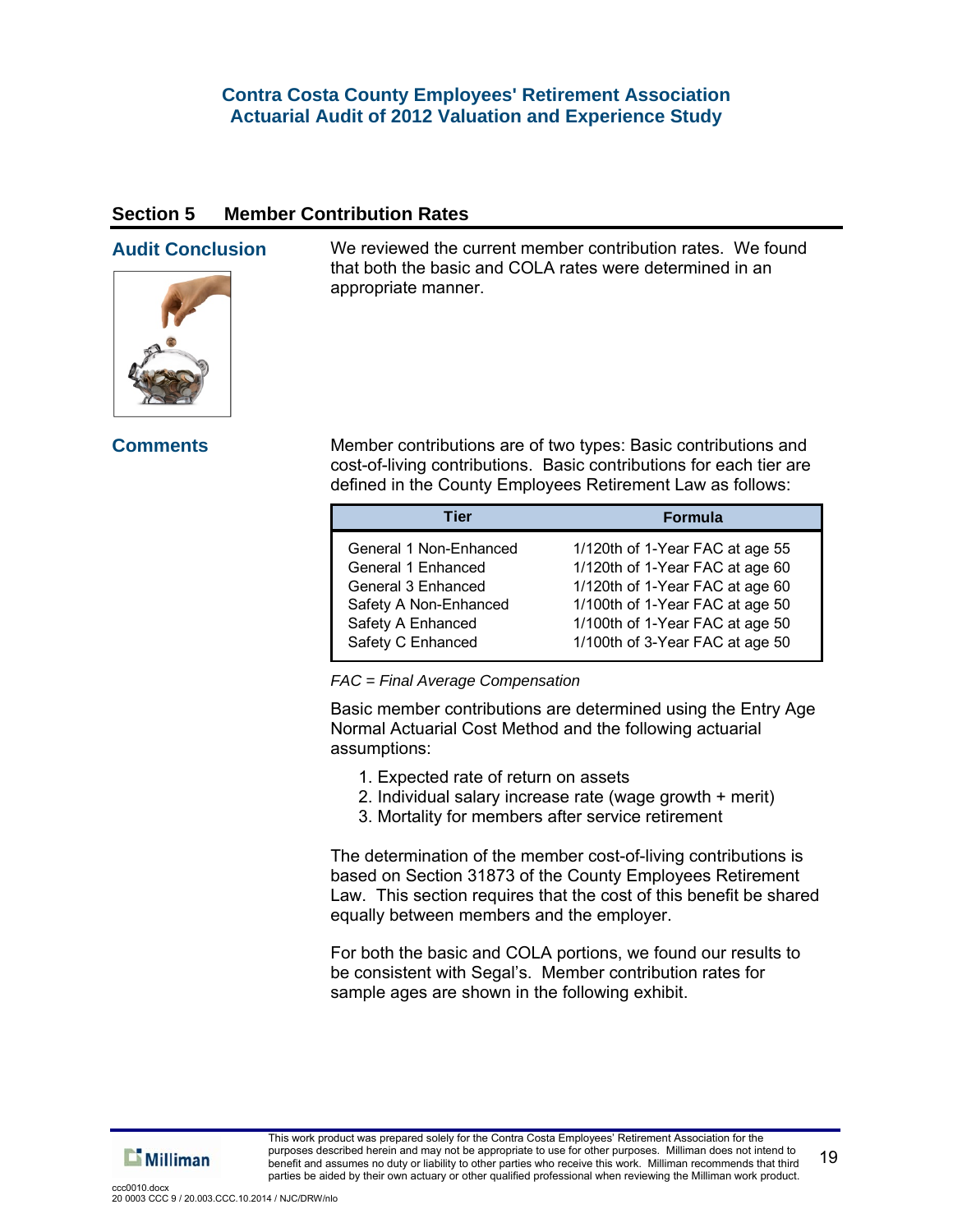# **Section 5 Member Contribution Rates**



**Audit Conclusion** We reviewed the current member contribution rates. We found that both the basic and COLA rates were determined in an appropriate manner.

**Comments Member contributions are of two types: Basic contributions and** cost-of-living contributions. Basic contributions for each tier are defined in the County Employees Retirement Law as follows:

| Tier                                                                                                                                  | <b>Formula</b>                                                                                                                                                                                                 |
|---------------------------------------------------------------------------------------------------------------------------------------|----------------------------------------------------------------------------------------------------------------------------------------------------------------------------------------------------------------|
| General 1 Non-Enhanced<br>General 1 Enhanced<br>General 3 Enhanced<br>Safety A Non-Enhanced<br>Safety A Enhanced<br>Safety C Enhanced | 1/120th of 1-Year FAC at age 55<br>1/120th of 1-Year FAC at age 60<br>1/120th of 1-Year FAC at age 60<br>1/100th of 1-Year FAC at age 50<br>1/100th of 1-Year FAC at age 50<br>1/100th of 3-Year FAC at age 50 |
|                                                                                                                                       |                                                                                                                                                                                                                |

*FAC = Final Average Compensation* 

 Basic member contributions are determined using the Entry Age Normal Actuarial Cost Method and the following actuarial assumptions:

- 1. Expected rate of return on assets
- 2. Individual salary increase rate (wage growth + merit)
- 3. Mortality for members after service retirement

The determination of the member cost-of-living contributions is based on Section 31873 of the County Employees Retirement Law. This section requires that the cost of this benefit be shared equally between members and the employer.

For both the basic and COLA portions, we found our results to be consistent with Segal's. Member contribution rates for sample ages are shown in the following exhibit.

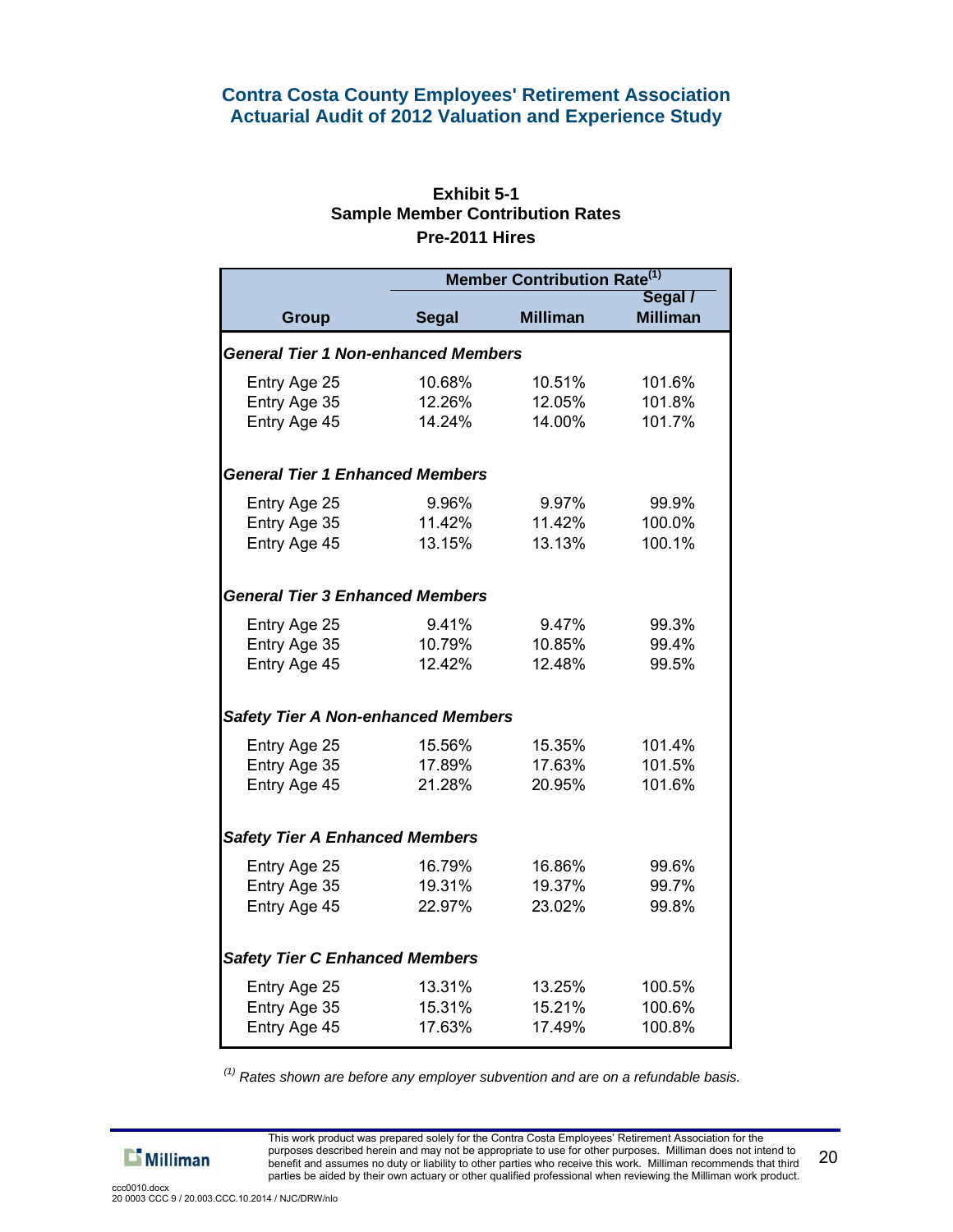# **Exhibit 5-1 Sample Member Contribution Rates Pre-2011 Hires**

|                                            | Member Contribution Rate <sup>(1)</sup> |                 |                 |
|--------------------------------------------|-----------------------------------------|-----------------|-----------------|
|                                            |                                         |                 | Segal /         |
| <b>Group</b>                               | <b>Segal</b>                            | <b>Milliman</b> | <b>Milliman</b> |
| <b>General Tier 1 Non-enhanced Members</b> |                                         |                 |                 |
| Entry Age 25                               | 10.68%                                  | 10.51%          | 101.6%          |
| Entry Age 35                               | 12.26%                                  | 12.05%          | 101.8%          |
| Entry Age 45                               | 14.24%                                  | 14.00%          | 101.7%          |
| <b>General Tier 1 Enhanced Members</b>     |                                         |                 |                 |
| Entry Age 25                               | 9.96%                                   | 9.97%           | 99.9%           |
| Entry Age 35                               | 11.42%                                  | 11.42%          | 100.0%          |
| Entry Age 45                               | 13.15%                                  | 13.13%          | 100.1%          |
|                                            |                                         |                 |                 |
| <b>General Tier 3 Enhanced Members</b>     |                                         |                 |                 |
| Entry Age 25                               | 9.41%                                   | 9.47%           | 99.3%           |
| Entry Age 35                               | 10.79%                                  | 10.85%          | 99.4%           |
| Entry Age 45                               | 12.42%                                  | 12.48%          | 99.5%           |
| <b>Safety Tier A Non-enhanced Members</b>  |                                         |                 |                 |
| Entry Age 25                               | 15.56%                                  | 15.35%          | 101.4%          |
| Entry Age 35                               | 17.89%                                  | 17.63%          | 101.5%          |
| Entry Age 45                               | 21.28%                                  | 20.95%          | 101.6%          |
|                                            |                                         |                 |                 |
| <b>Safety Tier A Enhanced Members</b>      |                                         |                 |                 |
| Entry Age 25                               | 16.79%                                  | 16.86%          | 99.6%           |
| Entry Age 35                               | 19.31%                                  | 19.37%          | 99.7%           |
| Entry Age 45                               | 22.97%                                  | 23.02%          | 99.8%           |
| <b>Safety Tier C Enhanced Members</b>      |                                         |                 |                 |
|                                            |                                         |                 |                 |
| Entry Age 25                               | 13.31%                                  | 13.25%          | 100.5%          |
| Entry Age 35                               | 15.31%                                  | 15.21%          | 100.6%          |
| Entry Age 45                               | 17.63%                                  | 17.49%          | 100.8%          |

*(1) Rates shown are before any employer subvention and are on a refundable basis.* 

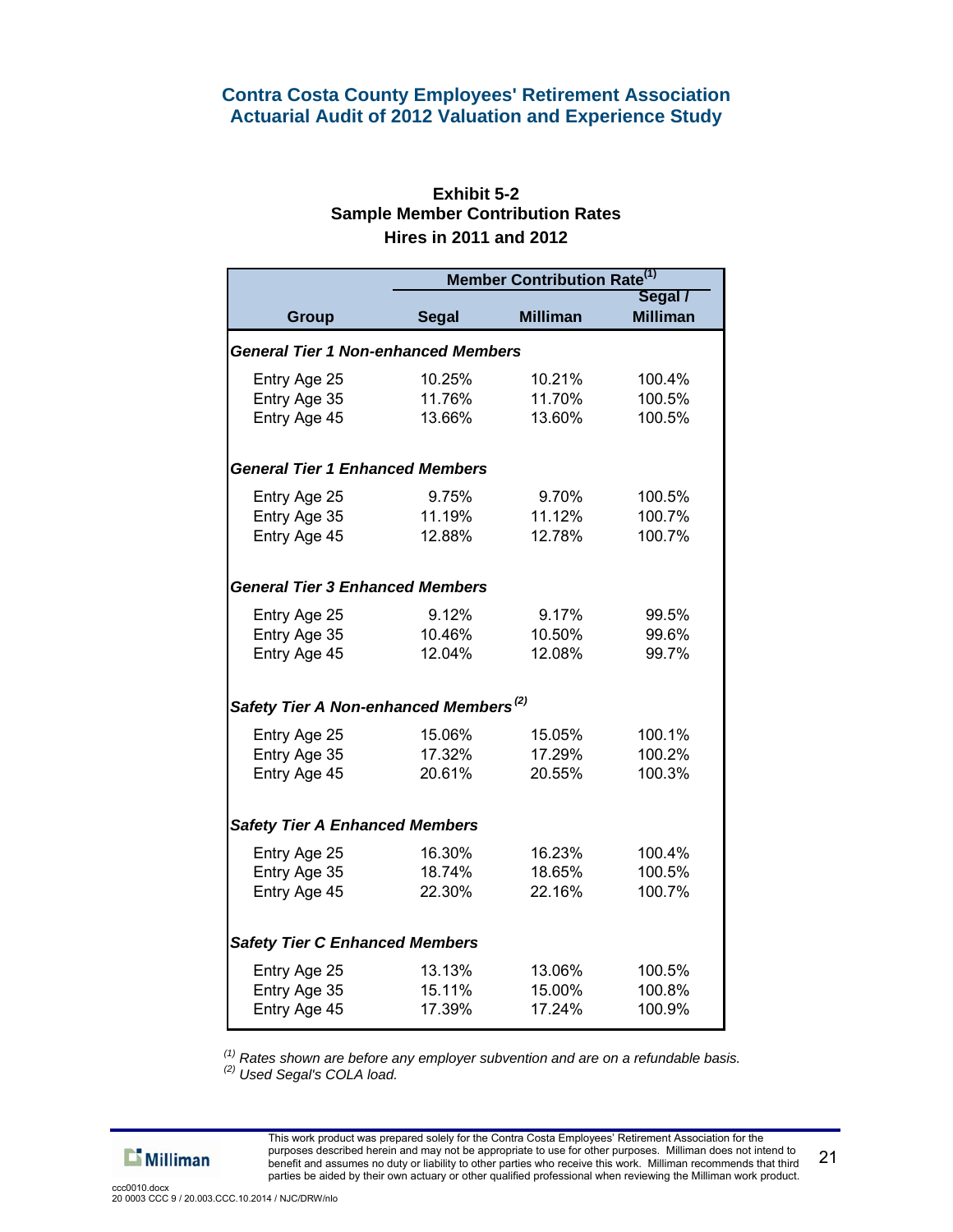# **Exhibit 5-2 Sample Member Contribution Rates Hires in 2011 and 2012**

|                                                   | Member Contribution Rate <sup>(1)</sup> |                 |                 |
|---------------------------------------------------|-----------------------------------------|-----------------|-----------------|
|                                                   |                                         |                 | Segal /         |
| <b>Group</b>                                      | <b>Segal</b>                            | <b>Milliman</b> | <b>Milliman</b> |
| <b>General Tier 1 Non-enhanced Members</b>        |                                         |                 |                 |
| Entry Age 25                                      | 10.25%                                  | 10.21%          | 100.4%          |
| Entry Age 35                                      | 11.76%                                  | 11.70%          | 100.5%          |
| Entry Age 45                                      | 13.66%                                  | 13.60%          | 100.5%          |
| <b>General Tier 1 Enhanced Members</b>            |                                         |                 |                 |
| Entry Age 25                                      | 9.75%                                   | 9.70%           | 100.5%          |
| Entry Age 35                                      | 11.19%                                  | 11.12%          | 100.7%          |
| Entry Age 45                                      | 12.88%                                  | 12.78%          | 100.7%          |
| <b>General Tier 3 Enhanced Members</b>            |                                         |                 |                 |
| Entry Age 25                                      | 9.12%                                   | 9.17%           | 99.5%           |
| Entry Age 35                                      | 10.46%                                  | 10.50%          | 99.6%           |
| Entry Age 45                                      | 12.04%                                  | 12.08%          | 99.7%           |
| Safety Tier A Non-enhanced Members <sup>(2)</sup> |                                         |                 |                 |
| Entry Age 25                                      | 15.06%                                  | 15.05%          | 100.1%          |
| Entry Age 35                                      | 17.32%                                  | 17.29%          | 100.2%          |
| Entry Age 45                                      | 20.61%                                  | 20.55%          | 100.3%          |
| <b>Safety Tier A Enhanced Members</b>             |                                         |                 |                 |
| Entry Age 25                                      | 16.30%                                  | 16.23%          | 100.4%          |
| Entry Age 35                                      | 18.74%                                  | 18.65%          | 100.5%          |
| Entry Age 45                                      | 22.30%                                  | 22.16%          | 100.7%          |
| <b>Safety Tier C Enhanced Members</b>             |                                         |                 |                 |
| Entry Age 25                                      | 13.13%                                  | 13.06%          | 100.5%          |
| Entry Age 35                                      | 15.11%                                  | 15.00%          | 100.8%          |
| Entry Age 45                                      | 17.39%                                  | 17.24%          | 100.9%          |
|                                                   |                                         |                 |                 |

*(1) Rates shown are before any employer subvention and are on a refundable basis. (2) Used Segal's COLA load.* 

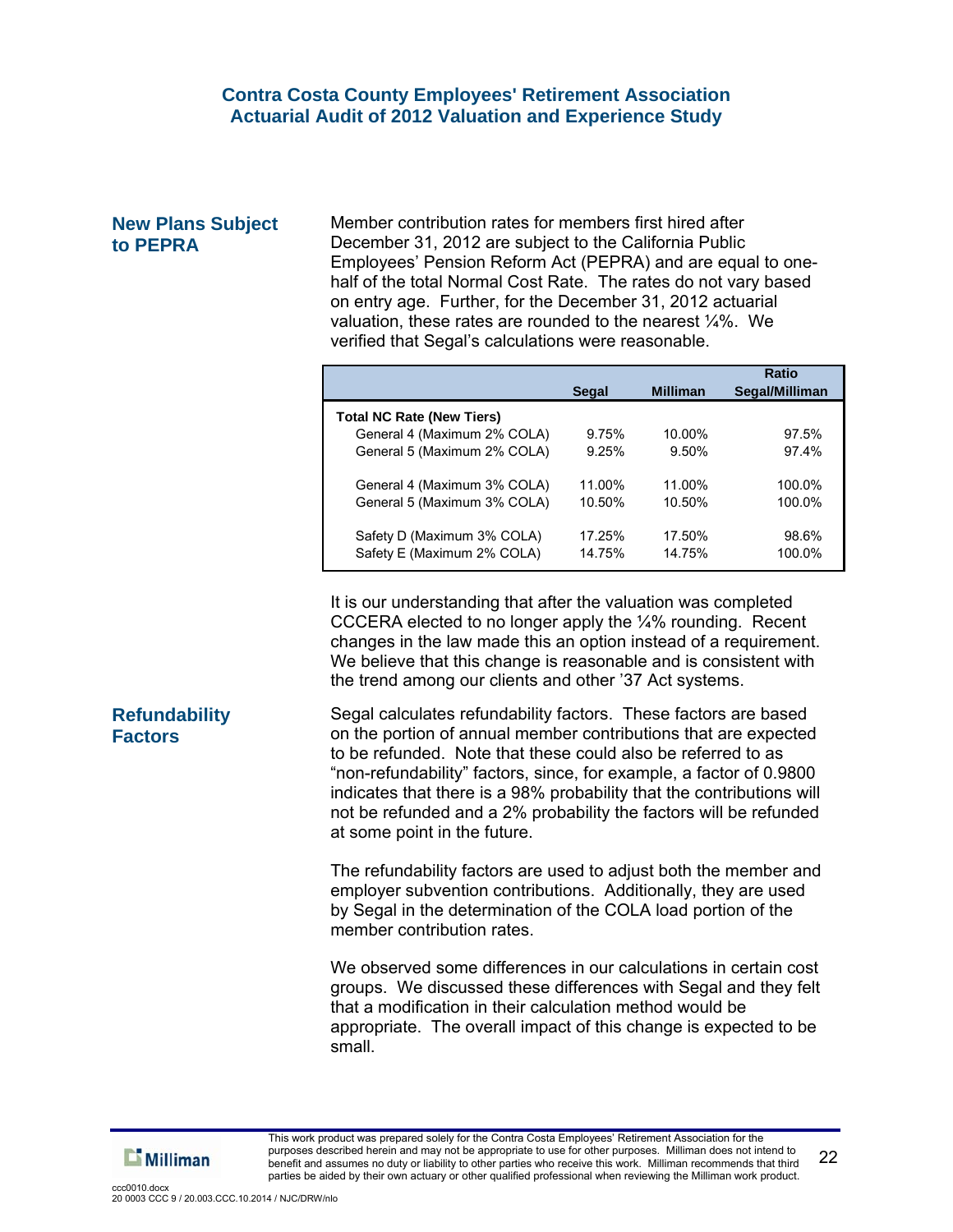### **New Plans Subject to PEPRA**

 Member contribution rates for members first hired after December 31, 2012 are subject to the California Public Employees' Pension Reform Act (PEPRA) and are equal to onehalf of the total Normal Cost Rate. The rates do not vary based on entry age. Further, for the December 31, 2012 actuarial valuation, these rates are rounded to the nearest  $\frac{1}{4}\%$ . We verified that Segal's calculations were reasonable.

|                                                          |                  |                  | <b>Ratio</b>    |
|----------------------------------------------------------|------------------|------------------|-----------------|
|                                                          | <b>Segal</b>     | <b>Milliman</b>  | Segal/Milliman  |
| <b>Total NC Rate (New Tiers)</b>                         |                  |                  |                 |
| General 4 (Maximum 2% COLA)                              | 9.75%            | 10.00%           | 97.5%           |
| General 5 (Maximum 2% COLA)                              | 9.25%            | 9.50%            | 97.4%           |
| General 4 (Maximum 3% COLA)                              | 11.00%           | 11.00%           | 100.0%          |
| General 5 (Maximum 3% COLA)                              | 10.50%           | 10.50%           | 100.0%          |
| Safety D (Maximum 3% COLA)<br>Safety E (Maximum 2% COLA) | 17.25%<br>14.75% | 17.50%<br>14.75% | 98.6%<br>100.0% |

 It is our understanding that after the valuation was completed CCCERA elected to no longer apply the ¼% rounding. Recent changes in the law made this an option instead of a requirement. We believe that this change is reasonable and is consistent with the trend among our clients and other '37 Act systems.

**Refundability Factors**  Segal calculates refundability factors. These factors are based on the portion of annual member contributions that are expected to be refunded. Note that these could also be referred to as "non-refundability" factors, since, for example, a factor of 0.9800 indicates that there is a 98% probability that the contributions will not be refunded and a 2% probability the factors will be refunded at some point in the future.

> The refundability factors are used to adjust both the member and employer subvention contributions. Additionally, they are used by Segal in the determination of the COLA load portion of the member contribution rates.

> We observed some differences in our calculations in certain cost groups. We discussed these differences with Segal and they felt that a modification in their calculation method would be appropriate. The overall impact of this change is expected to be small.

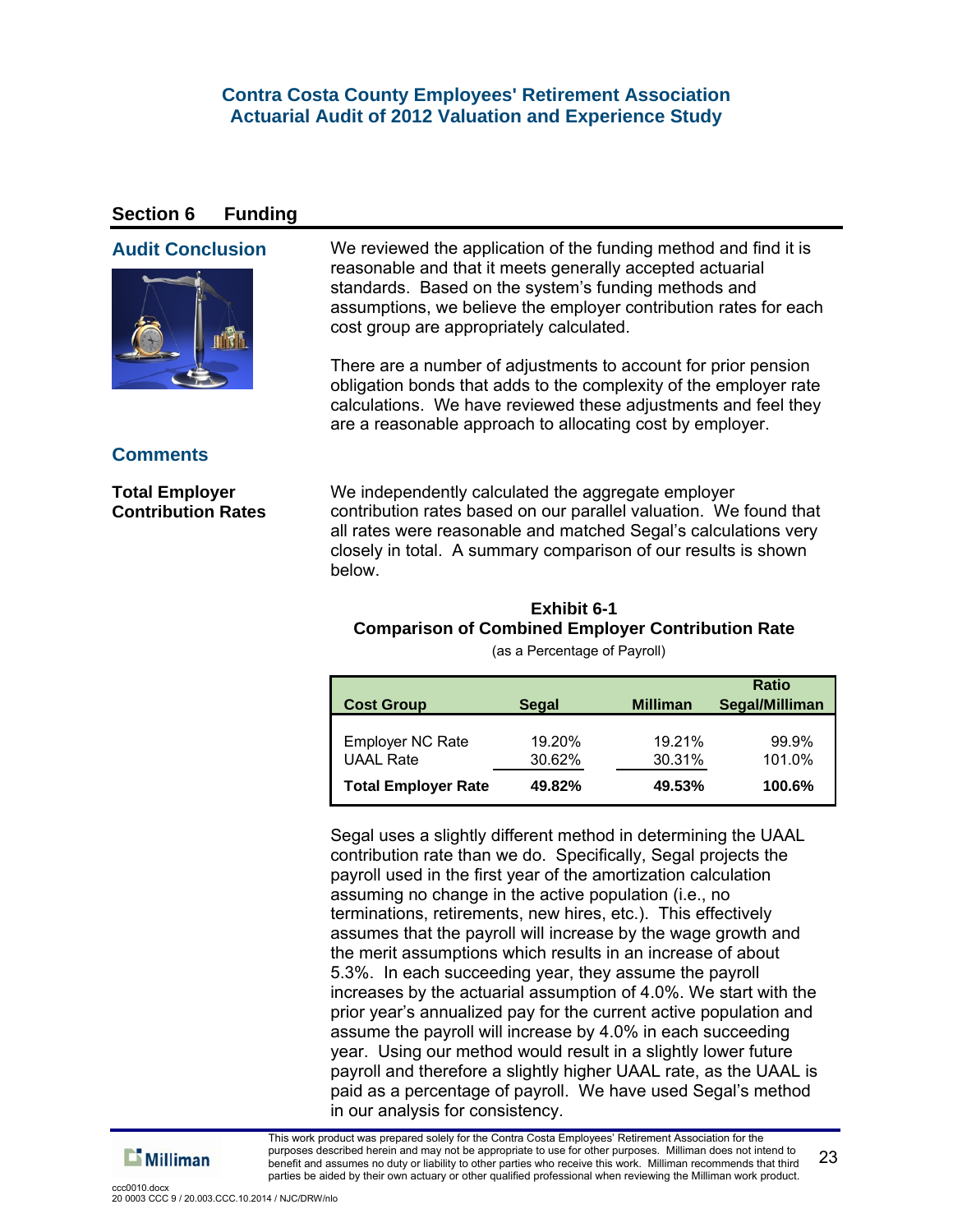# **Section 6 Funding**



**Audit Conclusion** We reviewed the application of the funding method and find it is reasonable and that it meets generally accepted actuarial standards. Based on the system's funding methods and assumptions, we believe the employer contribution rates for each cost group are appropriately calculated.

> There are a number of adjustments to account for prior pension obligation bonds that adds to the complexity of the employer rate calculations. We have reviewed these adjustments and feel they are a reasonable approach to allocating cost by employer.

# **Comments**

**Total Employer Contribution Rates**  We independently calculated the aggregate employer contribution rates based on our parallel valuation. We found that all rates were reasonable and matched Segal's calculations very closely in total. A summary comparison of our results is shown below.

# **Exhibit 6-1 Comparison of Combined Employer Contribution Rate**

(as a Percentage of Payroll)

| <b>Cost Group</b>                    | <b>Segal</b>     | <b>Milliman</b>  | <b>Ratio</b><br>Segal/Milliman |
|--------------------------------------|------------------|------------------|--------------------------------|
| Employer NC Rate<br><b>UAAL Rate</b> | 19.20%<br>30.62% | 19.21%<br>30.31% | 99.9%<br>101.0%                |
| <b>Total Employer Rate</b>           | 49.82%           | 49.53%           | 100.6%                         |

 Segal uses a slightly different method in determining the UAAL contribution rate than we do. Specifically, Segal projects the payroll used in the first year of the amortization calculation assuming no change in the active population (i.e., no terminations, retirements, new hires, etc.). This effectively assumes that the payroll will increase by the wage growth and the merit assumptions which results in an increase of about 5.3%. In each succeeding year, they assume the payroll increases by the actuarial assumption of 4.0%. We start with the prior year's annualized pay for the current active population and assume the payroll will increase by 4.0% in each succeeding year. Using our method would result in a slightly lower future payroll and therefore a slightly higher UAAL rate, as the UAAL is paid as a percentage of payroll. We have used Segal's method in our analysis for consistency.

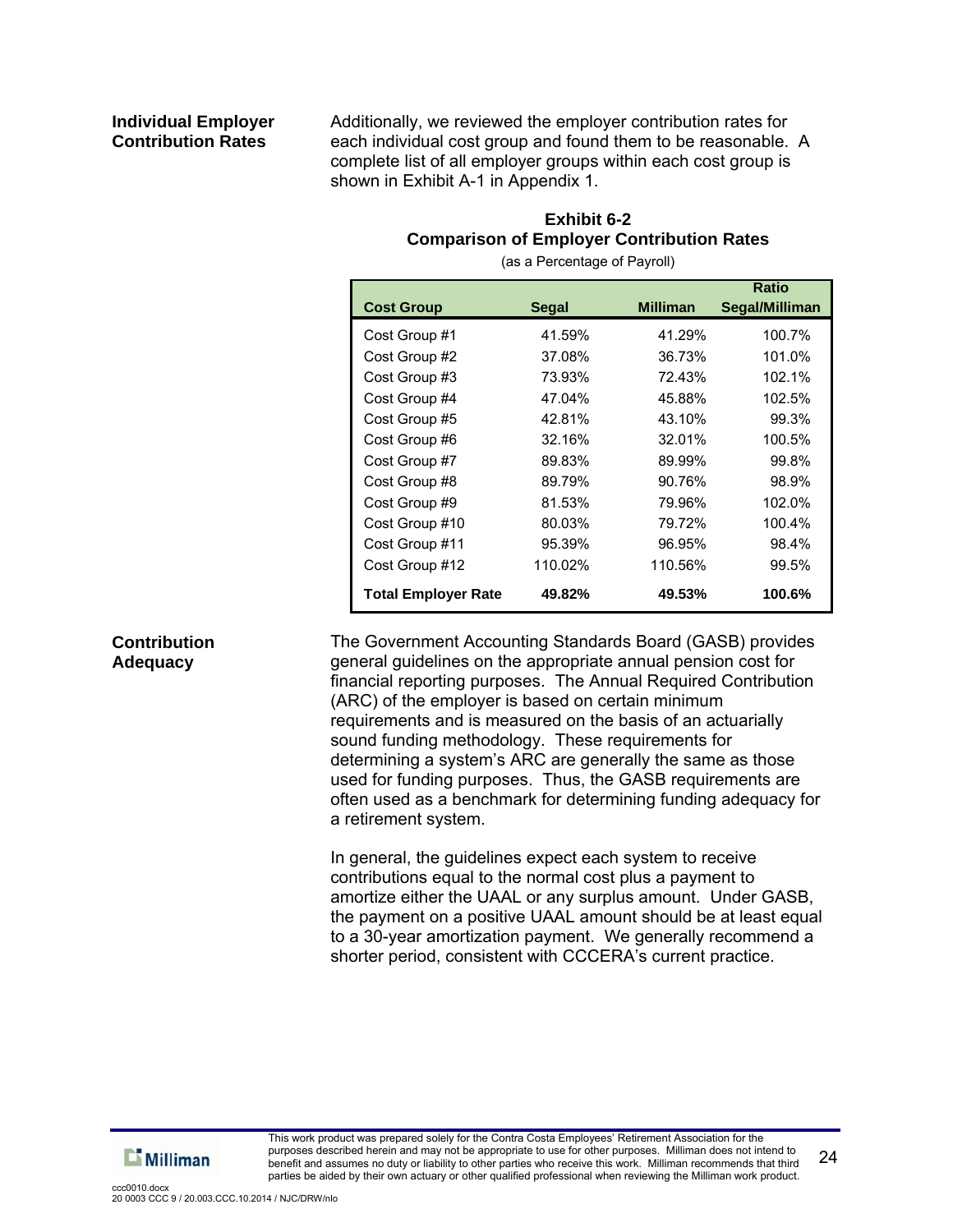#### **Individual Employer Contribution Rates**

 Additionally, we reviewed the employer contribution rates for each individual cost group and found them to be reasonable. A complete list of all employer groups within each cost group is shown in Exhibit A-1 in Appendix 1.

#### **Exhibit 6-2 Comparison of Employer Contribution Rates**  (as a Percentage of Payroll)

|                            |              | <b>Milliman</b> | <b>Ratio</b>   |
|----------------------------|--------------|-----------------|----------------|
| <b>Cost Group</b>          | <b>Segal</b> |                 | Segal/Milliman |
| Cost Group #1              | 41.59%       | 41.29%          | 100.7%         |
| Cost Group #2              | 37.08%       | 36.73%          | 101.0%         |
| Cost Group #3              | 73.93%       | 72.43%          | 102.1%         |
| Cost Group #4              | 47.04%       | 45.88%          | 102.5%         |
| Cost Group #5              | 42.81%       | 43.10%          | 99.3%          |
| Cost Group #6              | 32.16%       | 32.01%          | 100.5%         |
| Cost Group #7              | 89.83%       | 89.99%          | 99.8%          |
| Cost Group #8              | 89.79%       | 90.76%          | 98.9%          |
| Cost Group #9              | 81.53%       | 79.96%          | 102.0%         |
| Cost Group #10             | 80.03%       | 79.72%          | 100.4%         |
| Cost Group #11             | 95.39%       | 96.95%          | 98.4%          |
| Cost Group #12             | 110.02%      | 110.56%         | 99.5%          |
| <b>Total Employer Rate</b> | 49.82%       | 49.53%          | 100.6%         |

**Contribution Adequacy** 

 The Government Accounting Standards Board (GASB) provides general guidelines on the appropriate annual pension cost for financial reporting purposes. The Annual Required Contribution (ARC) of the employer is based on certain minimum requirements and is measured on the basis of an actuarially sound funding methodology. These requirements for determining a system's ARC are generally the same as those used for funding purposes. Thus, the GASB requirements are often used as a benchmark for determining funding adequacy for a retirement system.

In general, the guidelines expect each system to receive contributions equal to the normal cost plus a payment to amortize either the UAAL or any surplus amount. Under GASB, the payment on a positive UAAL amount should be at least equal to a 30-year amortization payment. We generally recommend a shorter period, consistent with CCCERA's current practice.

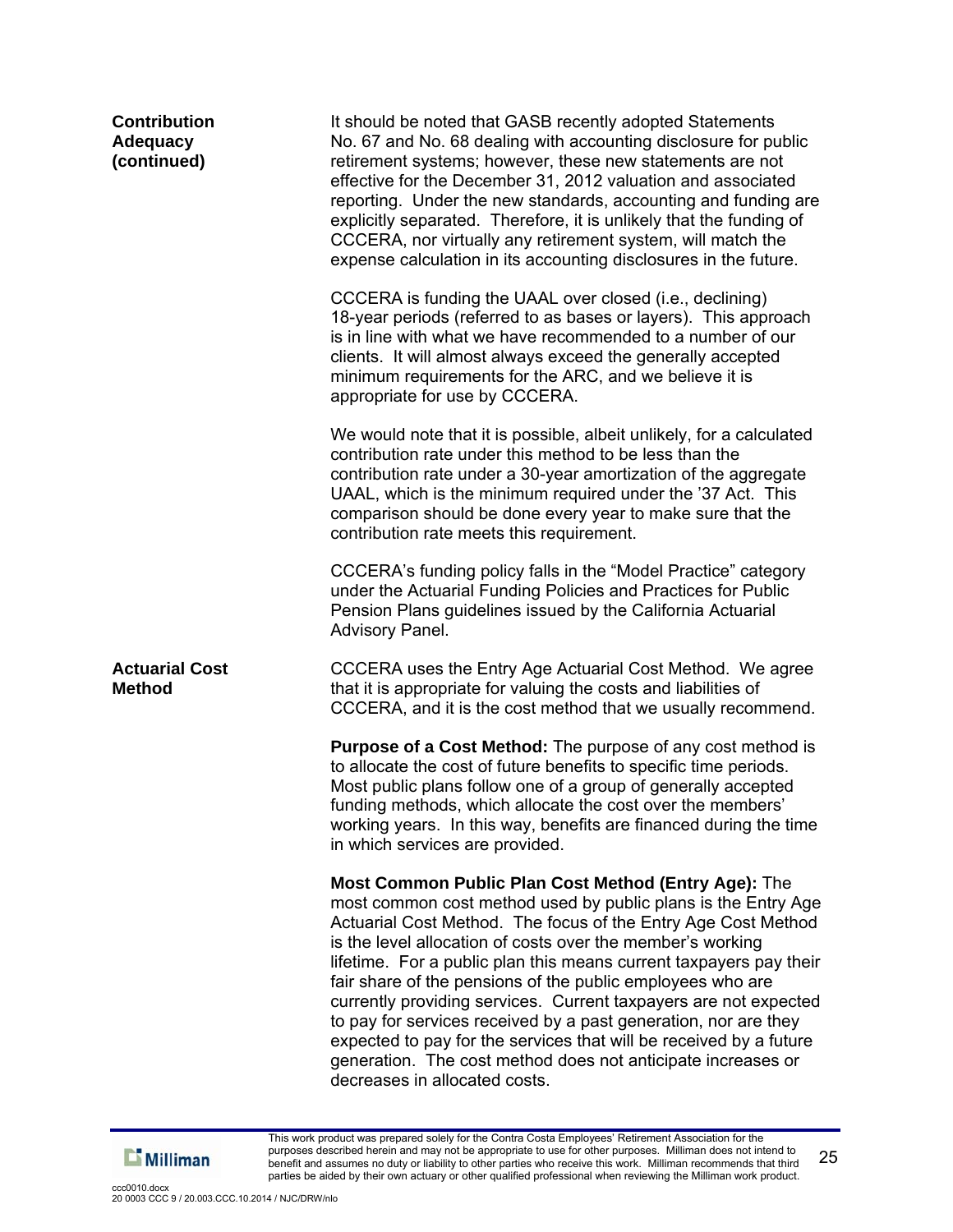| <b>Contribution</b><br><b>Adequacy</b><br>(continued) | It should be noted that GASB recently adopted Statements<br>No. 67 and No. 68 dealing with accounting disclosure for public<br>retirement systems; however, these new statements are not<br>effective for the December 31, 2012 valuation and associated<br>reporting. Under the new standards, accounting and funding are<br>explicitly separated. Therefore, it is unlikely that the funding of<br>CCCERA, nor virtually any retirement system, will match the<br>expense calculation in its accounting disclosures in the future.                                                                                                                                                                   |
|-------------------------------------------------------|--------------------------------------------------------------------------------------------------------------------------------------------------------------------------------------------------------------------------------------------------------------------------------------------------------------------------------------------------------------------------------------------------------------------------------------------------------------------------------------------------------------------------------------------------------------------------------------------------------------------------------------------------------------------------------------------------------|
|                                                       | CCCERA is funding the UAAL over closed (i.e., declining)<br>18-year periods (referred to as bases or layers). This approach<br>is in line with what we have recommended to a number of our<br>clients. It will almost always exceed the generally accepted<br>minimum requirements for the ARC, and we believe it is<br>appropriate for use by CCCERA.                                                                                                                                                                                                                                                                                                                                                 |
|                                                       | We would note that it is possible, albeit unlikely, for a calculated<br>contribution rate under this method to be less than the<br>contribution rate under a 30-year amortization of the aggregate<br>UAAL, which is the minimum required under the '37 Act. This<br>comparison should be done every year to make sure that the<br>contribution rate meets this requirement.                                                                                                                                                                                                                                                                                                                           |
|                                                       | CCCERA's funding policy falls in the "Model Practice" category<br>under the Actuarial Funding Policies and Practices for Public<br>Pension Plans guidelines issued by the California Actuarial<br>Advisory Panel.                                                                                                                                                                                                                                                                                                                                                                                                                                                                                      |
| <b>Actuarial Cost</b><br><b>Method</b>                | CCCERA uses the Entry Age Actuarial Cost Method. We agree<br>that it is appropriate for valuing the costs and liabilities of<br>CCCERA, and it is the cost method that we usually recommend.                                                                                                                                                                                                                                                                                                                                                                                                                                                                                                           |
|                                                       | <b>Purpose of a Cost Method:</b> The purpose of any cost method is<br>to allocate the cost of future benefits to specific time periods.<br>Most public plans follow one of a group of generally accepted<br>funding methods, which allocate the cost over the members'<br>working years. In this way, benefits are financed during the time<br>in which services are provided.                                                                                                                                                                                                                                                                                                                         |
|                                                       | Most Common Public Plan Cost Method (Entry Age): The<br>most common cost method used by public plans is the Entry Age<br>Actuarial Cost Method. The focus of the Entry Age Cost Method<br>is the level allocation of costs over the member's working<br>lifetime. For a public plan this means current taxpayers pay their<br>fair share of the pensions of the public employees who are<br>currently providing services. Current taxpayers are not expected<br>to pay for services received by a past generation, nor are they<br>expected to pay for the services that will be received by a future<br>generation. The cost method does not anticipate increases or<br>decreases in allocated costs. |

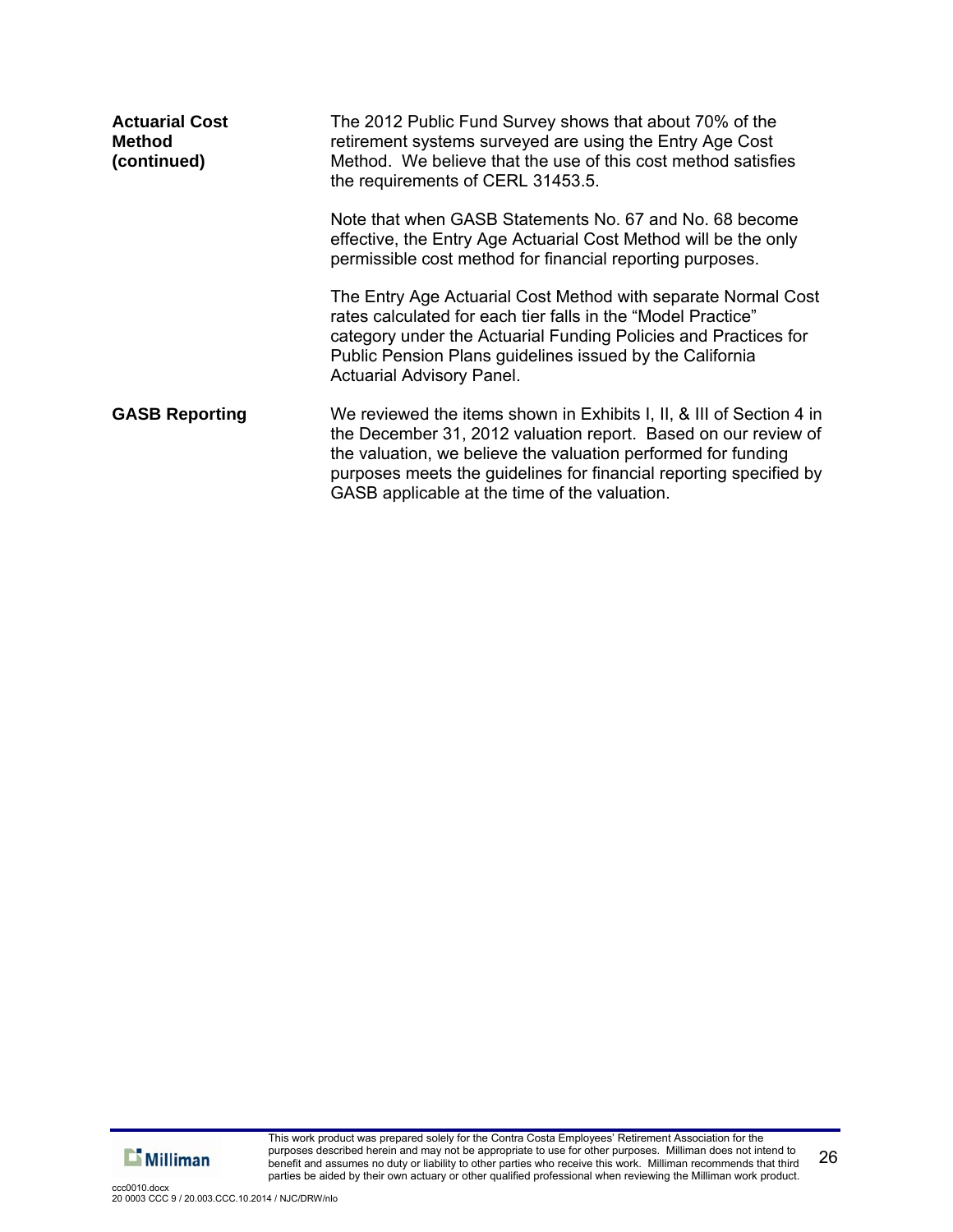| <b>Actuarial Cost</b><br><b>Method</b><br>(continued) | The 2012 Public Fund Survey shows that about 70% of the<br>retirement systems surveyed are using the Entry Age Cost<br>Method. We believe that the use of this cost method satisfies<br>the requirements of CERL 31453.5.                                                                                                      |
|-------------------------------------------------------|--------------------------------------------------------------------------------------------------------------------------------------------------------------------------------------------------------------------------------------------------------------------------------------------------------------------------------|
|                                                       | Note that when GASB Statements No. 67 and No. 68 become<br>effective, the Entry Age Actuarial Cost Method will be the only<br>permissible cost method for financial reporting purposes.                                                                                                                                        |
|                                                       | The Entry Age Actuarial Cost Method with separate Normal Cost<br>rates calculated for each tier falls in the "Model Practice"<br>category under the Actuarial Funding Policies and Practices for<br>Public Pension Plans guidelines issued by the California<br><b>Actuarial Advisory Panel.</b>                               |
| <b>GASB Reporting</b>                                 | We reviewed the items shown in Exhibits I, II, & III of Section 4 in<br>the December 31, 2012 valuation report. Based on our review of<br>the valuation, we believe the valuation performed for funding<br>purposes meets the guidelines for financial reporting specified by<br>GASB applicable at the time of the valuation. |

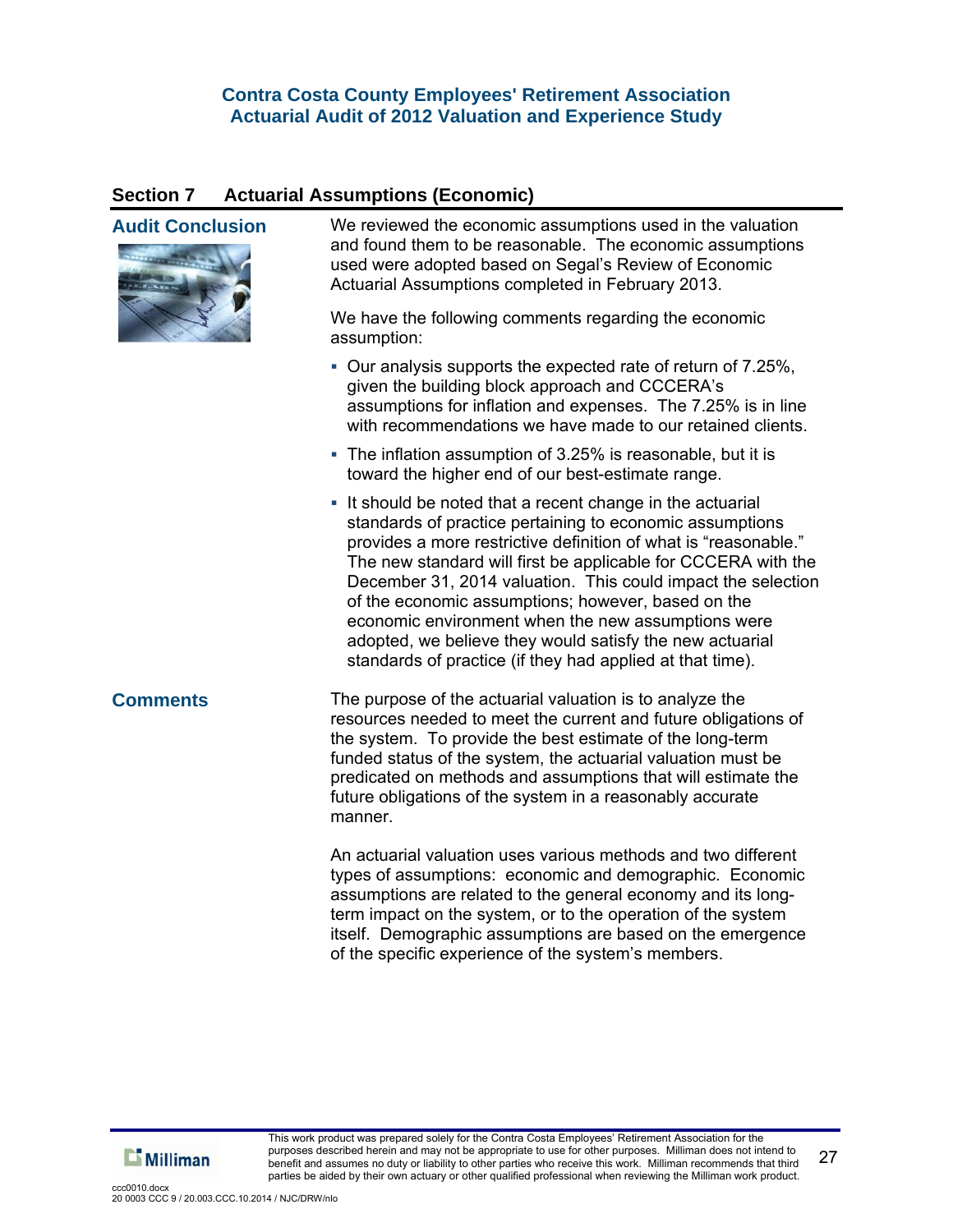# **Section 7 Actuarial Assumptions (Economic)**

**Audit Conclusion** We reviewed the economic assumptions used in the valuation and found them to be reasonable. The economic assumptions used were adopted based on Segal's Review of Economic Actuarial Assumptions completed in February 2013.

> We have the following comments regarding the economic assumption:

- Our analysis supports the expected rate of return of 7.25%, given the building block approach and CCCERA's assumptions for inflation and expenses. The 7.25% is in line with recommendations we have made to our retained clients.
- The inflation assumption of 3.25% is reasonable, but it is toward the higher end of our best-estimate range.
- If should be noted that a recent change in the actuarial standards of practice pertaining to economic assumptions provides a more restrictive definition of what is "reasonable." The new standard will first be applicable for CCCERA with the December 31, 2014 valuation. This could impact the selection of the economic assumptions; however, based on the economic environment when the new assumptions were adopted, we believe they would satisfy the new actuarial standards of practice (if they had applied at that time).

**Comments** The purpose of the actuarial valuation is to analyze the resources needed to meet the current and future obligations of the system. To provide the best estimate of the long-term funded status of the system, the actuarial valuation must be predicated on methods and assumptions that will estimate the future obligations of the system in a reasonably accurate manner.

> An actuarial valuation uses various methods and two different types of assumptions: economic and demographic. Economic assumptions are related to the general economy and its longterm impact on the system, or to the operation of the system itself. Demographic assumptions are based on the emergence of the specific experience of the system's members.

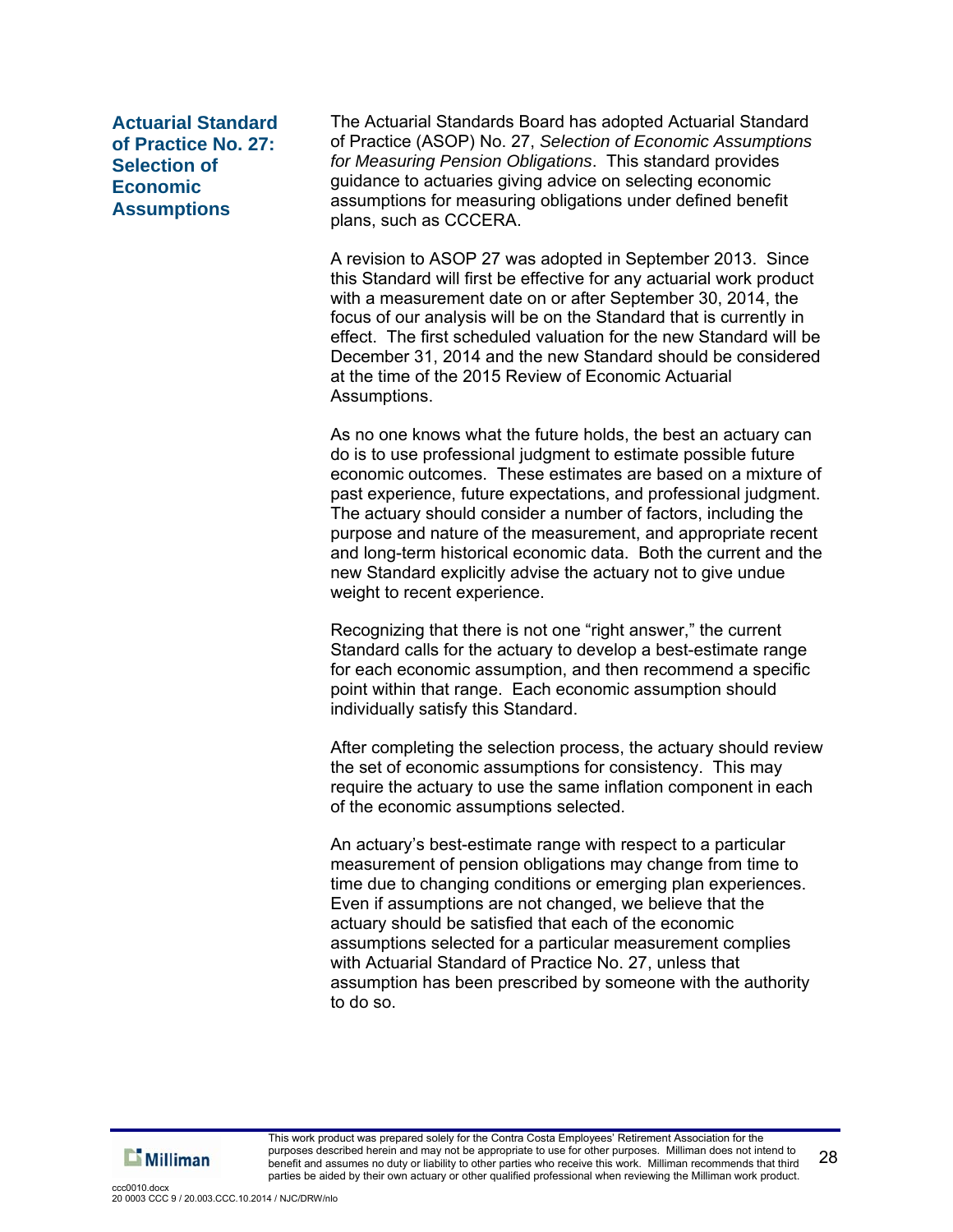# **Actuarial Standard of Practice No. 27: Selection of Economic Assumptions**

 The Actuarial Standards Board has adopted Actuarial Standard of Practice (ASOP) No. 27, *Selection of Economic Assumptions for Measuring Pension Obligations*. This standard provides guidance to actuaries giving advice on selecting economic assumptions for measuring obligations under defined benefit plans, such as CCCERA.

A revision to ASOP 27 was adopted in September 2013. Since this Standard will first be effective for any actuarial work product with a measurement date on or after September 30, 2014, the focus of our analysis will be on the Standard that is currently in effect. The first scheduled valuation for the new Standard will be December 31, 2014 and the new Standard should be considered at the time of the 2015 Review of Economic Actuarial Assumptions.

As no one knows what the future holds, the best an actuary can do is to use professional judgment to estimate possible future economic outcomes. These estimates are based on a mixture of past experience, future expectations, and professional judgment. The actuary should consider a number of factors, including the purpose and nature of the measurement, and appropriate recent and long-term historical economic data. Both the current and the new Standard explicitly advise the actuary not to give undue weight to recent experience.

 Recognizing that there is not one "right answer," the current Standard calls for the actuary to develop a best-estimate range for each economic assumption, and then recommend a specific point within that range. Each economic assumption should individually satisfy this Standard.

After completing the selection process, the actuary should review the set of economic assumptions for consistency. This may require the actuary to use the same inflation component in each of the economic assumptions selected.

An actuary's best-estimate range with respect to a particular measurement of pension obligations may change from time to time due to changing conditions or emerging plan experiences. Even if assumptions are not changed, we believe that the actuary should be satisfied that each of the economic assumptions selected for a particular measurement complies with Actuarial Standard of Practice No. 27, unless that assumption has been prescribed by someone with the authority to do so.

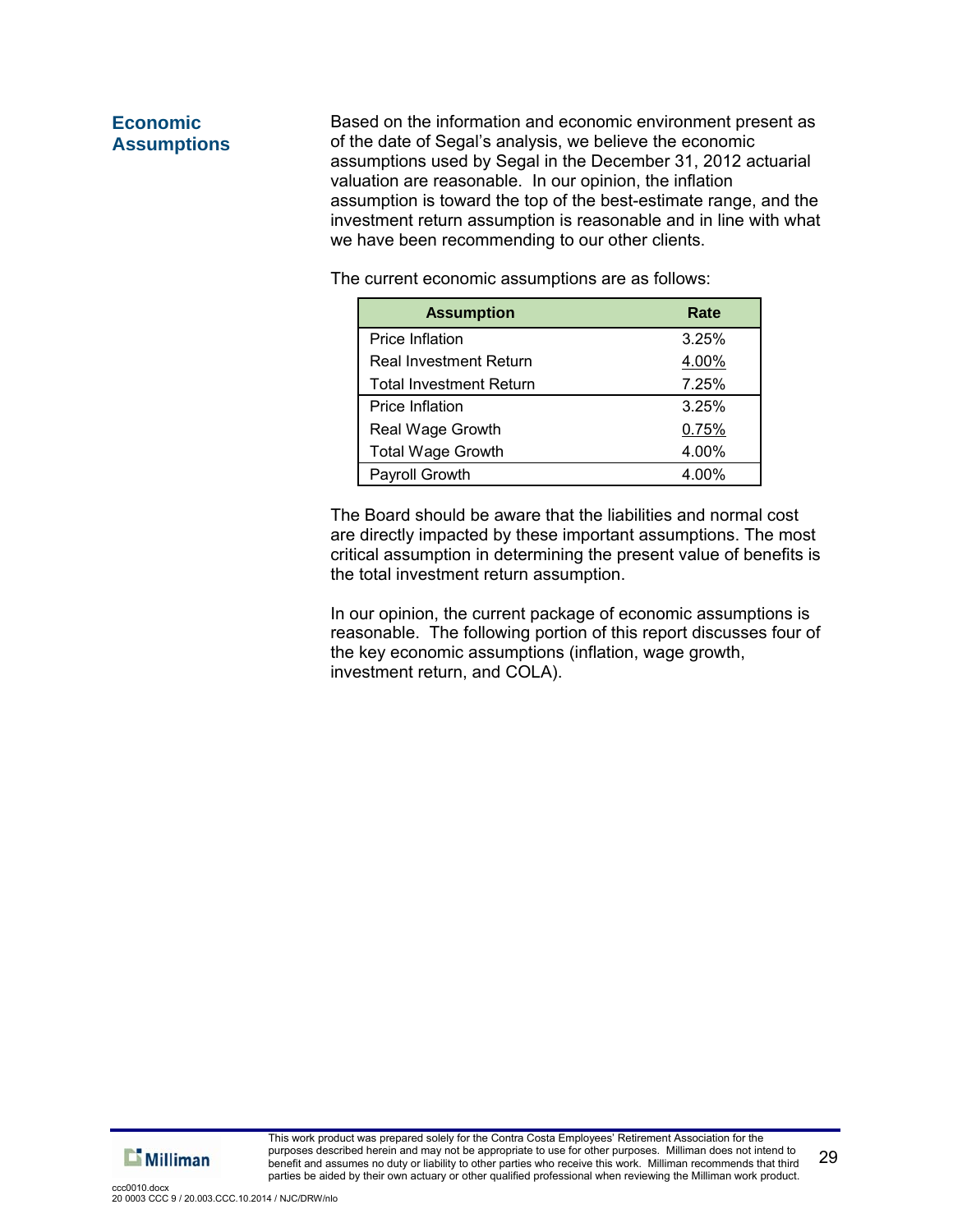# **Economic Assumptions**

 Based on the information and economic environment present as of the date of Segal's analysis, we believe the economic assumptions used by Segal in the December 31, 2012 actuarial valuation are reasonable. In our opinion, the inflation assumption is toward the top of the best-estimate range, and the investment return assumption is reasonable and in line with what we have been recommending to our other clients.

The current economic assumptions are as follows:

| <b>Assumption</b>              | Rate  |
|--------------------------------|-------|
| Price Inflation                | 3.25% |
| <b>Real Investment Return</b>  | 4.00% |
| <b>Total Investment Return</b> | 7.25% |
| Price Inflation                | 3.25% |
| Real Wage Growth               | 0.75% |
| <b>Total Wage Growth</b>       | 4.00% |
| Payroll Growth                 | 4.00% |

 The Board should be aware that the liabilities and normal cost are directly impacted by these important assumptions. The most critical assumption in determining the present value of benefits is the total investment return assumption.

In our opinion, the current package of economic assumptions is reasonable. The following portion of this report discusses four of the key economic assumptions (inflation, wage growth, investment return, and COLA).

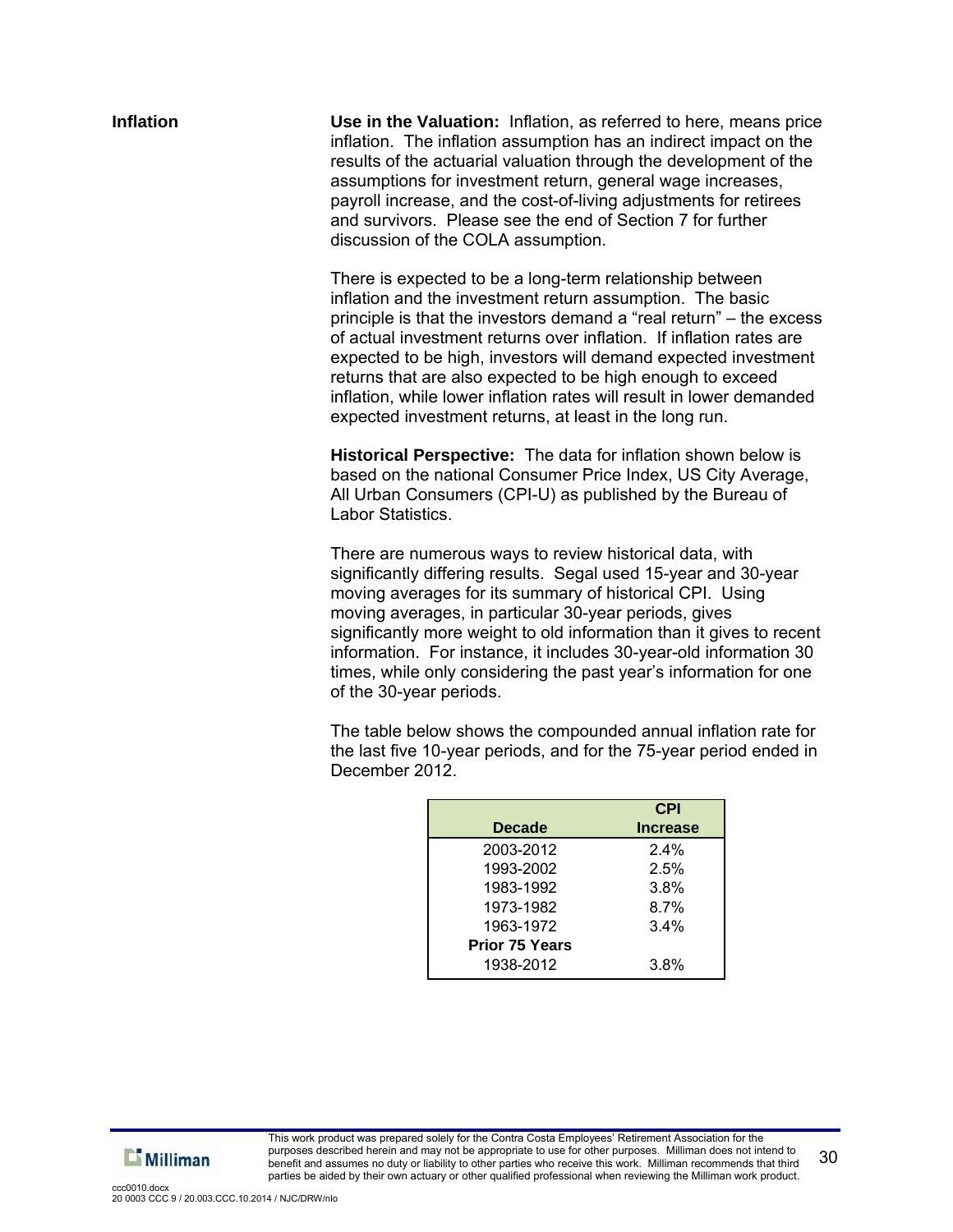**Inflation** Use in the Valuation: Inflation, as referred to here, means price inflation. The inflation assumption has an indirect impact on the results of the actuarial valuation through the development of the assumptions for investment return, general wage increases, payroll increase, and the cost-of-living adjustments for retirees and survivors. Please see the end of Section 7 for further discussion of the COLA assumption.

> There is expected to be a long-term relationship between inflation and the investment return assumption. The basic principle is that the investors demand a "real return" – the excess of actual investment returns over inflation. If inflation rates are expected to be high, investors will demand expected investment returns that are also expected to be high enough to exceed inflation, while lower inflation rates will result in lower demanded expected investment returns, at least in the long run.

**Historical Perspective:** The data for inflation shown below is based on the national Consumer Price Index, US City Average, All Urban Consumers (CPI-U) as published by the Bureau of Labor Statistics.

There are numerous ways to review historical data, with significantly differing results. Segal used 15-year and 30-year moving averages for its summary of historical CPI. Using moving averages, in particular 30-year periods, gives significantly more weight to old information than it gives to recent information. For instance, it includes 30-year-old information 30 times, while only considering the past year's information for one of the 30-year periods.

The table below shows the compounded annual inflation rate for the last five 10-year periods, and for the 75-year period ended in December 2012.

|                       | <b>CPI</b>      |
|-----------------------|-----------------|
| <b>Decade</b>         | <b>Increase</b> |
| 2003-2012             | 2.4%            |
| 1993-2002             | 2.5%            |
| 1983-1992             | 3.8%            |
| 1973-1982             | 8.7%            |
| 1963-1972             | 3.4%            |
| <b>Prior 75 Years</b> |                 |
| 1938-2012             | 3.8%            |

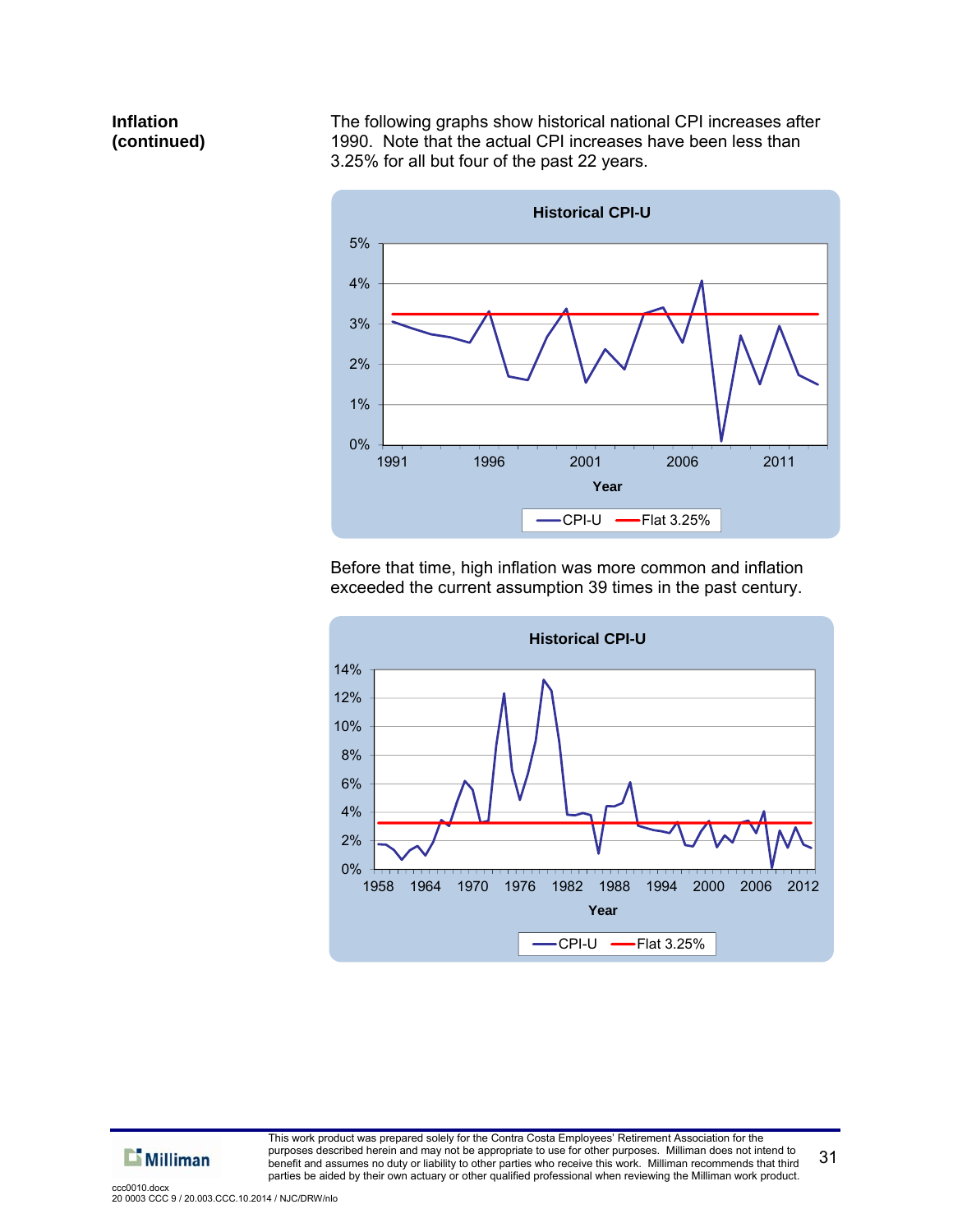### **Inflation (continued)**

 The following graphs show historical national CPI increases after 1990. Note that the actual CPI increases have been less than 3.25% for all but four of the past 22 years.



 Before that time, high inflation was more common and inflation exceeded the current assumption 39 times in the past century.



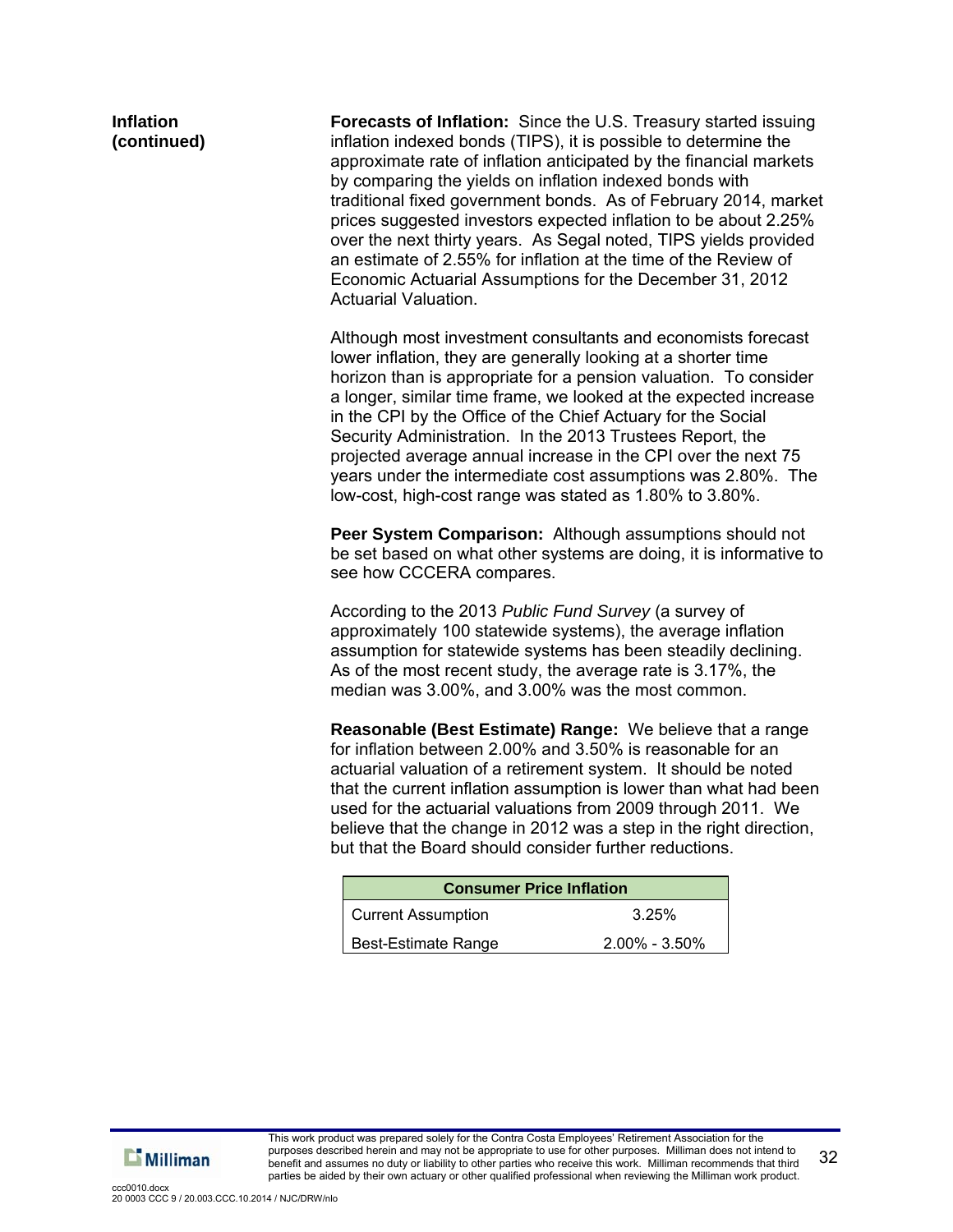**Inflation (continued)**  **Forecasts of Inflation:** Since the U.S. Treasury started issuing inflation indexed bonds (TIPS), it is possible to determine the approximate rate of inflation anticipated by the financial markets by comparing the yields on inflation indexed bonds with traditional fixed government bonds. As of February 2014, market prices suggested investors expected inflation to be about 2.25% over the next thirty years. As Segal noted, TIPS yields provided an estimate of 2.55% for inflation at the time of the Review of Economic Actuarial Assumptions for the December 31, 2012 Actuarial Valuation.

Although most investment consultants and economists forecast lower inflation, they are generally looking at a shorter time horizon than is appropriate for a pension valuation. To consider a longer, similar time frame, we looked at the expected increase in the CPI by the Office of the Chief Actuary for the Social Security Administration. In the 2013 Trustees Report, the projected average annual increase in the CPI over the next 75 years under the intermediate cost assumptions was 2.80%. The low-cost, high-cost range was stated as 1.80% to 3.80%.

**Peer System Comparison:** Although assumptions should not be set based on what other systems are doing, it is informative to see how CCCERA compares.

According to the 2013 *Public Fund Survey* (a survey of approximately 100 statewide systems), the average inflation assumption for statewide systems has been steadily declining. As of the most recent study, the average rate is 3.17%, the median was 3.00%, and 3.00% was the most common.

**Reasonable (Best Estimate) Range:** We believe that a range for inflation between 2.00% and 3.50% is reasonable for an actuarial valuation of a retirement system. It should be noted that the current inflation assumption is lower than what had been used for the actuarial valuations from 2009 through 2011. We believe that the change in 2012 was a step in the right direction, but that the Board should consider further reductions.

| <b>Consumer Price Inflation</b>                 |  |  |  |
|-------------------------------------------------|--|--|--|
| <b>Current Assumption</b><br>3.25%              |  |  |  |
| $2.00\% - 3.50\%$<br><b>Best-Estimate Range</b> |  |  |  |

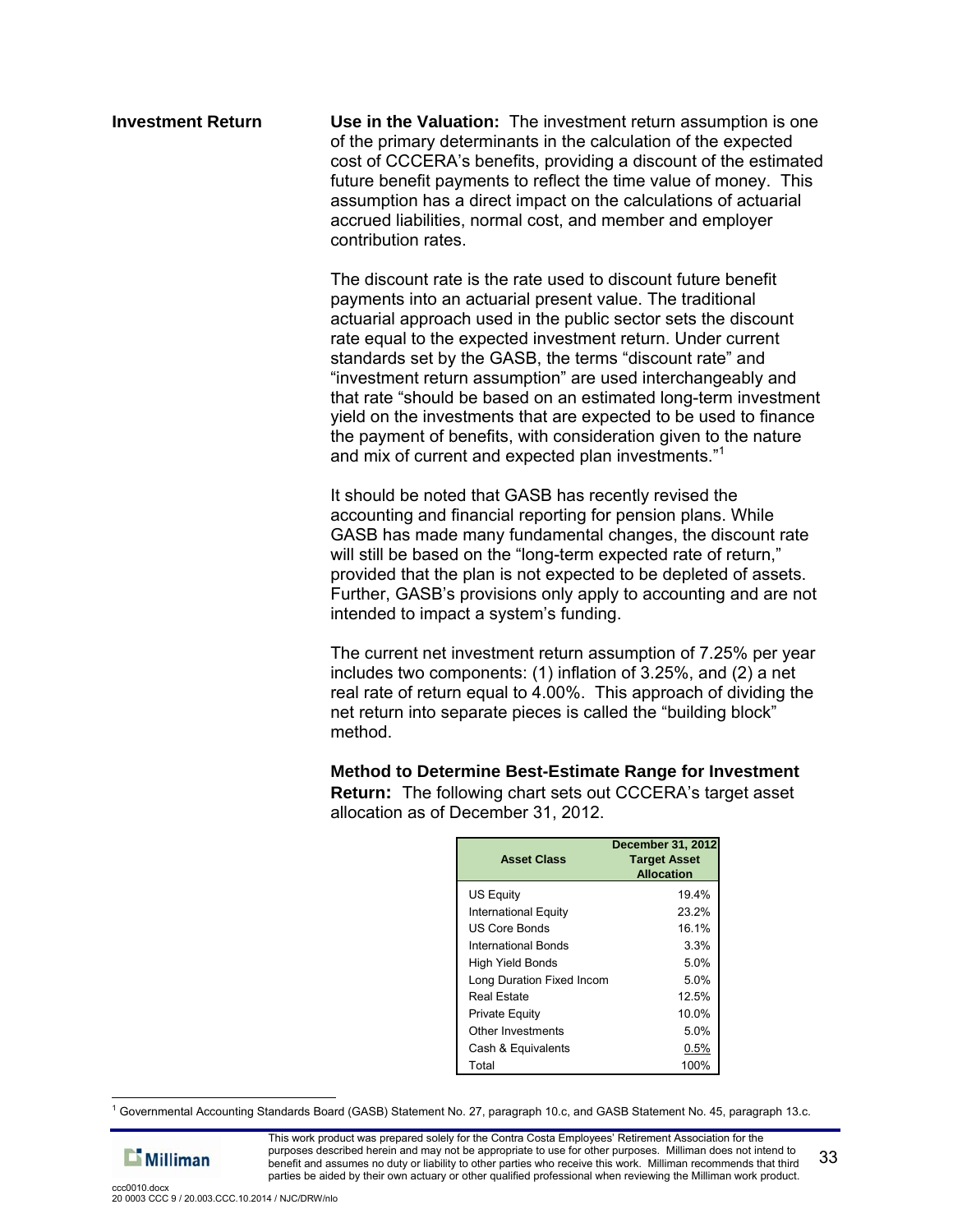**Investment Return Use in the Valuation:** The investment return assumption is one of the primary determinants in the calculation of the expected cost of CCCERA's benefits, providing a discount of the estimated future benefit payments to reflect the time value of money. This assumption has a direct impact on the calculations of actuarial accrued liabilities, normal cost, and member and employer contribution rates.

> The discount rate is the rate used to discount future benefit payments into an actuarial present value. The traditional actuarial approach used in the public sector sets the discount rate equal to the expected investment return. Under current standards set by the GASB, the terms "discount rate" and "investment return assumption" are used interchangeably and that rate "should be based on an estimated long-term investment yield on the investments that are expected to be used to finance the payment of benefits, with consideration given to the nature and mix of current and expected plan investments."<sup>1</sup>

> It should be noted that GASB has recently revised the accounting and financial reporting for pension plans. While GASB has made many fundamental changes, the discount rate will still be based on the "long-term expected rate of return," provided that the plan is not expected to be depleted of assets. Further, GASB's provisions only apply to accounting and are not intended to impact a system's funding.

> The current net investment return assumption of 7.25% per year includes two components: (1) inflation of 3.25%, and (2) a net real rate of return equal to 4.00%. This approach of dividing the net return into separate pieces is called the "building block" method.

**Method to Determine Best-Estimate Range for Investment Return:** The following chart sets out CCCERA's target asset allocation as of December 31, 2012.

| <b>Asset Class</b>        | <b>December 31, 2012</b><br><b>Target Asset</b><br><b>Allocation</b> |
|---------------------------|----------------------------------------------------------------------|
| <b>US Equity</b>          | 19.4%                                                                |
| International Equity      | 23.2%                                                                |
| US Core Bonds             | 16.1%                                                                |
| International Bonds       | 3.3%                                                                 |
| High Yield Bonds          | 5.0%                                                                 |
| Long Duration Fixed Incom | 5.0%                                                                 |
| Real Estate               | 12.5%                                                                |
| <b>Private Equity</b>     | 10.0%                                                                |
| Other Investments         | 5.0%                                                                 |
| Cash & Equivalents        | $0.5\%$                                                              |
| Total                     | 100%                                                                 |

 $\overline{a}$ <sup>1</sup> Governmental Accounting Standards Board (GASB) Statement No. 27, paragraph 10.c, and GASB Statement No. 45, paragraph 13.c.

This work product was prepared solely for the Contra Costa Employees' Retirement Association for the purposes described herein and may not be appropriate to use for other purposes. Milliman does not intend to benefit and assumes no duty or liability to other parties who receive this work. Milliman recommends that third parties be aided by their own actuary or other qualified professional when reviewing the Milliman work product.

**Milliman**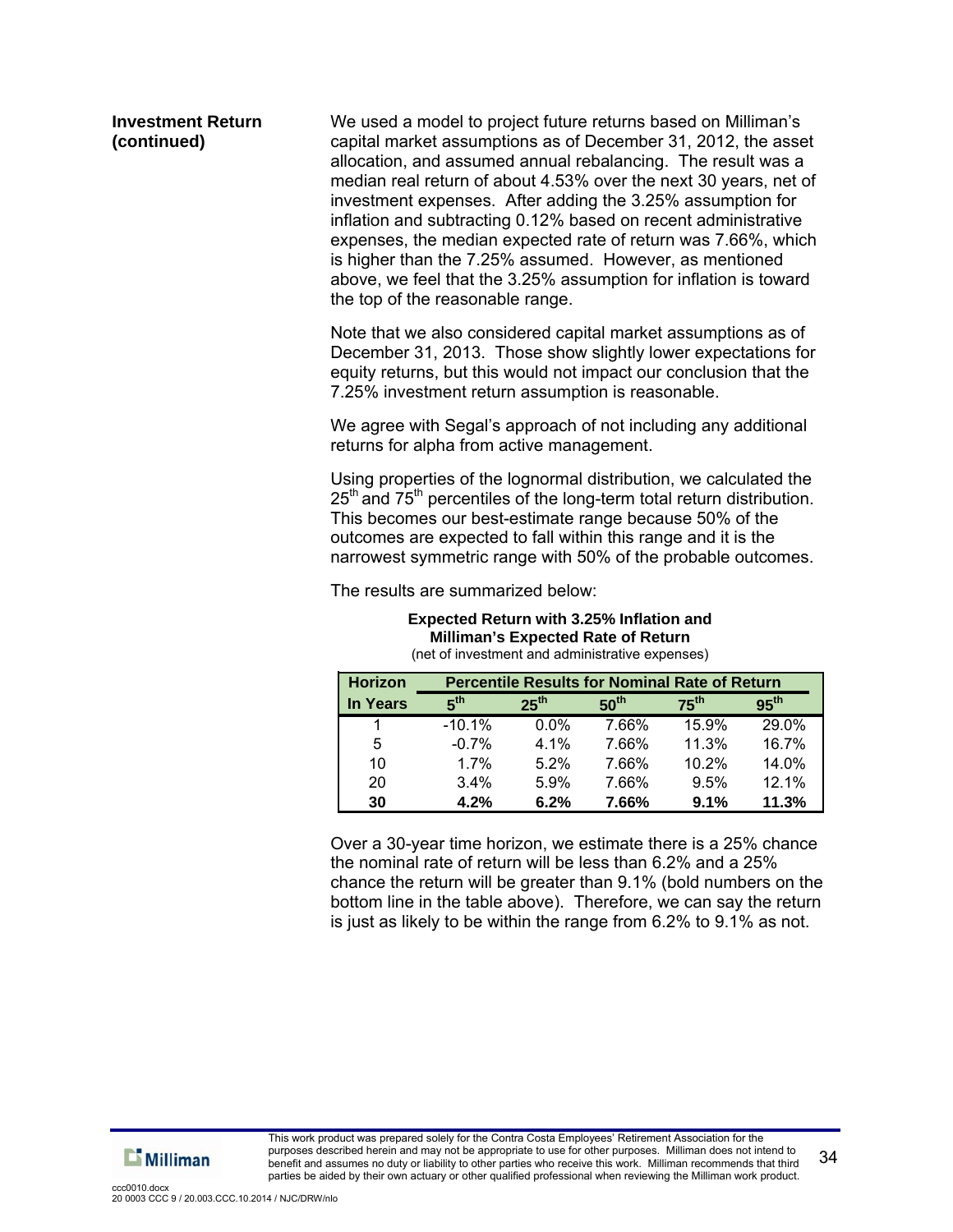### **Investment Return (continued)**

 We used a model to project future returns based on Milliman's capital market assumptions as of December 31, 2012, the asset allocation, and assumed annual rebalancing. The result was a median real return of about 4.53% over the next 30 years, net of investment expenses. After adding the 3.25% assumption for inflation and subtracting 0.12% based on recent administrative expenses, the median expected rate of return was 7.66%, which is higher than the 7.25% assumed. However, as mentioned above, we feel that the 3.25% assumption for inflation is toward the top of the reasonable range.

Note that we also considered capital market assumptions as of December 31, 2013. Those show slightly lower expectations for equity returns, but this would not impact our conclusion that the 7.25% investment return assumption is reasonable.

We agree with Segal's approach of not including any additional returns for alpha from active management.

Using properties of the lognormal distribution, we calculated the  $25<sup>th</sup>$  and 75<sup>th</sup> percentiles of the long-term total return distribution. This becomes our best-estimate range because 50% of the outcomes are expected to fall within this range and it is the narrowest symmetric range with 50% of the probable outcomes.

The results are summarized below:

**Expected Return with 3.25% Inflation and Milliman's Expected Rate of Return**  (net of investment and administrative expenses)

| <b>Horizon</b>  | <b>Percentile Results for Nominal Rate of Return</b> |                  |                  |                  |                  |  |
|-----------------|------------------------------------------------------|------------------|------------------|------------------|------------------|--|
| <b>In Years</b> | 5 <sup>th</sup>                                      | 25 <sup>th</sup> | 50 <sup>th</sup> | 75 <sup>th</sup> | $95^{\text{th}}$ |  |
|                 | $-10.1%$                                             | $0.0\%$          | 7.66%            | 15.9%            | 29.0%            |  |
| 5               | $-0.7%$                                              | $4.1\%$          | 7.66%            | 11.3%            | 16.7%            |  |
| 10              | 1.7%                                                 | 5.2%             | 7.66%            | 10.2%            | 14.0%            |  |
| 20              | 3.4%                                                 | 5.9%             | 7.66%            | 9.5%             | 12.1%            |  |
| 30              | 4.2%                                                 | 6.2%             | 7.66%            | 9.1%             | 11.3%            |  |

 Over a 30-year time horizon, we estimate there is a 25% chance the nominal rate of return will be less than 6.2% and a 25% chance the return will be greater than 9.1% (bold numbers on the bottom line in the table above). Therefore, we can say the return is just as likely to be within the range from 6.2% to 9.1% as not.

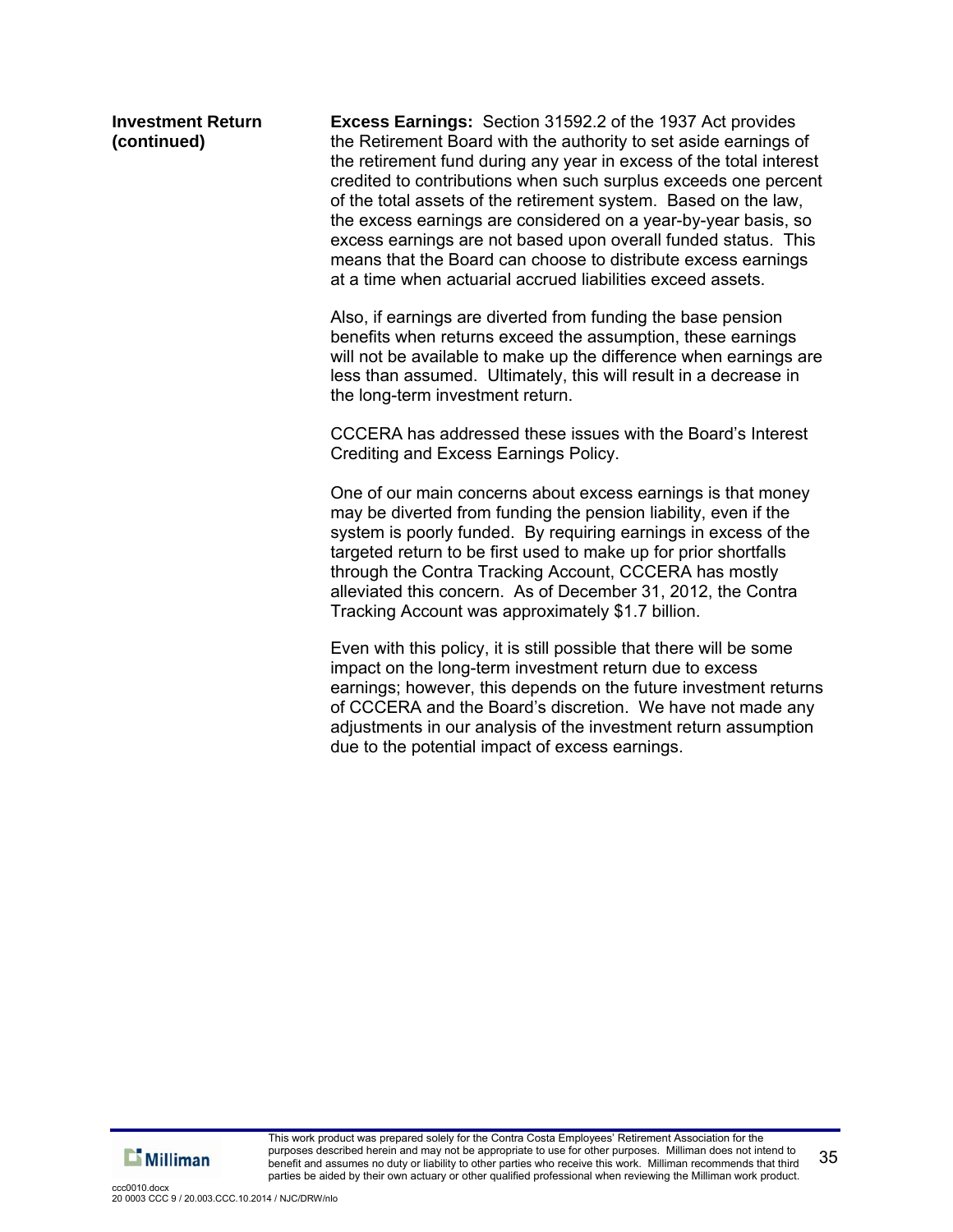#### **Investment Return (continued)**

**Excess Earnings:** Section 31592.2 of the 1937 Act provides the Retirement Board with the authority to set aside earnings of the retirement fund during any year in excess of the total interest credited to contributions when such surplus exceeds one percent of the total assets of the retirement system. Based on the law, the excess earnings are considered on a year-by-year basis, so excess earnings are not based upon overall funded status. This means that the Board can choose to distribute excess earnings at a time when actuarial accrued liabilities exceed assets.

Also, if earnings are diverted from funding the base pension benefits when returns exceed the assumption, these earnings will not be available to make up the difference when earnings are less than assumed. Ultimately, this will result in a decrease in the long-term investment return.

CCCERA has addressed these issues with the Board's Interest Crediting and Excess Earnings Policy.

One of our main concerns about excess earnings is that money may be diverted from funding the pension liability, even if the system is poorly funded. By requiring earnings in excess of the targeted return to be first used to make up for prior shortfalls through the Contra Tracking Account, CCCERA has mostly alleviated this concern. As of December 31, 2012, the Contra Tracking Account was approximately \$1.7 billion.

Even with this policy, it is still possible that there will be some impact on the long-term investment return due to excess earnings; however, this depends on the future investment returns of CCCERA and the Board's discretion. We have not made any adjustments in our analysis of the investment return assumption due to the potential impact of excess earnings.

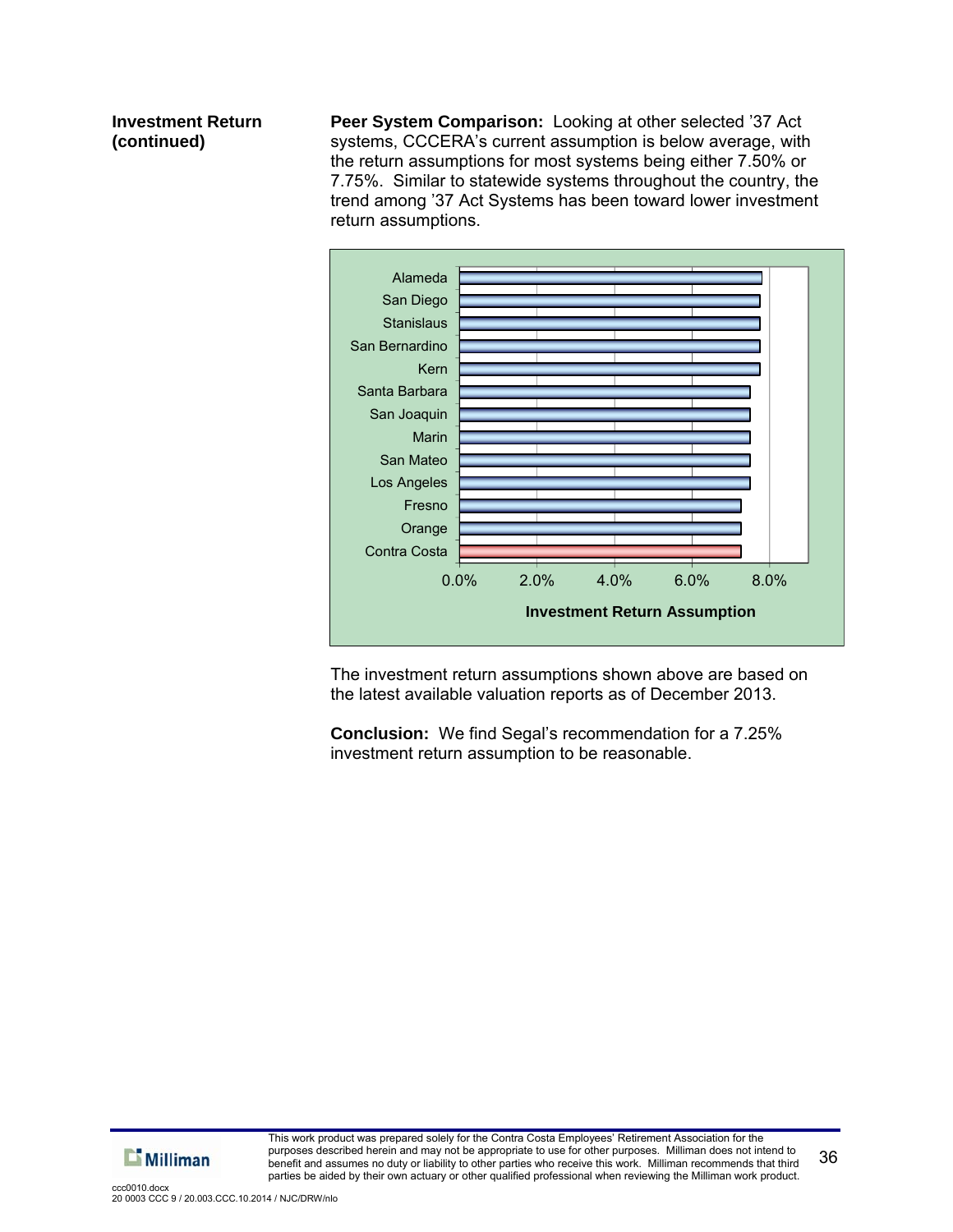### **Investment Return (continued)**

**Peer System Comparison:** Looking at other selected '37 Act systems, CCCERA's current assumption is below average, with the return assumptions for most systems being either 7.50% or 7.75%. Similar to statewide systems throughout the country, the trend among '37 Act Systems has been toward lower investment return assumptions.



 The investment return assumptions shown above are based on the latest available valuation reports as of December 2013.

**Conclusion:** We find Segal's recommendation for a 7.25% investment return assumption to be reasonable.

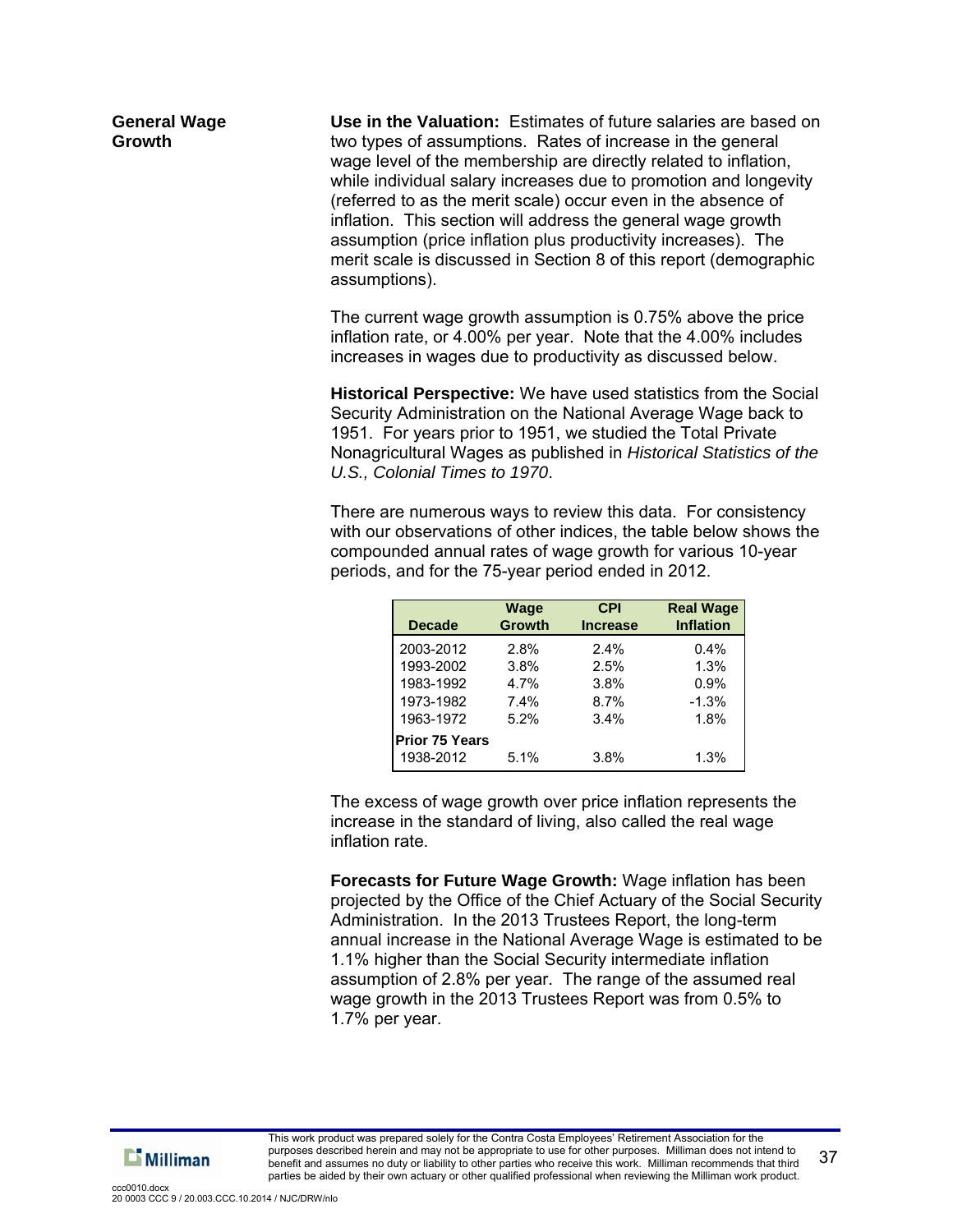**General Wage Growth** 

**Use in the Valuation:** Estimates of future salaries are based on two types of assumptions. Rates of increase in the general wage level of the membership are directly related to inflation, while individual salary increases due to promotion and longevity (referred to as the merit scale) occur even in the absence of inflation. This section will address the general wage growth assumption (price inflation plus productivity increases). The merit scale is discussed in Section 8 of this report (demographic assumptions).

The current wage growth assumption is 0.75% above the price inflation rate, or 4.00% per year. Note that the 4.00% includes increases in wages due to productivity as discussed below.

**Historical Perspective:** We have used statistics from the Social Security Administration on the National Average Wage back to 1951. For years prior to 1951, we studied the Total Private Nonagricultural Wages as published in *Historical Statistics of the U.S., Colonial Times to 1970*.

There are numerous ways to review this data. For consistency with our observations of other indices, the table below shows the compounded annual rates of wage growth for various 10-year periods, and for the 75-year period ended in 2012.

| <b>Decade</b>         | Wage<br><b>Growth</b> | <b>CPI</b><br><b>Increase</b> | <b>Real Wage</b><br><b>Inflation</b> |
|-----------------------|-----------------------|-------------------------------|--------------------------------------|
| 2003-2012             | 2.8%                  | 2.4%                          | 0.4%                                 |
| 1993-2002             | 3.8%                  | 2.5%                          | 1.3%                                 |
| 1983-1992             | 4.7%                  | 3.8%                          | 0.9%                                 |
| 1973-1982             | 7.4%                  | 8.7%                          | $-1.3%$                              |
| 1963-1972             | 5.2%                  | 3.4%                          | 1.8%                                 |
| <b>Prior 75 Years</b> |                       |                               |                                      |
| 1938-2012             | 5.1%                  | 3.8%                          | 1.3%                                 |

 The excess of wage growth over price inflation represents the increase in the standard of living, also called the real wage inflation rate.

**Forecasts for Future Wage Growth:** Wage inflation has been projected by the Office of the Chief Actuary of the Social Security Administration. In the 2013 Trustees Report, the long-term annual increase in the National Average Wage is estimated to be 1.1% higher than the Social Security intermediate inflation assumption of 2.8% per year. The range of the assumed real wage growth in the 2013 Trustees Report was from 0.5% to 1.7% per year.

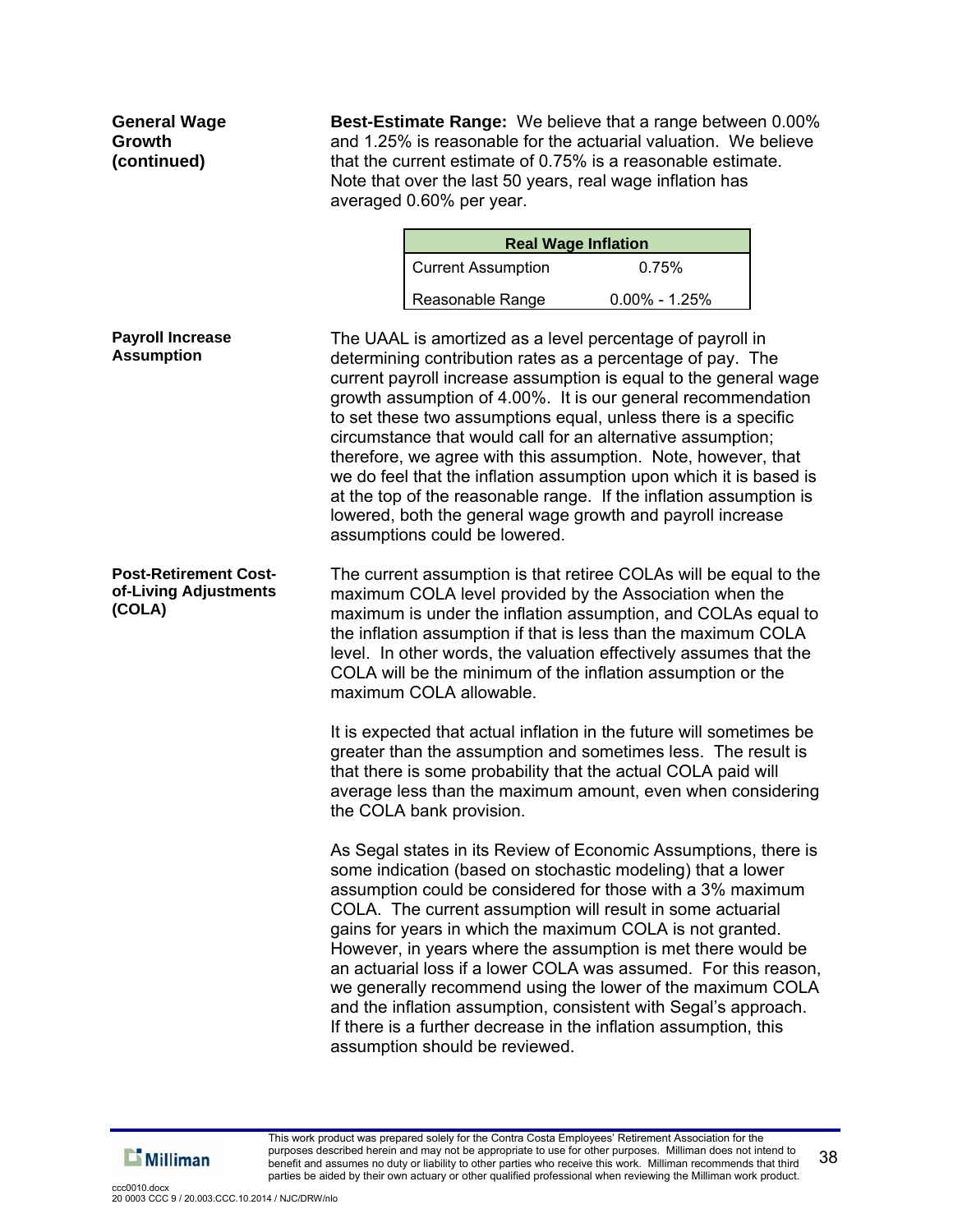| <b>General Wage</b><br>Growth<br>(continued)                    | <b>Best-Estimate Range:</b> We believe that a range between 0.00%<br>and 1.25% is reasonable for the actuarial valuation. We believe<br>that the current estimate of 0.75% is a reasonable estimate.<br>Note that over the last 50 years, real wage inflation has<br>averaged 0.60% per year.                                                                                                                                                                                                                                                                                                                                                                                                            |  |  |  |
|-----------------------------------------------------------------|----------------------------------------------------------------------------------------------------------------------------------------------------------------------------------------------------------------------------------------------------------------------------------------------------------------------------------------------------------------------------------------------------------------------------------------------------------------------------------------------------------------------------------------------------------------------------------------------------------------------------------------------------------------------------------------------------------|--|--|--|
|                                                                 | <b>Real Wage Inflation</b>                                                                                                                                                                                                                                                                                                                                                                                                                                                                                                                                                                                                                                                                               |  |  |  |
|                                                                 | <b>Current Assumption</b><br>0.75%                                                                                                                                                                                                                                                                                                                                                                                                                                                                                                                                                                                                                                                                       |  |  |  |
|                                                                 | Reasonable Range<br>$0.00\% - 1.25\%$                                                                                                                                                                                                                                                                                                                                                                                                                                                                                                                                                                                                                                                                    |  |  |  |
| <b>Payroll Increase</b><br><b>Assumption</b>                    | The UAAL is amortized as a level percentage of payroll in<br>determining contribution rates as a percentage of pay. The<br>current payroll increase assumption is equal to the general wage<br>growth assumption of 4.00%. It is our general recommendation<br>to set these two assumptions equal, unless there is a specific<br>circumstance that would call for an alternative assumption;<br>therefore, we agree with this assumption. Note, however, that<br>we do feel that the inflation assumption upon which it is based is<br>at the top of the reasonable range. If the inflation assumption is<br>lowered, both the general wage growth and payroll increase<br>assumptions could be lowered. |  |  |  |
| <b>Post-Retirement Cost-</b><br>of-Living Adjustments<br>(COLA) | The current assumption is that retiree COLAs will be equal to the<br>maximum COLA level provided by the Association when the<br>maximum is under the inflation assumption, and COLAs equal to<br>the inflation assumption if that is less than the maximum COLA<br>level. In other words, the valuation effectively assumes that the<br>COLA will be the minimum of the inflation assumption or the<br>maximum COLA allowable.                                                                                                                                                                                                                                                                           |  |  |  |
|                                                                 | It is expected that actual inflation in the future will sometimes be<br>greater than the assumption and sometimes less. The result is<br>that there is some probability that the actual COLA paid will<br>average less than the maximum amount, even when considering<br>the COLA bank provision.                                                                                                                                                                                                                                                                                                                                                                                                        |  |  |  |
|                                                                 | As Segal states in its Review of Economic Assumptions, there is<br>some indication (based on stochastic modeling) that a lower<br>assumption could be considered for those with a 3% maximum<br>COLA. The current assumption will result in some actuarial<br>gains for years in which the maximum COLA is not granted.<br>However, in years where the assumption is met there would be<br>an actuarial loss if a lower COLA was assumed. For this reason,<br>we generally recommend using the lower of the maximum COLA<br>and the inflation assumption, consistent with Segal's approach.<br>If there is a further decrease in the inflation assumption, this<br>assumption should be reviewed.        |  |  |  |

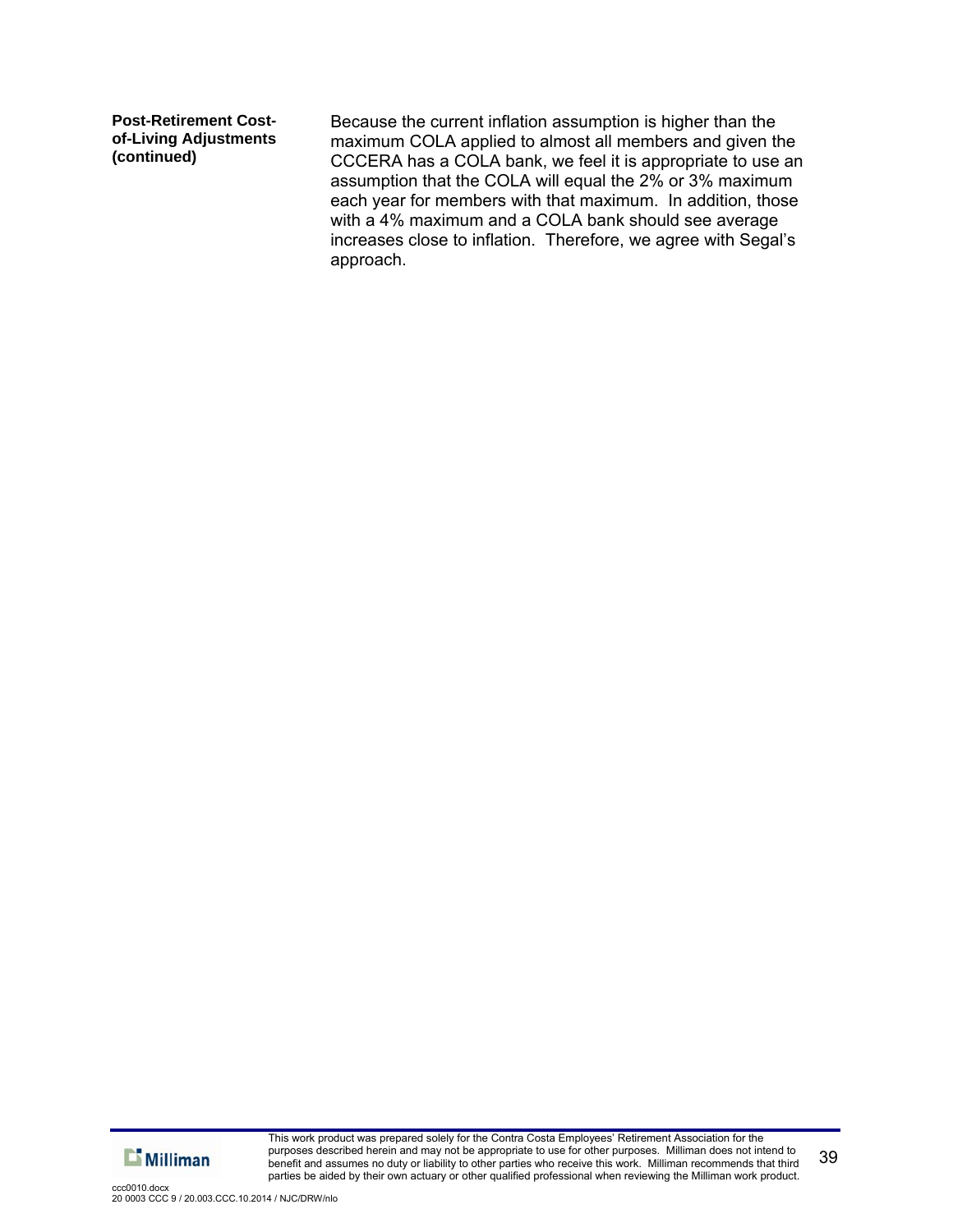**Post-Retirement Costof-Living Adjustments (continued)** 

 Because the current inflation assumption is higher than the maximum COLA applied to almost all members and given the CCCERA has a COLA bank, we feel it is appropriate to use an assumption that the COLA will equal the 2% or 3% maximum each year for members with that maximum. In addition, those with a 4% maximum and a COLA bank should see average increases close to inflation. Therefore, we agree with Segal's approach.

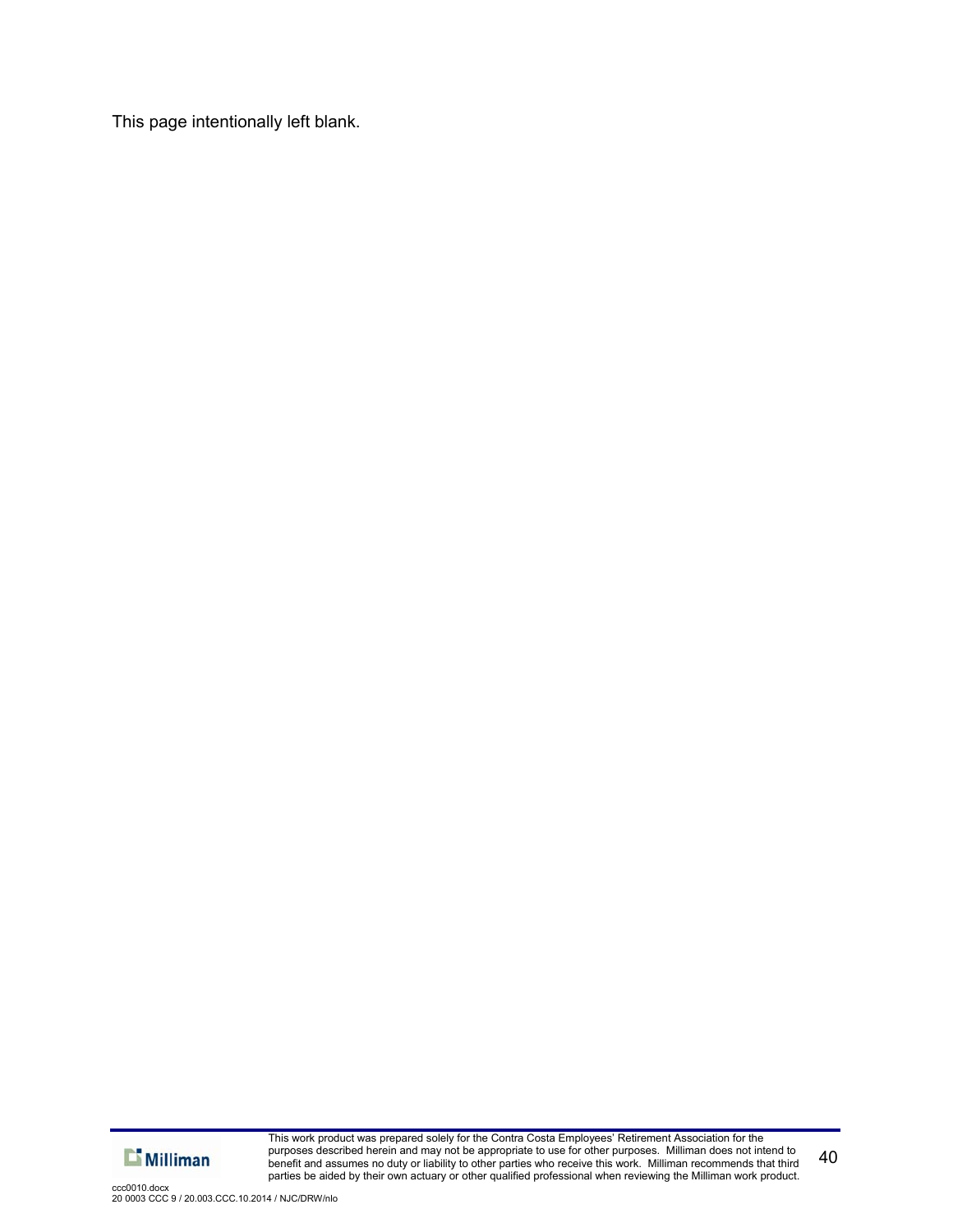This page intentionally left blank.

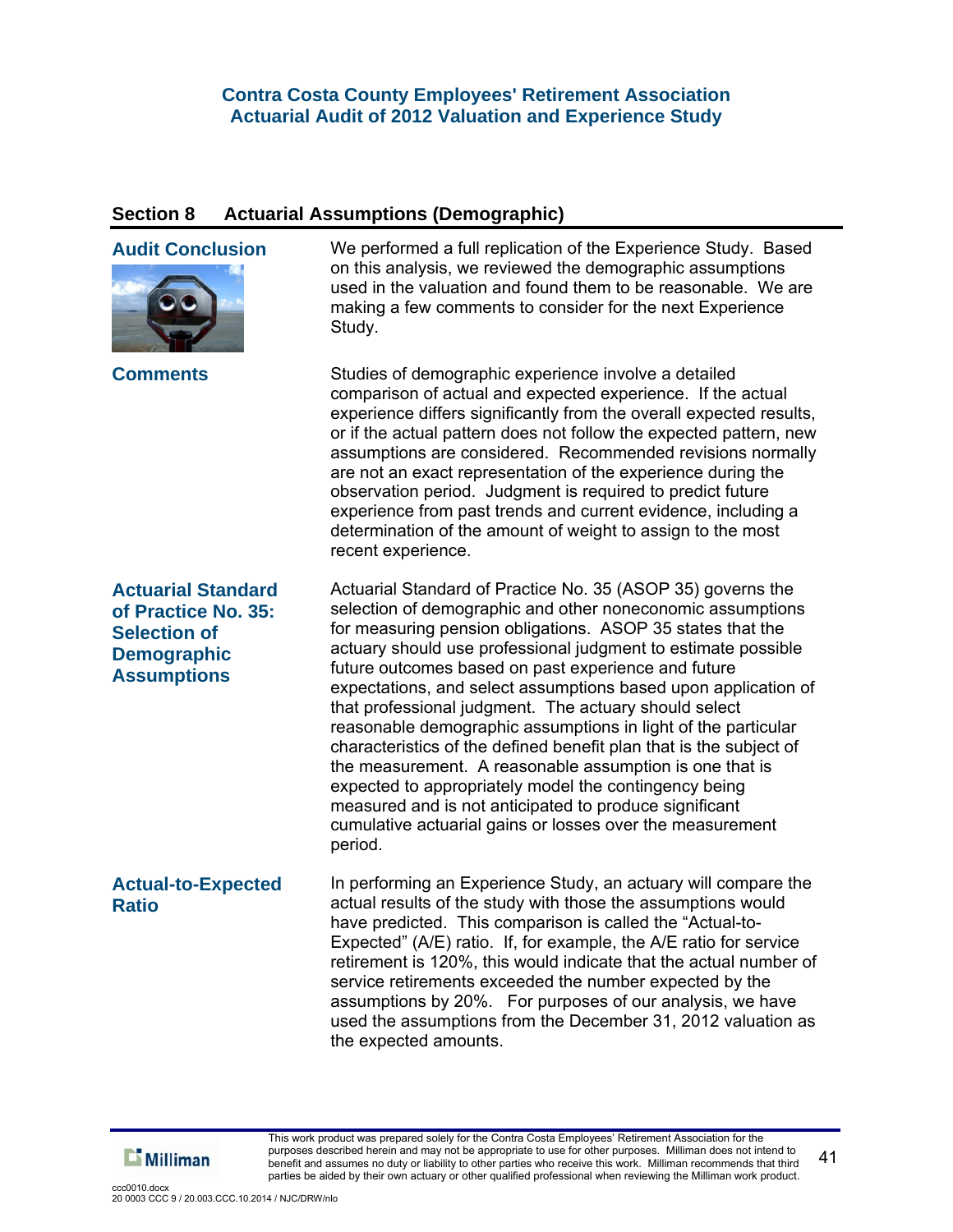# **Section 8 Actuarial Assumptions (Demographic)**





# **Actuarial Standard of Practice No. 35: Selection of Demographic Assumptions**

# **Actual-to-Expected Ratio**

**Audit Conclusion** We performed a full replication of the Experience Study. Based on this analysis, we reviewed the demographic assumptions used in the valuation and found them to be reasonable. We are making a few comments to consider for the next Experience Study.

**Comments** Studies of demographic experience involve a detailed comparison of actual and expected experience. If the actual experience differs significantly from the overall expected results, or if the actual pattern does not follow the expected pattern, new assumptions are considered. Recommended revisions normally are not an exact representation of the experience during the observation period. Judgment is required to predict future experience from past trends and current evidence, including a determination of the amount of weight to assign to the most recent experience.

> Actuarial Standard of Practice No. 35 (ASOP 35) governs the selection of demographic and other noneconomic assumptions for measuring pension obligations. ASOP 35 states that the actuary should use professional judgment to estimate possible future outcomes based on past experience and future expectations, and select assumptions based upon application of that professional judgment. The actuary should select reasonable demographic assumptions in light of the particular characteristics of the defined benefit plan that is the subject of the measurement. A reasonable assumption is one that is expected to appropriately model the contingency being measured and is not anticipated to produce significant cumulative actuarial gains or losses over the measurement period.

 In performing an Experience Study, an actuary will compare the actual results of the study with those the assumptions would have predicted. This comparison is called the "Actual-to-Expected" (A/E) ratio. If, for example, the A/E ratio for service retirement is 120%, this would indicate that the actual number of service retirements exceeded the number expected by the assumptions by 20%. For purposes of our analysis, we have used the assumptions from the December 31, 2012 valuation as the expected amounts.

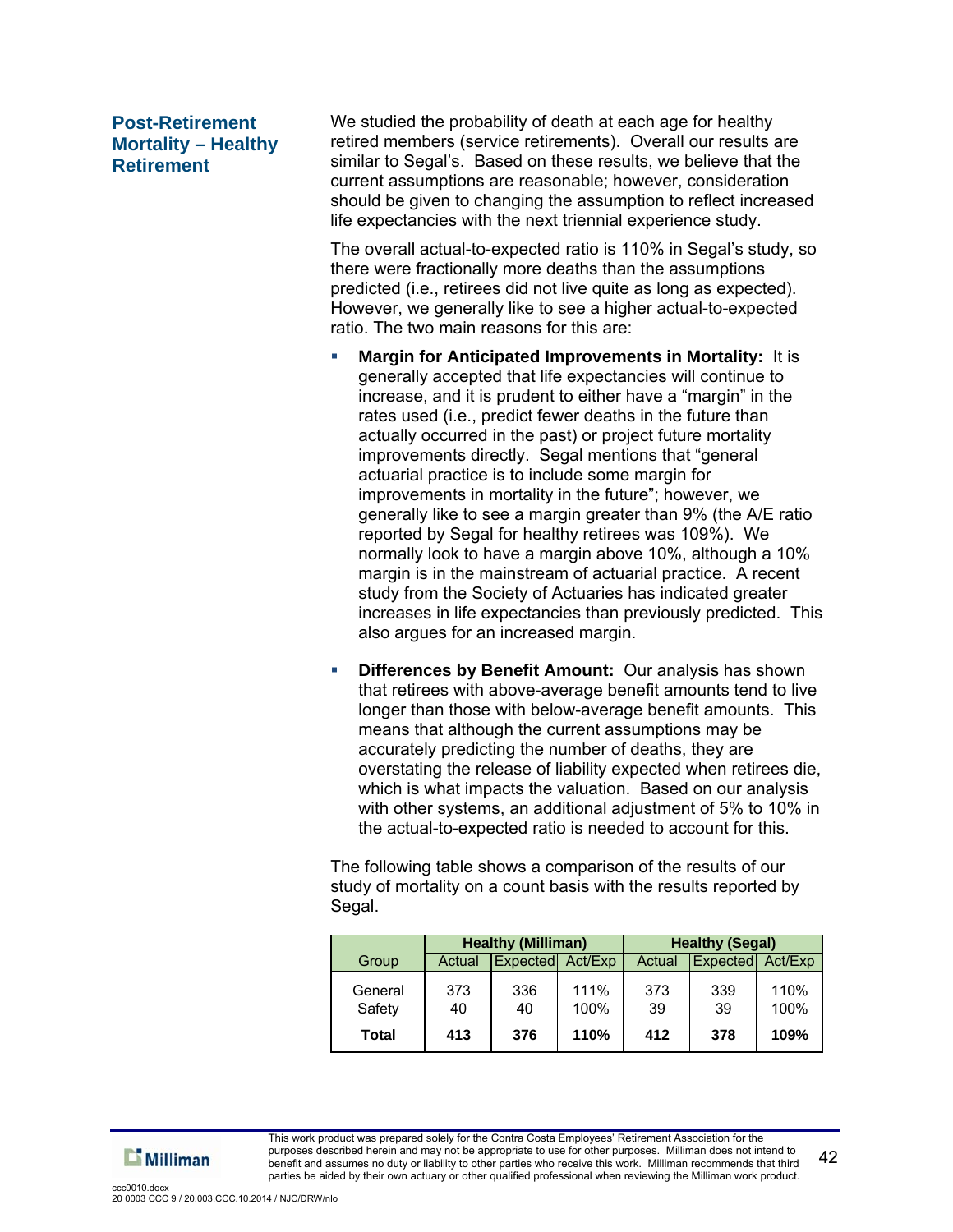# **Post-Retirement Mortality – Healthy Retirement**

 We studied the probability of death at each age for healthy retired members (service retirements). Overall our results are similar to Segal's. Based on these results, we believe that the current assumptions are reasonable; however, consideration should be given to changing the assumption to reflect increased life expectancies with the next triennial experience study.

The overall actual-to-expected ratio is 110% in Segal's study, so there were fractionally more deaths than the assumptions predicted (i.e., retirees did not live quite as long as expected). However, we generally like to see a higher actual-to-expected ratio. The two main reasons for this are:

- **Margin for Anticipated Improvements in Mortality:** It is generally accepted that life expectancies will continue to increase, and it is prudent to either have a "margin" in the rates used (i.e., predict fewer deaths in the future than actually occurred in the past) or project future mortality improvements directly. Segal mentions that "general actuarial practice is to include some margin for improvements in mortality in the future"; however, we generally like to see a margin greater than 9% (the A/E ratio reported by Segal for healthy retirees was 109%). We normally look to have a margin above 10%, although a 10% margin is in the mainstream of actuarial practice. A recent study from the Society of Actuaries has indicated greater increases in life expectancies than previously predicted. This also argues for an increased margin.
- **-** Differences by Benefit Amount: Our analysis has shown that retirees with above-average benefit amounts tend to live longer than those with below-average benefit amounts. This means that although the current assumptions may be accurately predicting the number of deaths, they are overstating the release of liability expected when retirees die, which is what impacts the valuation. Based on our analysis with other systems, an additional adjustment of 5% to 10% in the actual-to-expected ratio is needed to account for this.

 The following table shows a comparison of the results of our study of mortality on a count basis with the results reported by Segal.

|                   | <b>Healthy (Milliman)</b> |                 |              |           | <b>Healthy (Segal)</b> |              |
|-------------------|---------------------------|-----------------|--------------|-----------|------------------------|--------------|
| Group             | Actual                    | <b>Expected</b> | Act/Exp      | Actual    | <b>Expected</b>        | Act/Exp      |
| General<br>Safety | 373<br>40                 | 336<br>40       | 111%<br>100% | 373<br>39 | 339<br>-39             | 110%<br>100% |
| Total             | 413                       | 376             | 110%         | 412       | 378                    | 109%         |

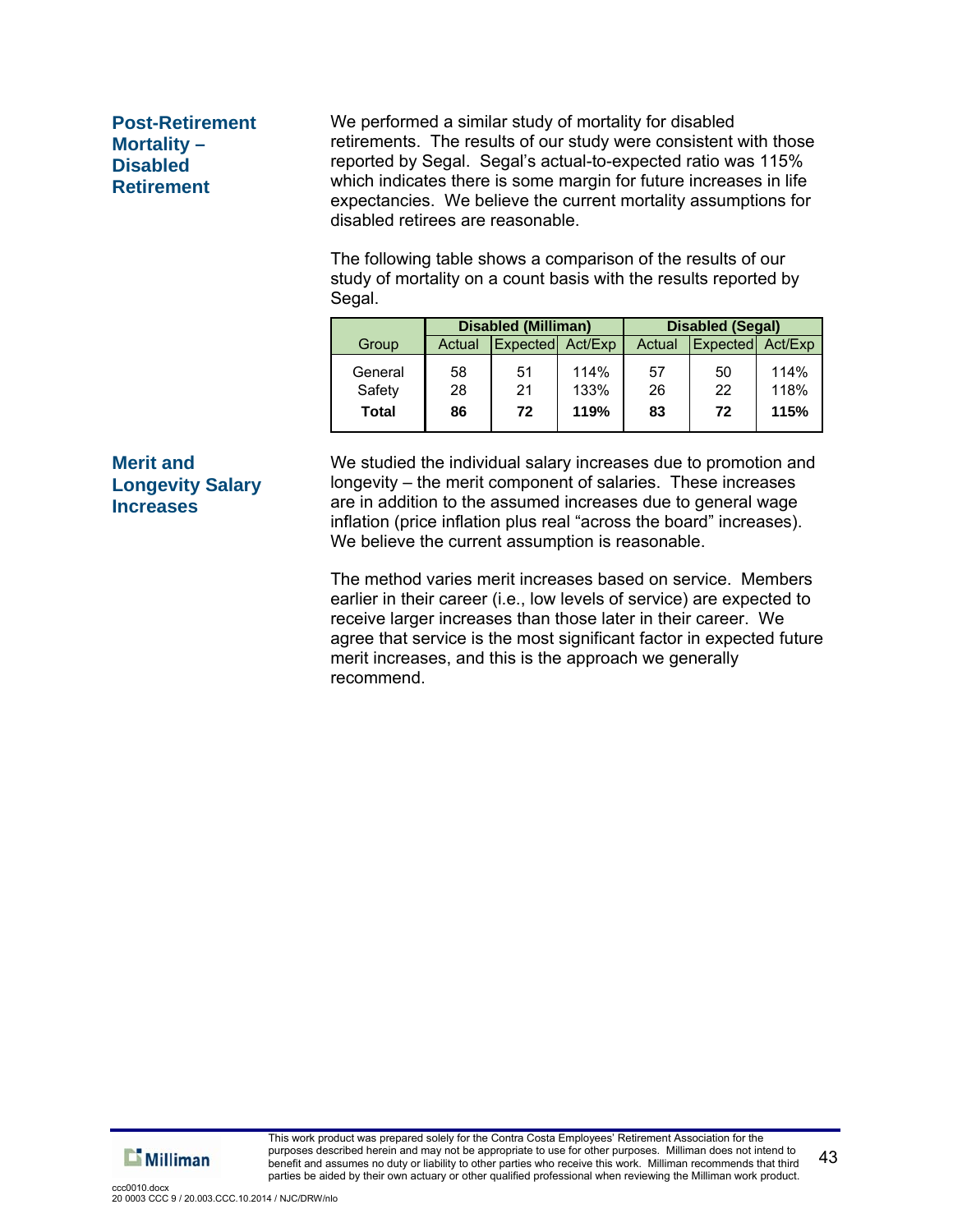# **Post-Retirement Mortality – Disabled Retirement**

 We performed a similar study of mortality for disabled retirements. The results of our study were consistent with those reported by Segal. Segal's actual-to-expected ratio was 115% which indicates there is some margin for future increases in life expectancies. We believe the current mortality assumptions for disabled retirees are reasonable.

The following table shows a comparison of the results of our study of mortality on a count basis with the results reported by Segal.

|                            | <b>Disabled (Milliman)</b> |                  |                      |                | <b>Disabled (Segal)</b> |                      |
|----------------------------|----------------------------|------------------|----------------------|----------------|-------------------------|----------------------|
| Group                      | Actual                     | Expected Act/Exp |                      | Actual         | Expected Act/Exp        |                      |
| General<br>Safety<br>Total | 58<br>28<br>86             | 51<br>21<br>72   | 114%<br>133%<br>119% | 57<br>26<br>83 | 50<br>22<br>72          | 114%<br>118%<br>115% |

# **Merit and Longevity Salary Increases**

 We studied the individual salary increases due to promotion and longevity – the merit component of salaries. These increases are in addition to the assumed increases due to general wage inflation (price inflation plus real "across the board" increases). We believe the current assumption is reasonable.

The method varies merit increases based on service. Members earlier in their career (i.e., low levels of service) are expected to receive larger increases than those later in their career. We agree that service is the most significant factor in expected future merit increases, and this is the approach we generally recommend.



43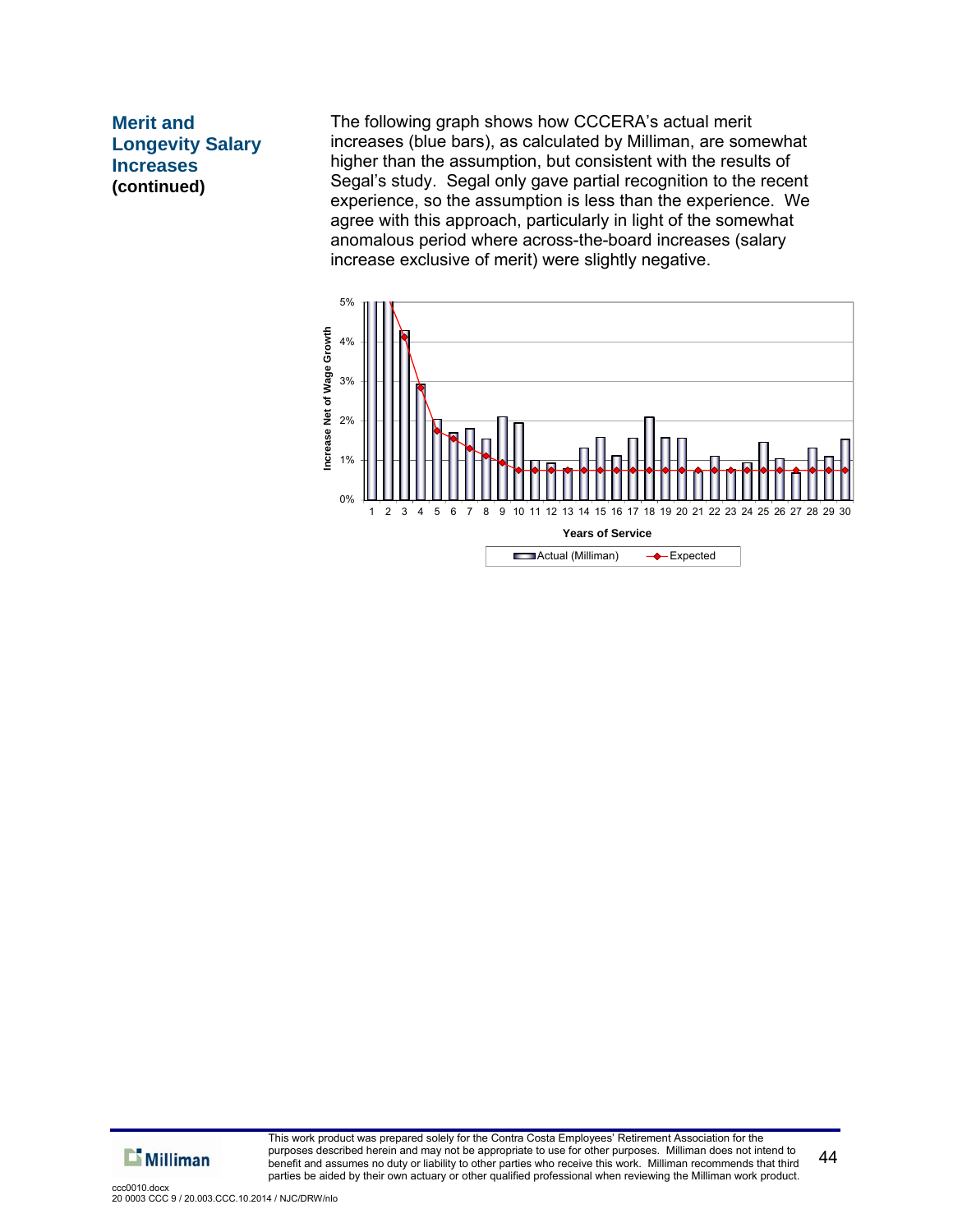# **Merit and Longevity Salary Increases (continued)**

 The following graph shows how CCCERA's actual merit increases (blue bars), as calculated by Milliman, are somewhat higher than the assumption, but consistent with the results of Segal's study. Segal only gave partial recognition to the recent experience, so the assumption is less than the experience. We agree with this approach, particularly in light of the somewhat anomalous period where across-the-board increases (salary increase exclusive of merit) were slightly negative.



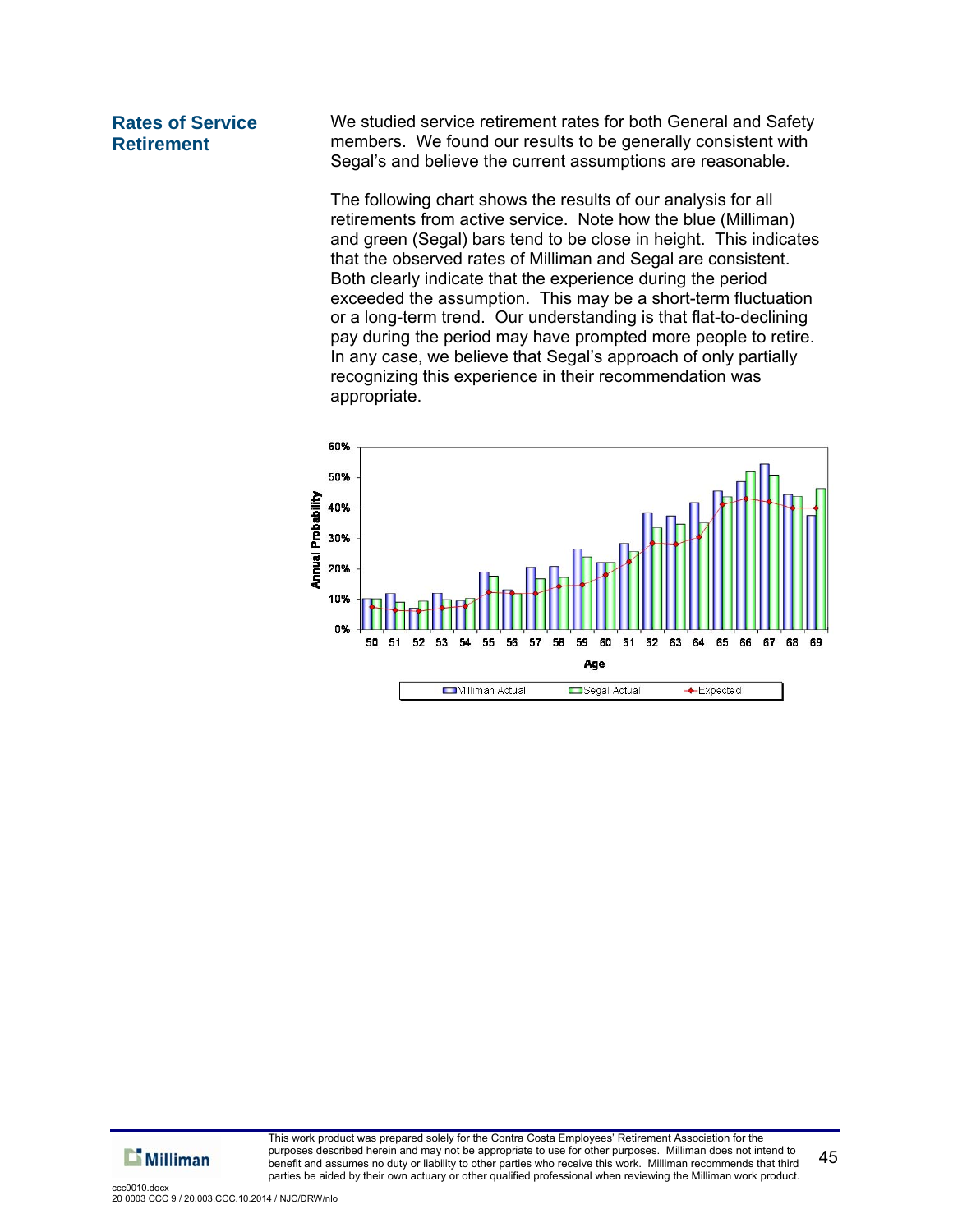# **Rates of Service Retirement**

 We studied service retirement rates for both General and Safety members. We found our results to be generally consistent with Segal's and believe the current assumptions are reasonable.

The following chart shows the results of our analysis for all retirements from active service. Note how the blue (Milliman) and green (Segal) bars tend to be close in height. This indicates that the observed rates of Milliman and Segal are consistent. Both clearly indicate that the experience during the period exceeded the assumption. This may be a short-term fluctuation or a long-term trend. Our understanding is that flat-to-declining pay during the period may have prompted more people to retire. In any case, we believe that Segal's approach of only partially recognizing this experience in their recommendation was appropriate.



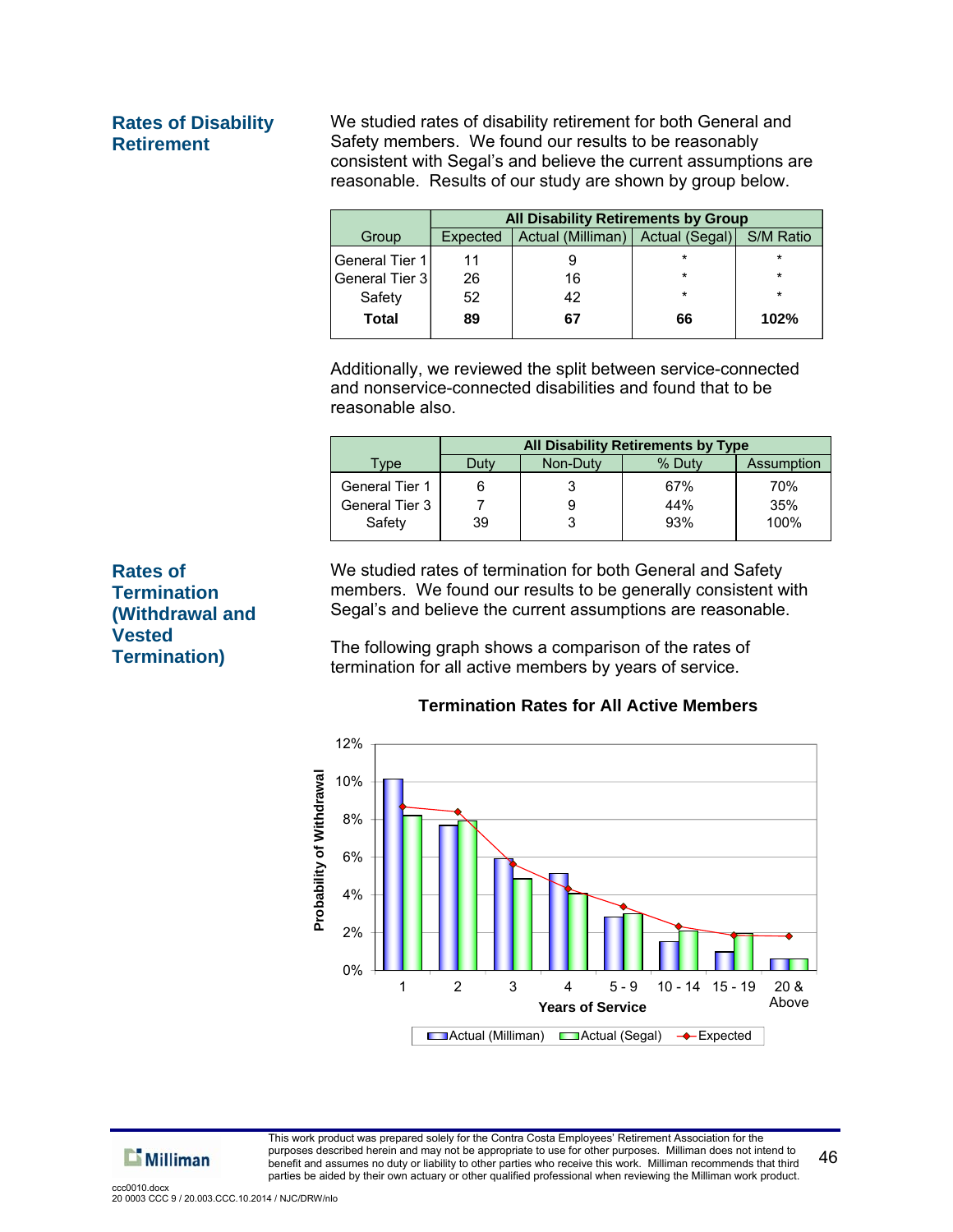# **Rates of Disability Retirement**

 We studied rates of disability retirement for both General and Safety members. We found our results to be reasonably consistent with Segal's and believe the current assumptions are reasonable. Results of our study are shown by group below.

|                       | All Disability Retirements by Group |                                    |         |           |  |
|-----------------------|-------------------------------------|------------------------------------|---------|-----------|--|
| Group                 | Expected                            | Actual (Milliman)   Actual (Segal) |         | S/M Ratio |  |
| <b>General Tier 1</b> | 11                                  |                                    |         | $\star$   |  |
| <b>General Tier 3</b> | 26                                  | 16                                 | ÷       | $\star$   |  |
| Safety                | 52                                  | 42                                 | $\star$ | $\star$   |  |
| Total                 | 89                                  | 67                                 | 66      | 102%      |  |

Additionally, we reviewed the split between service-connected and nonservice-connected disabilities and found that to be reasonable also.

|                          | All Disability Retirements by Type |          |            |             |
|--------------------------|------------------------------------|----------|------------|-------------|
| Tvpe                     | Duty                               | Non-Duty | % Duty     | Assumption  |
| <b>General Tier 1</b>    | 6                                  |          | 67%        | 70%         |
| General Tier 3<br>Safety | 39                                 |          | 44%<br>93% | 35%<br>100% |

 We studied rates of termination for both General and Safety members. We found our results to be generally consistent with Segal's and believe the current assumptions are reasonable.

The following graph shows a comparison of the rates of termination for all active members by years of service.



#### **Termination Rates for All Active Members**



This work product was prepared solely for the Contra Costa Employees' Retirement Association for the purposes described herein and may not be appropriate to use for other purposes. Milliman does not intend to benefit and assumes no duty or liability to other parties who receive this work. Milliman recommends that third parties be aided by their own actuary or other qualified professional when reviewing the Milliman work product. 46

**Rates of Termination (Withdrawal and Vested Termination)**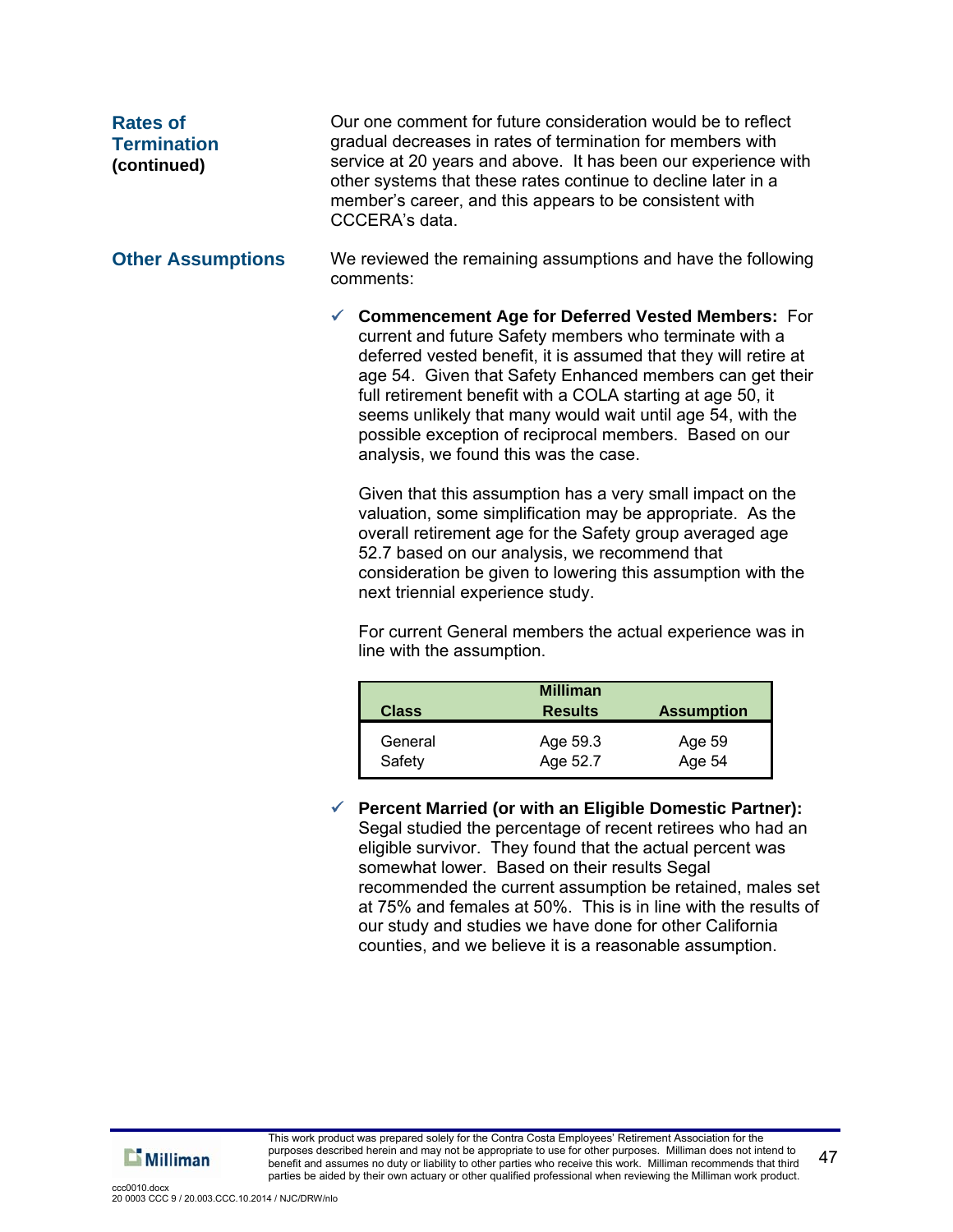| <b>Rates of</b><br><b>Termination</b><br>(continued) | Our one comment for future consideration would be to reflect<br>gradual decreases in rates of termination for members with<br>service at 20 years and above. It has been our experience with<br>other systems that these rates continue to decline later in a<br>member's career, and this appears to be consistent with<br>CCCERA's data.                                                                                                                                             |
|------------------------------------------------------|----------------------------------------------------------------------------------------------------------------------------------------------------------------------------------------------------------------------------------------------------------------------------------------------------------------------------------------------------------------------------------------------------------------------------------------------------------------------------------------|
| <b>Other Assumptions</b>                             | We reviewed the remaining assumptions and have the following<br>comments:                                                                                                                                                                                                                                                                                                                                                                                                              |
|                                                      | <del>✓</del> Commencement Age for Deferred Vested Members: For<br>current and future Safety members who terminate with a<br>deferred vested benefit, it is assumed that they will retire at<br>age 54. Given that Safety Enhanced members can get their<br>full retirement benefit with a COLA starting at age 50, it<br>seems unlikely that many would wait until age 54, with the<br>possible exception of reciprocal members. Based on our<br>analysis, we found this was the case. |

Given that this assumption has a very small impact on the valuation, some simplification may be appropriate. As the overall retirement age for the Safety group averaged age 52.7 based on our analysis, we recommend that consideration be given to lowering this assumption with the next triennial experience study.

For current General members the actual experience was in line with the assumption.

| <b>Class</b> | <b>Milliman</b><br><b>Results</b> | <b>Assumption</b> |
|--------------|-----------------------------------|-------------------|
| General      | Age 59.3                          | Age 59            |
| Safety       | Age 52.7                          | Age 54            |

 **Percent Married (or with an Eligible Domestic Partner):** Segal studied the percentage of recent retirees who had an eligible survivor. They found that the actual percent was somewhat lower. Based on their results Segal recommended the current assumption be retained, males set at 75% and females at 50%. This is in line with the results of our study and studies we have done for other California counties, and we believe it is a reasonable assumption.

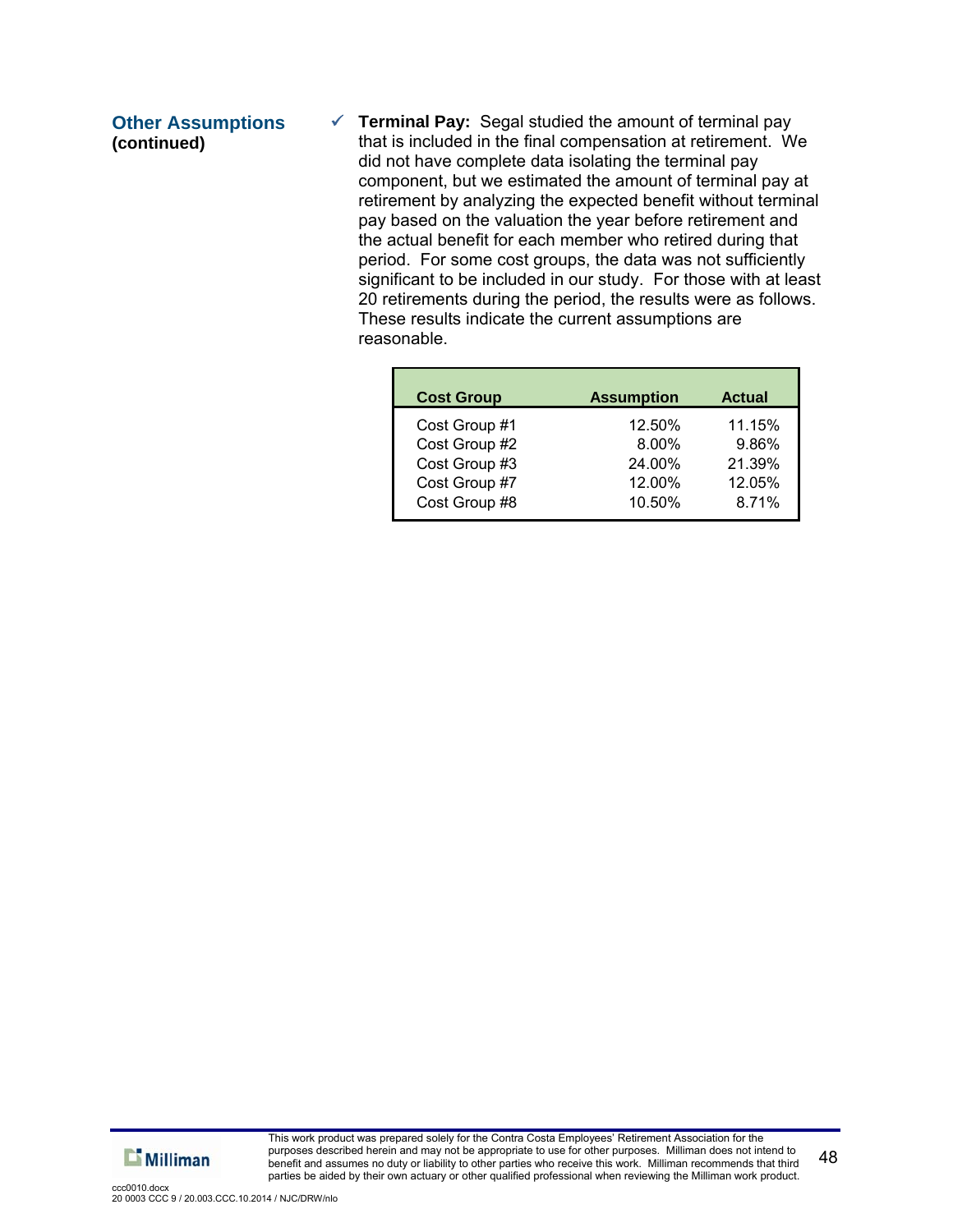# **Other Assumptions (continued)**

 **Terminal Pay:** Segal studied the amount of terminal pay that is included in the final compensation at retirement. We did not have complete data isolating the terminal pay component, but we estimated the amount of terminal pay at retirement by analyzing the expected benefit without terminal pay based on the valuation the year before retirement and the actual benefit for each member who retired during that period. For some cost groups, the data was not sufficiently significant to be included in our study. For those with at least 20 retirements during the period, the results were as follows. These results indicate the current assumptions are reasonable.

| <b>Cost Group</b> | <b>Assumption</b> | <b>Actual</b> |
|-------------------|-------------------|---------------|
| Cost Group #1     | 12.50%            | 11.15%        |
| Cost Group #2     | 8.00%             | 9.86%         |
| Cost Group #3     | 24.00%            | 21.39%        |
| Cost Group #7     | 12.00%            | 12.05%        |
| Cost Group #8     | 10.50%            | 8.71%         |

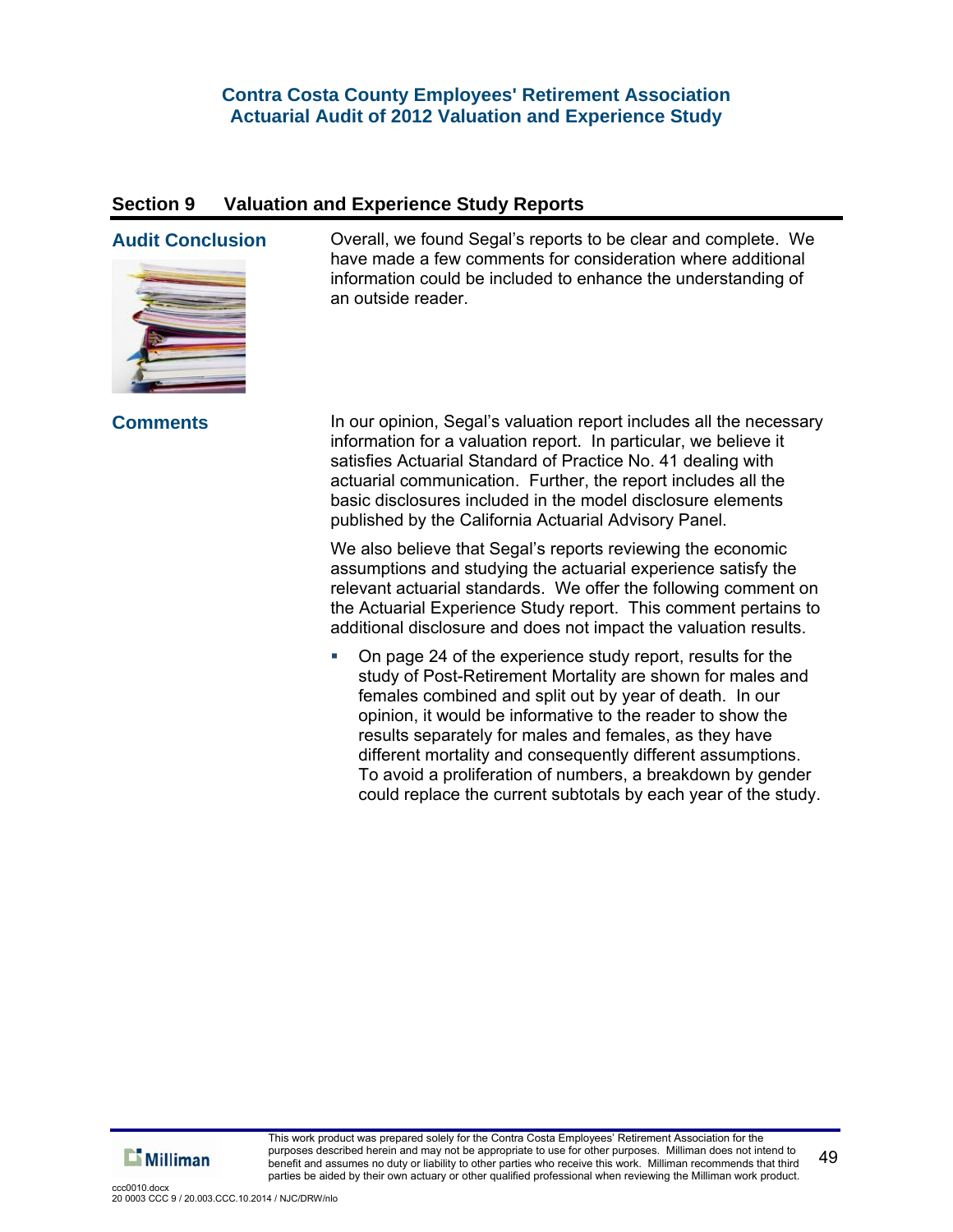# **Section 9 Valuation and Experience Study Reports**



**Audit Conclusion** Overall, we found Segal's reports to be clear and complete. We have made a few comments for consideration where additional information could be included to enhance the understanding of an outside reader.

**Comments** In our opinion, Segal's valuation report includes all the necessary information for a valuation report. In particular, we believe it satisfies Actuarial Standard of Practice No. 41 dealing with actuarial communication. Further, the report includes all the basic disclosures included in the model disclosure elements published by the California Actuarial Advisory Panel.

> We also believe that Segal's reports reviewing the economic assumptions and studying the actuarial experience satisfy the relevant actuarial standards. We offer the following comment on the Actuarial Experience Study report. This comment pertains to additional disclosure and does not impact the valuation results.

> On page 24 of the experience study report, results for the study of Post-Retirement Mortality are shown for males and females combined and split out by year of death. In our opinion, it would be informative to the reader to show the results separately for males and females, as they have different mortality and consequently different assumptions. To avoid a proliferation of numbers, a breakdown by gender could replace the current subtotals by each year of the study.

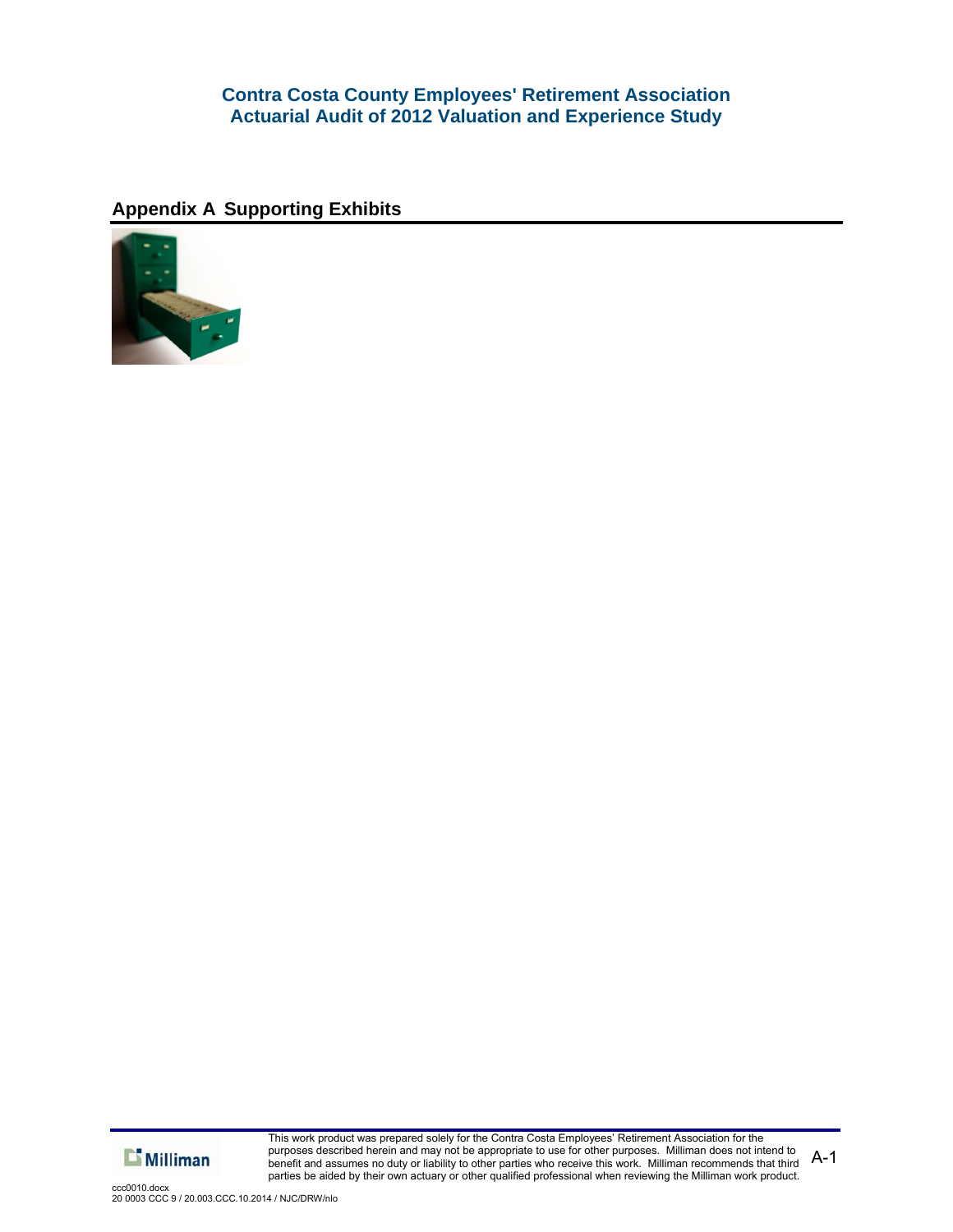**Appendix A Supporting Exhibits** 



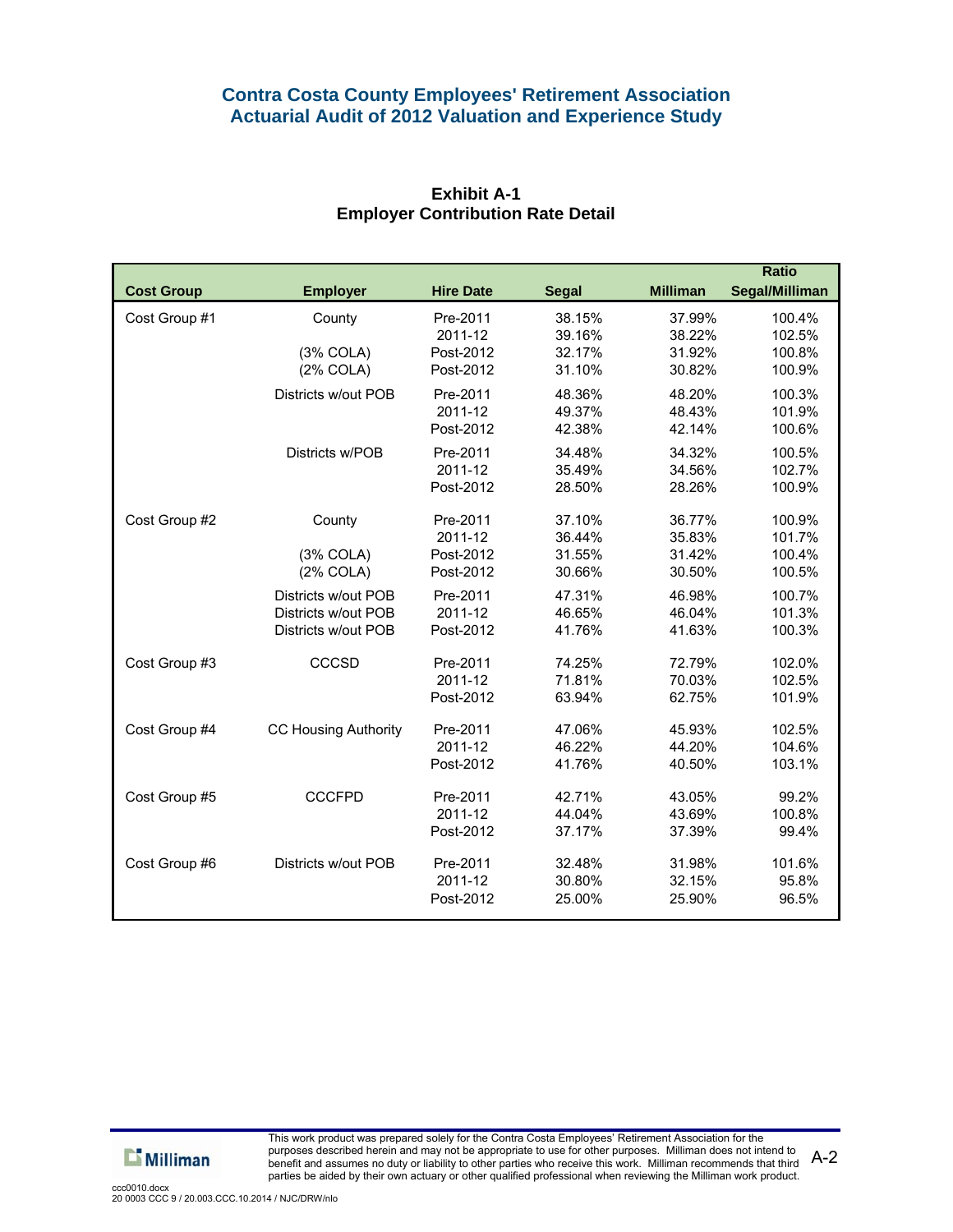| <b>Cost Group</b> | <b>Employer</b>                                                   | <b>Hire Date</b>                              | <b>Segal</b>                         | <b>Milliman</b>                      | <b>Ratio</b><br>Segal/Milliman       |
|-------------------|-------------------------------------------------------------------|-----------------------------------------------|--------------------------------------|--------------------------------------|--------------------------------------|
| Cost Group #1     | County<br>(3% COLA)<br>$(2\%$ COLA)                               | Pre-2011<br>2011-12<br>Post-2012<br>Post-2012 | 38.15%<br>39.16%<br>32.17%<br>31.10% | 37.99%<br>38.22%<br>31.92%<br>30.82% | 100.4%<br>102.5%<br>100.8%<br>100.9% |
|                   | Districts w/out POB                                               | Pre-2011<br>2011-12<br>Post-2012              | 48.36%<br>49.37%<br>42.38%           | 48.20%<br>48.43%<br>42.14%           | 100.3%<br>101.9%<br>100.6%           |
|                   | Districts w/POB                                                   | Pre-2011<br>2011-12<br>Post-2012              | 34.48%<br>35.49%<br>28.50%           | 34.32%<br>34.56%<br>28.26%           | 100.5%<br>102.7%<br>100.9%           |
| Cost Group #2     | County<br>$(3%$ COLA)<br>$(2\%$ COLA)                             | Pre-2011<br>2011-12<br>Post-2012<br>Post-2012 | 37.10%<br>36.44%<br>31.55%<br>30.66% | 36.77%<br>35.83%<br>31.42%<br>30.50% | 100.9%<br>101.7%<br>100.4%<br>100.5% |
|                   | Districts w/out POB<br>Districts w/out POB<br>Districts w/out POB | Pre-2011<br>2011-12<br>Post-2012              | 47.31%<br>46.65%<br>41.76%           | 46.98%<br>46.04%<br>41.63%           | 100.7%<br>101.3%<br>100.3%           |
| Cost Group #3     | CCCSD                                                             | Pre-2011<br>2011-12<br>Post-2012              | 74.25%<br>71.81%<br>63.94%           | 72.79%<br>70.03%<br>62.75%           | 102.0%<br>102.5%<br>101.9%           |
| Cost Group #4     | <b>CC Housing Authority</b>                                       | Pre-2011<br>2011-12<br>Post-2012              | 47.06%<br>46.22%<br>41.76%           | 45.93%<br>44.20%<br>40.50%           | 102.5%<br>104.6%<br>103.1%           |
| Cost Group #5     | <b>CCCFPD</b>                                                     | Pre-2011<br>2011-12<br>Post-2012              | 42.71%<br>44.04%<br>37.17%           | 43.05%<br>43.69%<br>37.39%           | 99.2%<br>100.8%<br>99.4%             |
| Cost Group #6     | Districts w/out POB                                               | Pre-2011<br>2011-12<br>Post-2012              | 32.48%<br>30.80%<br>25.00%           | 31.98%<br>32.15%<br>25.90%           | 101.6%<br>95.8%<br>96.5%             |

# **Exhibit A-1 Employer Contribution Rate Detail**